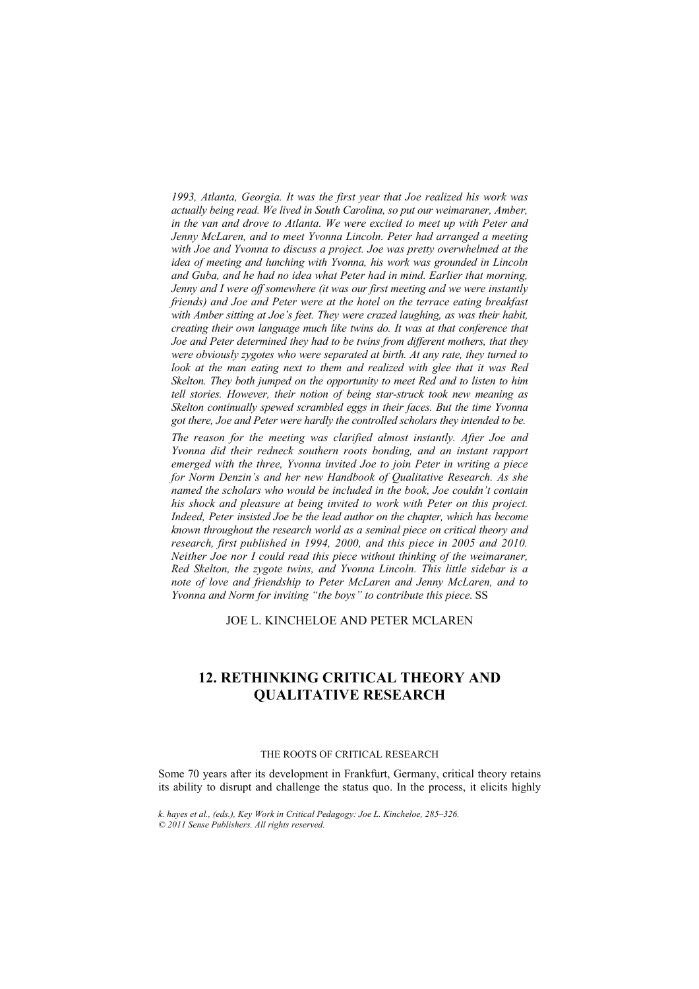*1993, Atlanta, Georgia. It was the first year that Joe realized his work was actually being read. We lived in South Carolina, so put our weimaraner, Amber, in the van and drove to Atlanta. We were excited to meet up with Peter and Jenny McLaren, and to meet Yvonna Lincoln. Peter had arranged a meeting with Joe and Yvonna to discuss a project. Joe was pretty overwhelmed at the idea of meeting and lunching with Yvonna, his work was grounded in Lincoln and Guba, and he had no idea what Peter had in mind. Earlier that morning, Jenny and I were off somewhere (it was our first meeting and we were instantly friends) and Joe and Peter were at the hotel on the terrace eating breakfast with Amber sitting at Joe's feet. They were crazed laughing, as was their habit, creating their own language much like twins do. It was at that conference that Joe and Peter determined they had to be twins from different mothers, that they were obviously zygotes who were separated at birth. At any rate, they turned to look at the man eating next to them and realized with glee that it was Red Skelton. They both jumped on the opportunity to meet Red and to listen to him tell stories. However, their notion of being star-struck took new meaning as Skelton continually spewed scrambled eggs in their faces. But the time Yvonna got there, Joe and Peter were hardly the controlled scholars they intended to be.* 

*The reason for the meeting was clarified almost instantly. After Joe and Yvonna did their redneck southern roots bonding, and an instant rapport emerged with the three, Yvonna invited Joe to join Peter in writing a piece for Norm Denzin's and her new Handbook of Qualitative Research. As she named the scholars who would be included in the book, Joe couldn't contain his shock and pleasure at being invited to work with Peter on this project. Indeed, Peter insisted Joe be the lead author on the chapter, which has become known throughout the research world as a seminal piece on critical theory and research, first published in 1994, 2000, and this piece in 2005 and 2010. Neither Joe nor I could read this piece without thinking of the weimaraner, Red Skelton, the zygote twins, and Yvonna Lincoln. This little sidebar is a note of love and friendship to Peter McLaren and Jenny McLaren, and to Yvonna and Norm for inviting "the boys" to contribute this piece.* SS

# JOE L. KINCHELOE AND PETER MCLAREN

# **12. RETHINKING CRITICAL THEORY AND QUALITATIVE RESEARCH**

## THE ROOTS OF CRITICAL RESEARCH

Some 70 years after its development in Frankfurt, Germany, critical theory retains its ability to disrupt and challenge the status quo. In the process, it elicits highly

*k. hayes et al., (eds.), Key Work in Critical Pedagogy: Joe L. Kincheloe, 285–326. © 2011 Sense Publishers. All rights reserved.*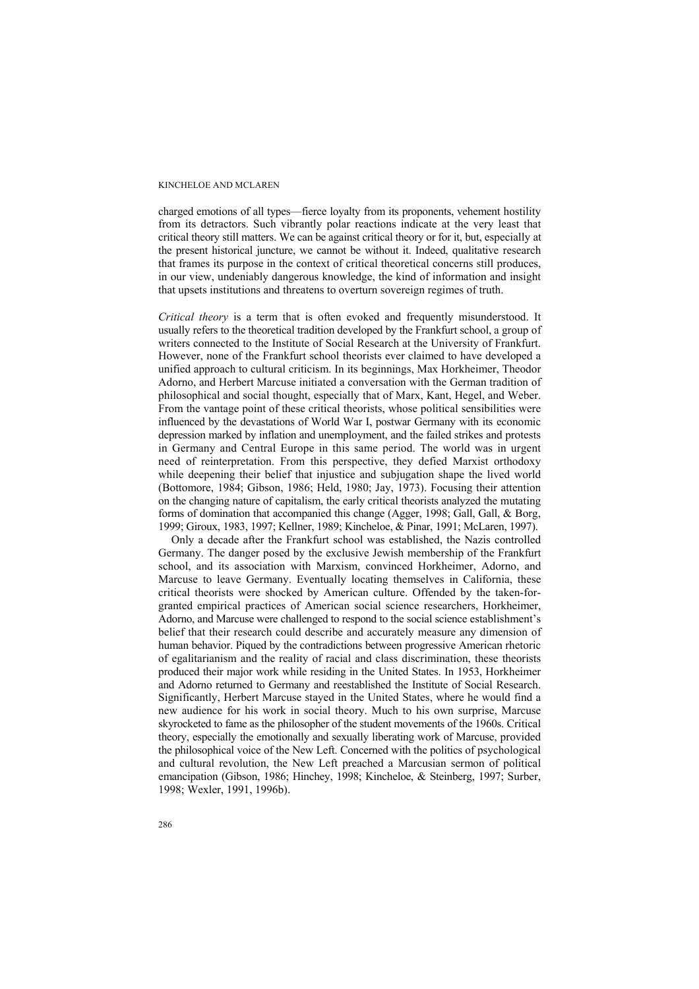charged emotions of all types—fierce loyalty from its proponents, vehement hostility from its detractors. Such vibrantly polar reactions indicate at the very least that critical theory still matters. We can be against critical theory or for it, but, especially at the present historical juncture, we cannot be without it. Indeed, qualitative research that frames its purpose in the context of critical theoretical concerns still produces, in our view, undeniably dangerous knowledge, the kind of information and insight that upsets institutions and threatens to overturn sovereign regimes of truth.

*Critical theory* is a term that is often evoked and frequently misunderstood. It usually refers to the theoretical tradition developed by the Frankfurt school, a group of writers connected to the Institute of Social Research at the University of Frankfurt. However, none of the Frankfurt school theorists ever claimed to have developed a unified approach to cultural criticism. In its beginnings, Max Horkheimer, Theodor Adorno, and Herbert Marcuse initiated a conversation with the German tradition of philosophical and social thought, especially that of Marx, Kant, Hegel, and Weber. From the vantage point of these critical theorists, whose political sensibilities were influenced by the devastations of World War I, postwar Germany with its economic depression marked by inflation and unemployment, and the failed strikes and protests in Germany and Central Europe in this same period. The world was in urgent need of reinterpretation. From this perspective, they defied Marxist orthodoxy while deepening their belief that injustice and subjugation shape the lived world (Bottomore, 1984; Gibson, 1986; Held, 1980; Jay, 1973). Focusing their attention on the changing nature of capitalism, the early critical theorists analyzed the mutating forms of domination that accompanied this change (Agger, 1998; Gall, Gall, & Borg, 1999; Giroux, 1983, 1997; Kellner, 1989; Kincheloe, & Pinar, 1991; McLaren, 1997).

Only a decade after the Frankfurt school was established, the Nazis controlled Germany. The danger posed by the exclusive Jewish membership of the Frankfurt school, and its association with Marxism, convinced Horkheimer, Adorno, and Marcuse to leave Germany. Eventually locating themselves in California, these critical theorists were shocked by American culture. Offended by the taken-forgranted empirical practices of American social science researchers, Horkheimer, Adorno, and Marcuse were challenged to respond to the social science establishment's belief that their research could describe and accurately measure any dimension of human behavior. Piqued by the contradictions between progressive American rhetoric of egalitarianism and the reality of racial and class discrimination, these theorists produced their major work while residing in the United States. In 1953, Horkheimer and Adorno returned to Germany and reestablished the Institute of Social Research. Significantly, Herbert Marcuse stayed in the United States, where he would find a new audience for his work in social theory. Much to his own surprise, Marcuse skyrocketed to fame as the philosopher of the student movements of the 1960s. Critical theory, especially the emotionally and sexually liberating work of Marcuse, provided the philosophical voice of the New Left. Concerned with the politics of psychological and cultural revolution, the New Left preached a Marcusian sermon of political emancipation (Gibson, 1986; Hinchey, 1998; Kincheloe, & Steinberg, 1997; Surber, 1998; Wexler, 1991, 1996b).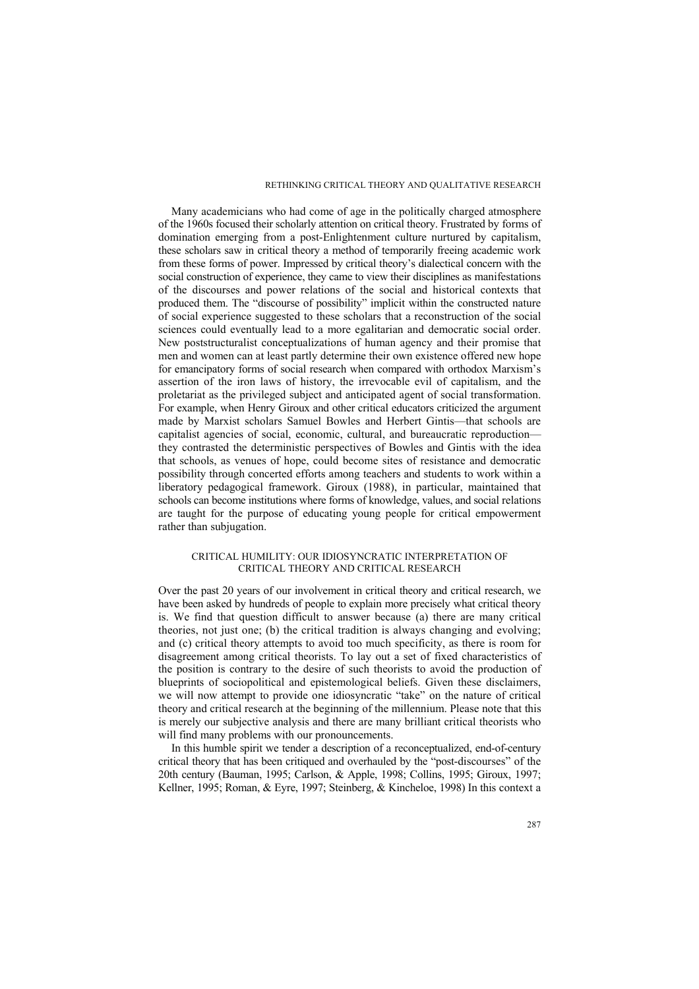Many academicians who had come of age in the politically charged atmosphere of the 1960s focused their scholarly attention on critical theory. Frustrated by forms of domination emerging from a post-Enlightenment culture nurtured by capitalism, these scholars saw in critical theory a method of temporarily freeing academic work from these forms of power. Impressed by critical theory's dialectical concern with the social construction of experience, they came to view their disciplines as manifestations of the discourses and power relations of the social and historical contexts that produced them. The "discourse of possibility" implicit within the constructed nature of social experience suggested to these scholars that a reconstruction of the social sciences could eventually lead to a more egalitarian and democratic social order. New poststructuralist conceptualizations of human agency and their promise that men and women can at least partly determine their own existence offered new hope for emancipatory forms of social research when compared with orthodox Marxism's assertion of the iron laws of history, the irrevocable evil of capitalism, and the proletariat as the privileged subject and anticipated agent of social transformation. For example, when Henry Giroux and other critical educators criticized the argument made by Marxist scholars Samuel Bowles and Herbert Gintis—that schools are capitalist agencies of social, economic, cultural, and bureaucratic reproduction they contrasted the deterministic perspectives of Bowles and Gintis with the idea that schools, as venues of hope, could become sites of resistance and democratic possibility through concerted efforts among teachers and students to work within a liberatory pedagogical framework. Giroux (1988), in particular, maintained that schools can become institutions where forms of knowledge, values, and social relations are taught for the purpose of educating young people for critical empowerment rather than subjugation.

### CRITICAL HUMILITY: OUR IDIOSYNCRATIC INTERPRETATION OF CRITICAL THEORY AND CRITICAL RESEARCH

Over the past 20 years of our involvement in critical theory and critical research, we have been asked by hundreds of people to explain more precisely what critical theory is. We find that question difficult to answer because (a) there are many critical theories, not just one; (b) the critical tradition is always changing and evolving; and (c) critical theory attempts to avoid too much specificity, as there is room for disagreement among critical theorists. To lay out a set of fixed characteristics of the position is contrary to the desire of such theorists to avoid the production of blueprints of sociopolitical and epistemological beliefs. Given these disclaimers, we will now attempt to provide one idiosyncratic "take" on the nature of critical theory and critical research at the beginning of the millennium. Please note that this is merely our subjective analysis and there are many brilliant critical theorists who will find many problems with our pronouncements.

In this humble spirit we tender a description of a reconceptualized, end-of-century critical theory that has been critiqued and overhauled by the "post-discourses" of the 20th century (Bauman, 1995; Carlson, & Apple, 1998; Collins, 1995; Giroux, 1997; Kellner, 1995; Roman, & Eyre, 1997; Steinberg, & Kincheloe, 1998) In this context a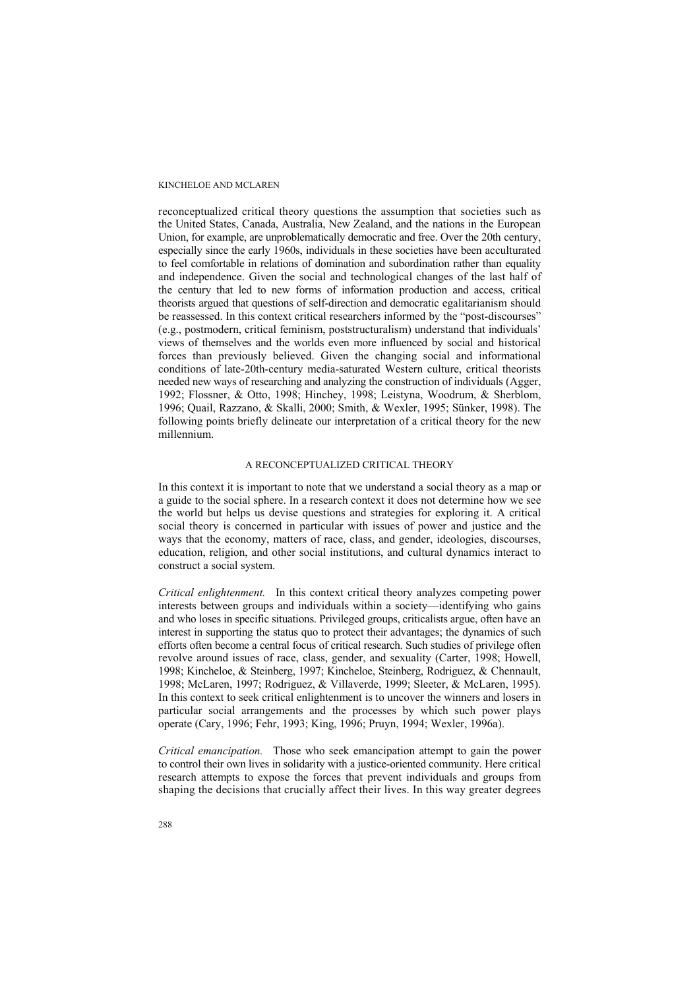reconceptualized critical theory questions the assumption that societies such as the United States, Canada, Australia, New Zealand, and the nations in the European Union, for example, are unproblematically democratic and free. Over the 20th century, especially since the early 1960s, individuals in these societies have been acculturated to feel comfortable in relations of domination and subordination rather than equality and independence. Given the social and technological changes of the last half of the century that led to new forms of information production and access, critical theorists argued that questions of self-direction and democratic egalitarianism should be reassessed. In this context critical researchers informed by the "post-discourses" (e.g., postmodern, critical feminism, poststructuralism) understand that individuals' views of themselves and the worlds even more influenced by social and historical forces than previously believed. Given the changing social and informational conditions of late-20th-century media-saturated Western culture, critical theorists needed new ways of researching and analyzing the construction of individuals (Agger, 1992; Flossner, & Otto, 1998; Hinchey, 1998; Leistyna, Woodrum, & Sherblom, 1996; Quail, Razzano, & Skalli, 2000; Smith, & Wexler, 1995; Sünker, 1998). The following points briefly delineate our interpretation of a critical theory for the new millennium.

### A RECONCEPTUALIZED CRITICAL THEORY

In this context it is important to note that we understand a social theory as a map or a guide to the social sphere. In a research context it does not determine how we see the world but helps us devise questions and strategies for exploring it. A critical social theory is concerned in particular with issues of power and justice and the ways that the economy, matters of race, class, and gender, ideologies, discourses, education, religion, and other social institutions, and cultural dynamics interact to construct a social system.

*Critical enlightenment.* In this context critical theory analyzes competing power interests between groups and individuals within a society—identifying who gains and who loses in specific situations. Privileged groups, criticalists argue, often have an interest in supporting the status quo to protect their advantages; the dynamics of such efforts often become a central focus of critical research. Such studies of privilege often revolve around issues of race, class, gender, and sexuality (Carter, 1998; Howell, 1998; Kincheloe, & Steinberg, 1997; Kincheloe, Steinberg, Rodriguez, & Chennault, 1998; McLaren, 1997; Rodriguez, & Villaverde, 1999; Sleeter, & McLaren, 1995). In this context to seek critical enlightenment is to uncover the winners and losers in particular social arrangements and the processes by which such power plays operate (Cary, 1996; Fehr, 1993; King, 1996; Pruyn, 1994; Wexler, 1996a).

*Critical emancipation.* Those who seek emancipation attempt to gain the power to control their own lives in solidarity with a justice-oriented community. Here critical research attempts to expose the forces that prevent individuals and groups from shaping the decisions that crucially affect their lives. In this way greater degrees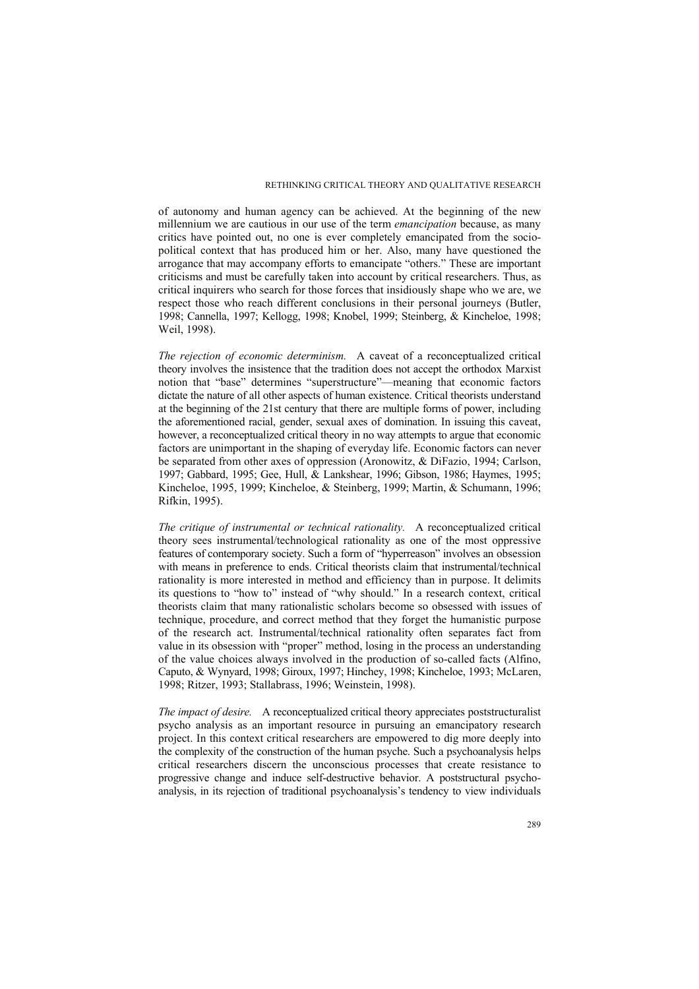of autonomy and human agency can be achieved. At the beginning of the new millennium we are cautious in our use of the term *emancipation* because, as many critics have pointed out, no one is ever completely emancipated from the sociopolitical context that has produced him or her. Also, many have questioned the arrogance that may accompany efforts to emancipate "others." These are important criticisms and must be carefully taken into account by critical researchers. Thus, as critical inquirers who search for those forces that insidiously shape who we are, we respect those who reach different conclusions in their personal journeys (Butler, 1998; Cannella, 1997; Kellogg, 1998; Knobel, 1999; Steinberg, & Kincheloe, 1998; Weil, 1998).

*The rejection of economic determinism.* A caveat of a reconceptualized critical theory involves the insistence that the tradition does not accept the orthodox Marxist notion that "base" determines "superstructure"—meaning that economic factors dictate the nature of all other aspects of human existence. Critical theorists understand at the beginning of the 21st century that there are multiple forms of power, including the aforementioned racial, gender, sexual axes of domination. In issuing this caveat, however, a reconceptualized critical theory in no way attempts to argue that economic factors are unimportant in the shaping of everyday life. Economic factors can never be separated from other axes of oppression (Aronowitz, & DiFazio, 1994; Carlson, 1997; Gabbard, 1995; Gee, Hull, & Lankshear, 1996; Gibson, 1986; Haymes, 1995; Kincheloe, 1995, 1999; Kincheloe, & Steinberg, 1999; Martin, & Schumann, 1996; Rifkin, 1995).

*The critique of instrumental or technical rationality.* A reconceptualized critical theory sees instrumental/technological rationality as one of the most oppressive features of contemporary society. Such a form of "hyperreason" involves an obsession with means in preference to ends. Critical theorists claim that instrumental/technical rationality is more interested in method and efficiency than in purpose. It delimits its questions to "how to" instead of "why should." In a research context, critical theorists claim that many rationalistic scholars become so obsessed with issues of technique, procedure, and correct method that they forget the humanistic purpose of the research act. Instrumental/technical rationality often separates fact from value in its obsession with "proper" method, losing in the process an understanding of the value choices always involved in the production of so-called facts (Alfino, Caputo, & Wynyard, 1998; Giroux, 1997; Hinchey, 1998; Kincheloe, 1993; McLaren, 1998; Ritzer, 1993; Stallabrass, 1996; Weinstein, 1998).

*The impact of desire.* A reconceptualized critical theory appreciates poststructuralist psycho analysis as an important resource in pursuing an emancipatory research project. In this context critical researchers are empowered to dig more deeply into the complexity of the construction of the human psyche. Such a psychoanalysis helps critical researchers discern the unconscious processes that create resistance to progressive change and induce self-destructive behavior. A poststructural psychoanalysis, in its rejection of traditional psychoanalysis's tendency to view individuals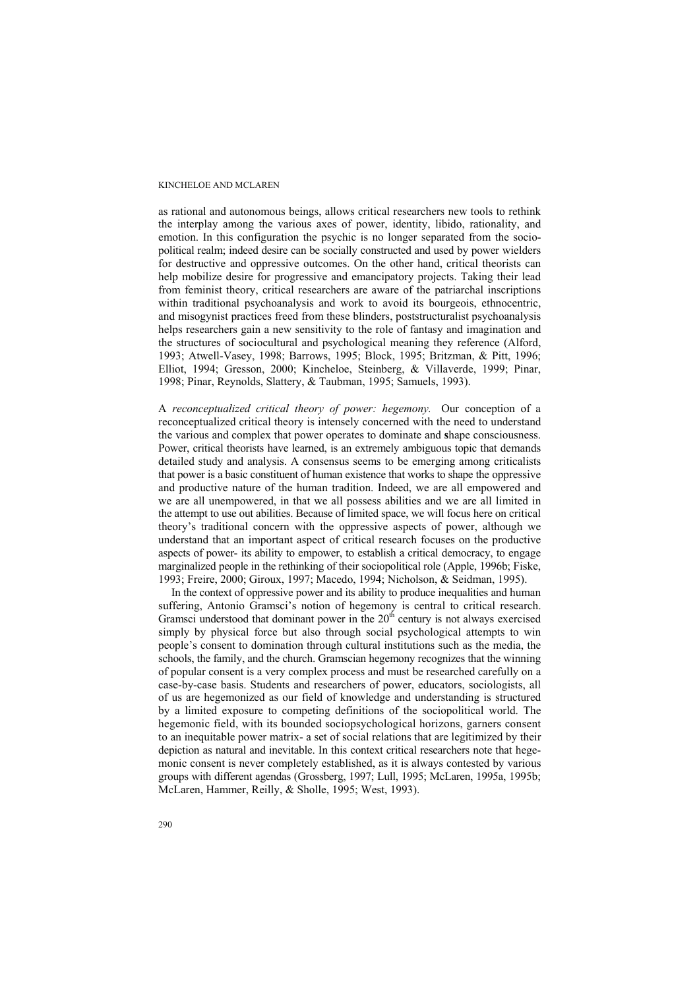as rational and autonomous beings, allows critical researchers new tools to rethink the interplay among the various axes of power, identity, libido, rationality, and emotion. In this configuration the psychic is no longer separated from the sociopolitical realm; indeed desire can be socially constructed and used by power wielders for destructive and oppressive outcomes. On the other hand, critical theorists can help mobilize desire for progressive and emancipatory projects. Taking their lead from feminist theory, critical researchers are aware of the patriarchal inscriptions within traditional psychoanalysis and work to avoid its bourgeois, ethnocentric, and misogynist practices freed from these blinders, poststructuralist psychoanalysis helps researchers gain a new sensitivity to the role of fantasy and imagination and the structures of sociocultural and psychological meaning they reference (Alford, 1993; Atwell-Vasey, 1998; Barrows, 1995; Block, 1995; Britzman, & Pitt, 1996; Elliot, 1994; Gresson, 2000; Kincheloe, Steinberg, & Villaverde, 1999; Pinar, 1998; Pinar, Reynolds, Slattery, & Taubman, 1995; Samuels, 1993).

A *reconceptualized critical theory of power: hegemony.* Our conception of a reconceptualized critical theory is intensely concerned with the need to understand the various and complex that power operates to dominate and **s**hape consciousness. Power, critical theorists have learned, is an extremely ambiguous topic that demands detailed study and analysis. A consensus seems to be emerging among criticalists that power is a basic constituent of human existence that works to shape the oppressive and productive nature of the human tradition. Indeed, we are all empowered and we are all unempowered, in that we all possess abilities and we are all limited in the attempt to use out abilities. Because of limited space, we will focus here on critical theory's traditional concern with the oppressive aspects of power, although we understand that an important aspect of critical research focuses on the productive aspects of power- its ability to empower, to establish a critical democracy, to engage marginalized people in the rethinking of their sociopolitical role (Apple, 1996b; Fiske, 1993; Freire, 2000; Giroux, 1997; Macedo, 1994; Nicholson, & Seidman, 1995).

In the context of oppressive power and its ability to produce inequalities and human suffering, Antonio Gramsci's notion of hegemony is central to critical research. Gramsci understood that dominant power in the  $20<sup>th</sup>$  century is not always exercised simply by physical force but also through social psychological attempts to win people's consent to domination through cultural institutions such as the media, the schools, the family, and the church. Gramscian hegemony recognizes that the winning of popular consent is a very complex process and must be researched carefully on a case-by-case basis. Students and researchers of power, educators, sociologists, all of us are hegemonized as our field of knowledge and understanding is structured by a limited exposure to competing definitions of the sociopolitical world. The hegemonic field, with its bounded sociopsychological horizons, garners consent to an inequitable power matrix- a set of social relations that are legitimized by their depiction as natural and inevitable. In this context critical researchers note that hegemonic consent is never completely established, as it is always contested by various groups with different agendas (Grossberg, 1997; Lull, 1995; McLaren, 1995a, 1995b; McLaren, Hammer, Reilly, & Sholle, 1995; West, 1993).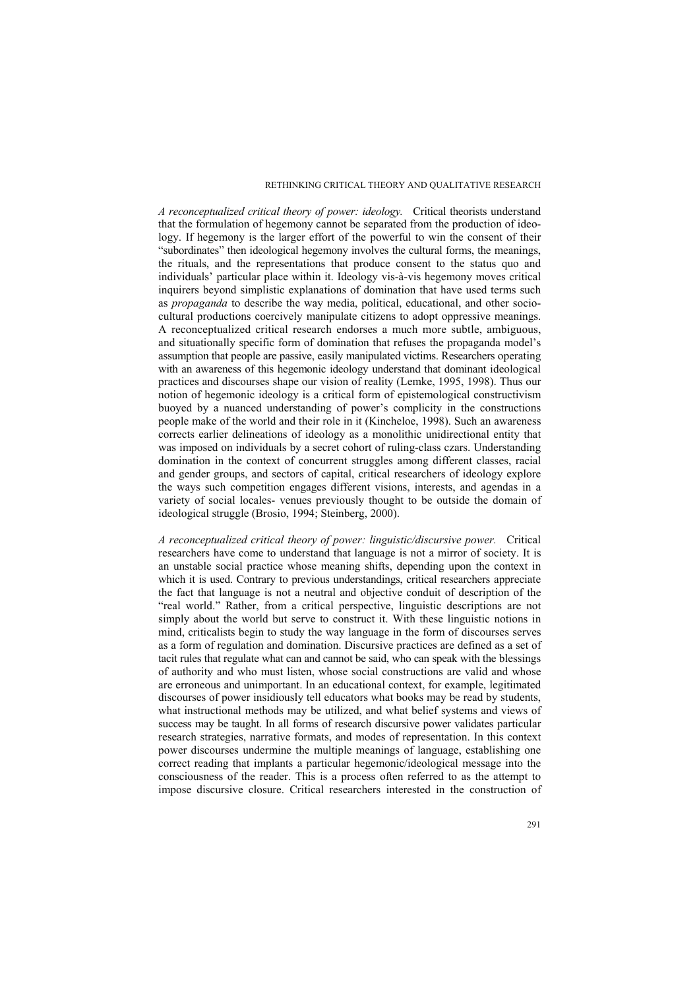*A reconceptualized critical theory of power: ideology.* Critical theorists understand that the formulation of hegemony cannot be separated from the production of ideology. If hegemony is the larger effort of the powerful to win the consent of their "subordinates" then ideological hegemony involves the cultural forms, the meanings, the rituals, and the representations that produce consent to the status quo and individuals' particular place within it. Ideology vis-à-vis hegemony moves critical inquirers beyond simplistic explanations of domination that have used terms such as *propaganda* to describe the way media, political, educational, and other sociocultural productions coercively manipulate citizens to adopt oppressive meanings. A reconceptualized critical research endorses a much more subtle, ambiguous, and situationally specific form of domination that refuses the propaganda model's assumption that people are passive, easily manipulated victims. Researchers operating with an awareness of this hegemonic ideology understand that dominant ideological practices and discourses shape our vision of reality (Lemke, 1995, 1998). Thus our notion of hegemonic ideology is a critical form of epistemological constructivism buoyed by a nuanced understanding of power's complicity in the constructions people make of the world and their role in it (Kincheloe, 1998). Such an awareness corrects earlier delineations of ideology as a monolithic unidirectional entity that was imposed on individuals by a secret cohort of ruling-class czars. Understanding domination in the context of concurrent struggles among different classes, racial and gender groups, and sectors of capital, critical researchers of ideology explore the ways such competition engages different visions, interests, and agendas in a variety of social locales- venues previously thought to be outside the domain of ideological struggle (Brosio, 1994; Steinberg, 2000).

*A reconceptualized critical theory of power: linguistic/discursive power.* Critical researchers have come to understand that language is not a mirror of society. It is an unstable social practice whose meaning shifts, depending upon the context in which it is used. Contrary to previous understandings, critical researchers appreciate the fact that language is not a neutral and objective conduit of description of the "real world." Rather, from a critical perspective, linguistic descriptions are not simply about the world but serve to construct it. With these linguistic notions in mind, criticalists begin to study the way language in the form of discourses serves as a form of regulation and domination. Discursive practices are defined as a set of tacit rules that regulate what can and cannot be said, who can speak with the blessings of authority and who must listen, whose social constructions are valid and whose are erroneous and unimportant. In an educational context, for example, legitimated discourses of power insidiously tell educators what books may be read by students, what instructional methods may be utilized, and what belief systems and views of success may be taught. In all forms of research discursive power validates particular research strategies, narrative formats, and modes of representation. In this context power discourses undermine the multiple meanings of language, establishing one correct reading that implants a particular hegemonic/ideological message into the consciousness of the reader. This is a process often referred to as the attempt to impose discursive closure. Critical researchers interested in the construction of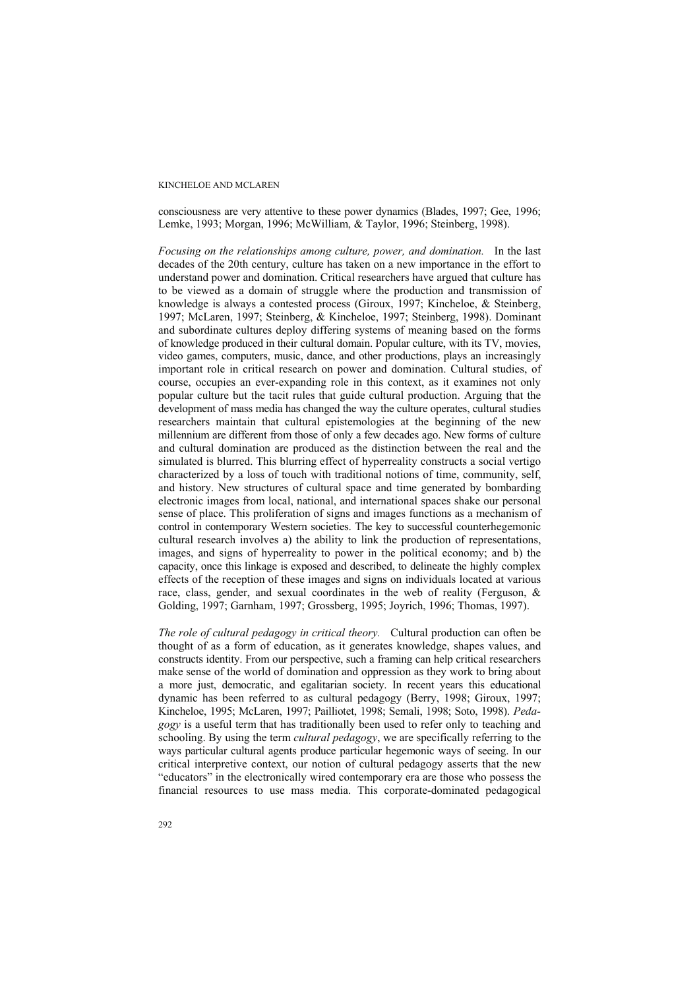consciousness are very attentive to these power dynamics (Blades, 1997; Gee, 1996; Lemke, 1993; Morgan, 1996; McWilliam, & Taylor, 1996; Steinberg, 1998).

*Focusing on the relationships among culture, power, and domination.* In the last decades of the 20th century, culture has taken on a new importance in the effort to understand power and domination. Critical researchers have argued that culture has to be viewed as a domain of struggle where the production and transmission of knowledge is always a contested process (Giroux, 1997; Kincheloe, & Steinberg, 1997; McLaren, 1997; Steinberg, & Kincheloe, 1997; Steinberg, 1998). Dominant and subordinate cultures deploy differing systems of meaning based on the forms of knowledge produced in their cultural domain. Popular culture, with its TV, movies, video games, computers, music, dance, and other productions, plays an increasingly important role in critical research on power and domination. Cultural studies, of course, occupies an ever-expanding role in this context, as it examines not only popular culture but the tacit rules that guide cultural production. Arguing that the development of mass media has changed the way the culture operates, cultural studies researchers maintain that cultural epistemologies at the beginning of the new millennium are different from those of only a few decades ago. New forms of culture and cultural domination are produced as the distinction between the real and the simulated is blurred. This blurring effect of hyperreality constructs a social vertigo characterized by a loss of touch with traditional notions of time, community, self, and history. New structures of cultural space and time generated by bombarding electronic images from local, national, and international spaces shake our personal sense of place. This proliferation of signs and images functions as a mechanism of control in contemporary Western societies. The key to successful counterhegemonic cultural research involves a) the ability to link the production of representations, images, and signs of hyperreality to power in the political economy; and b) the capacity, once this linkage is exposed and described, to delineate the highly complex effects of the reception of these images and signs on individuals located at various race, class, gender, and sexual coordinates in the web of reality (Ferguson, & Golding, 1997; Garnham, 1997; Grossberg, 1995; Joyrich, 1996; Thomas, 1997).

*The role of cultural pedagogy in critical theory.* Cultural production can often be thought of as a form of education, as it generates knowledge, shapes values, and constructs identity. From our perspective, such a framing can help critical researchers make sense of the world of domination and oppression as they work to bring about a more just, democratic, and egalitarian society. In recent years this educational dynamic has been referred to as cultural pedagogy (Berry, 1998; Giroux, 1997; Kincheloe, 1995; McLaren, 1997; Pailliotet, 1998; Semali, 1998; Soto, 1998). *Pedagogy* is a useful term that has traditionally been used to refer only to teaching and schooling. By using the term *cultural pedagogy*, we are specifically referring to the ways particular cultural agents produce particular hegemonic ways of seeing. In our critical interpretive context, our notion of cultural pedagogy asserts that the new "educators" in the electronically wired contemporary era are those who possess the financial resources to use mass media. This corporate-dominated pedagogical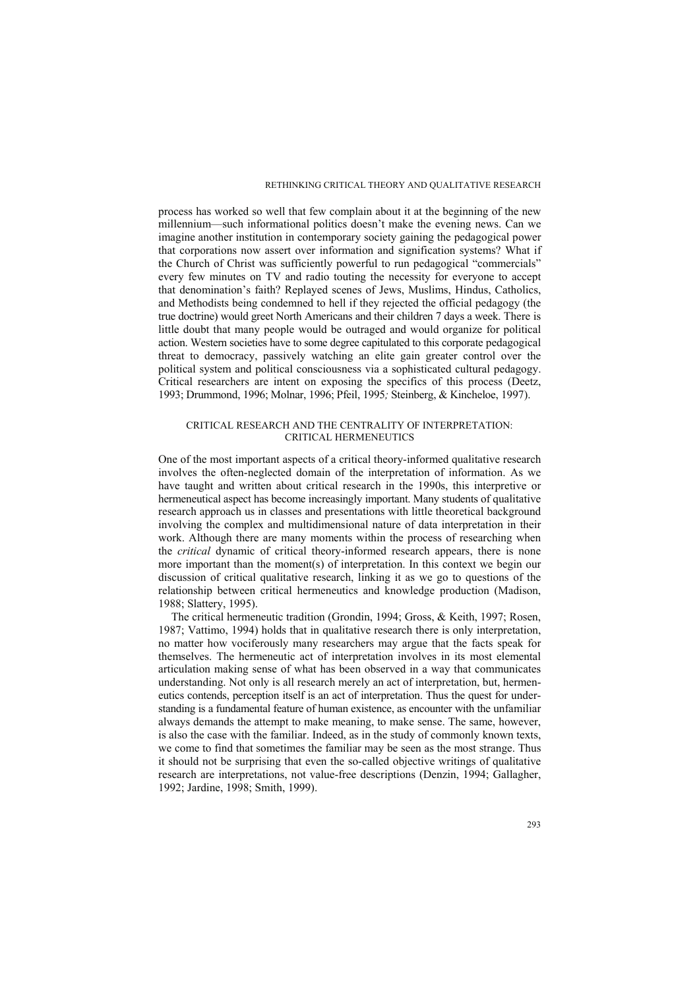process has worked so well that few complain about it at the beginning of the new millennium—such informational politics doesn't make the evening news. Can we imagine another institution in contemporary society gaining the pedagogical power that corporations now assert over information and signification systems? What if the Church of Christ was sufficiently powerful to run pedagogical "commercials" every few minutes on TV and radio touting the necessity for everyone to accept that denomination's faith? Replayed scenes of Jews, Muslims, Hindus, Catholics, and Methodists being condemned to hell if they rejected the official pedagogy (the true doctrine) would greet North Americans and their children 7 days a week. There is little doubt that many people would be outraged and would organize for political action. Western societies have to some degree capitulated to this corporate pedagogical threat to democracy, passively watching an elite gain greater control over the political system and political consciousness via a sophisticated cultural pedagogy. Critical researchers are intent on exposing the specifics of this process (Deetz, 1993; Drummond, 1996; Molnar, 1996; Pfeil, 1995*;* Steinberg, & Kincheloe, 1997).

# CRITICAL RESEARCH AND THE CENTRALITY OF INTERPRETATION: CRITICAL HERMENEUTICS

One of the most important aspects of a critical theory-informed qualitative research involves the often-neglected domain of the interpretation of information. As we have taught and written about critical research in the 1990s, this interpretive or hermeneutical aspect has become increasingly important. Many students of qualitative research approach us in classes and presentations with little theoretical background involving the complex and multidimensional nature of data interpretation in their work. Although there are many moments within the process of researching when the *critical* dynamic of critical theory-informed research appears, there is none more important than the moment(s) of interpretation. In this context we begin our discussion of critical qualitative research, linking it as we go to questions of the relationship between critical hermeneutics and knowledge production (Madison, 1988; Slattery, 1995).

The critical hermeneutic tradition (Grondin, 1994; Gross, & Keith, 1997; Rosen, 1987; Vattimo, 1994) holds that in qualitative research there is only interpretation, no matter how vociferously many researchers may argue that the facts speak for themselves. The hermeneutic act of interpretation involves in its most elemental articulation making sense of what has been observed in a way that communicates understanding. Not only is all research merely an act of interpretation, but, hermeneutics contends, perception itself is an act of interpretation. Thus the quest for understanding is a fundamental feature of human existence, as encounter with the unfamiliar always demands the attempt to make meaning, to make sense. The same, however, is also the case with the familiar. Indeed, as in the study of commonly known texts, we come to find that sometimes the familiar may be seen as the most strange. Thus it should not be surprising that even the so-called objective writings of qualitative research are interpretations, not value-free descriptions (Denzin, 1994; Gallagher, 1992; Jardine, 1998; Smith, 1999).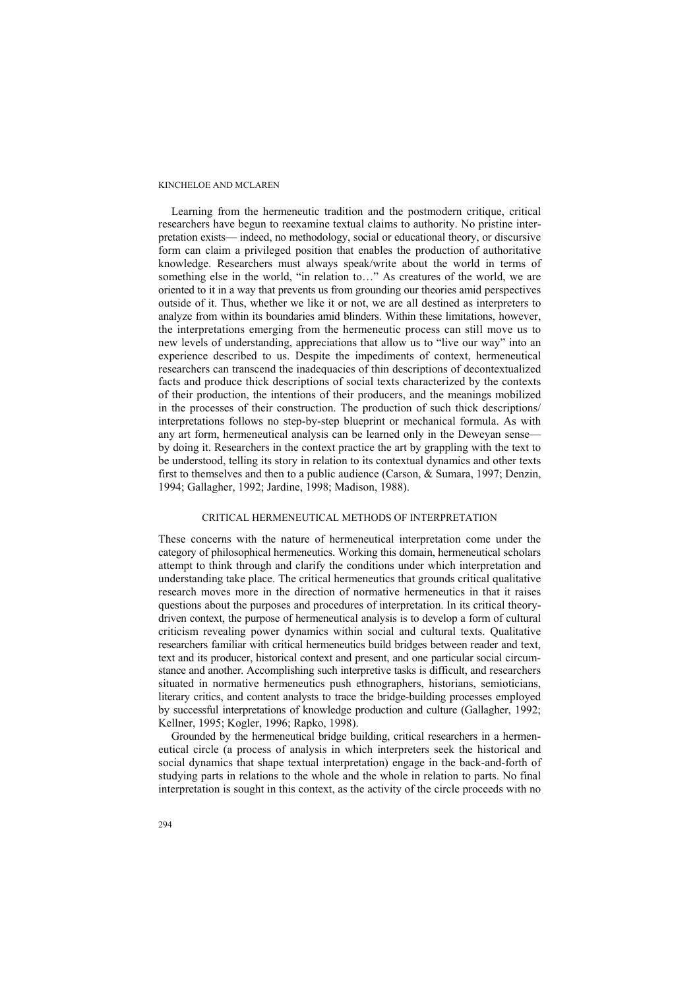Learning from the hermeneutic tradition and the postmodern critique, critical researchers have begun to reexamine textual claims to authority. No pristine interpretation exists— indeed, no methodology, social or educational theory, or discursive form can claim a privileged position that enables the production of authoritative knowledge. Researchers must always speak/write about the world in terms of something else in the world, "in relation to..." As creatures of the world, we are oriented to it in a way that prevents us from grounding our theories amid perspectives outside of it. Thus, whether we like it or not, we are all destined as interpreters to analyze from within its boundaries amid blinders. Within these limitations, however, the interpretations emerging from the hermeneutic process can still move us to new levels of understanding, appreciations that allow us to "live our way" into an experience described to us. Despite the impediments of context, hermeneutical researchers can transcend the inadequacies of thin descriptions of decontextualized facts and produce thick descriptions of social texts characterized by the contexts of their production, the intentions of their producers, and the meanings mobilized in the processes of their construction. The production of such thick descriptions/ interpretations follows no step-by-step blueprint or mechanical formula. As with any art form, hermeneutical analysis can be learned only in the Deweyan sense by doing it. Researchers in the context practice the art by grappling with the text to be understood, telling its story in relation to its contextual dynamics and other texts first to themselves and then to a public audience (Carson, & Sumara, 1997; Denzin, 1994; Gallagher, 1992; Jardine, 1998; Madison, 1988).

### CRITICAL HERMENEUTICAL METHODS OF INTERPRETATION

These concerns with the nature of hermeneutical interpretation come under the category of philosophical hermeneutics. Working this domain, hermeneutical scholars attempt to think through and clarify the conditions under which interpretation and understanding take place. The critical hermeneutics that grounds critical qualitative research moves more in the direction of normative hermeneutics in that it raises questions about the purposes and procedures of interpretation. In its critical theorydriven context, the purpose of hermeneutical analysis is to develop a form of cultural criticism revealing power dynamics within social and cultural texts. Qualitative researchers familiar with critical hermeneutics build bridges between reader and text, text and its producer, historical context and present, and one particular social circumstance and another. Accomplishing such interpretive tasks is difficult, and researchers situated in normative hermeneutics push ethnographers, historians, semioticians, literary critics, and content analysts to trace the bridge-building processes employed by successful interpretations of knowledge production and culture (Gallagher, 1992; Kellner, 1995; Kogler, 1996; Rapko, 1998).

Grounded by the hermeneutical bridge building, critical researchers in a hermeneutical circle (a process of analysis in which interpreters seek the historical and social dynamics that shape textual interpretation) engage in the back-and-forth of studying parts in relations to the whole and the whole in relation to parts. No final interpretation is sought in this context, as the activity of the circle proceeds with no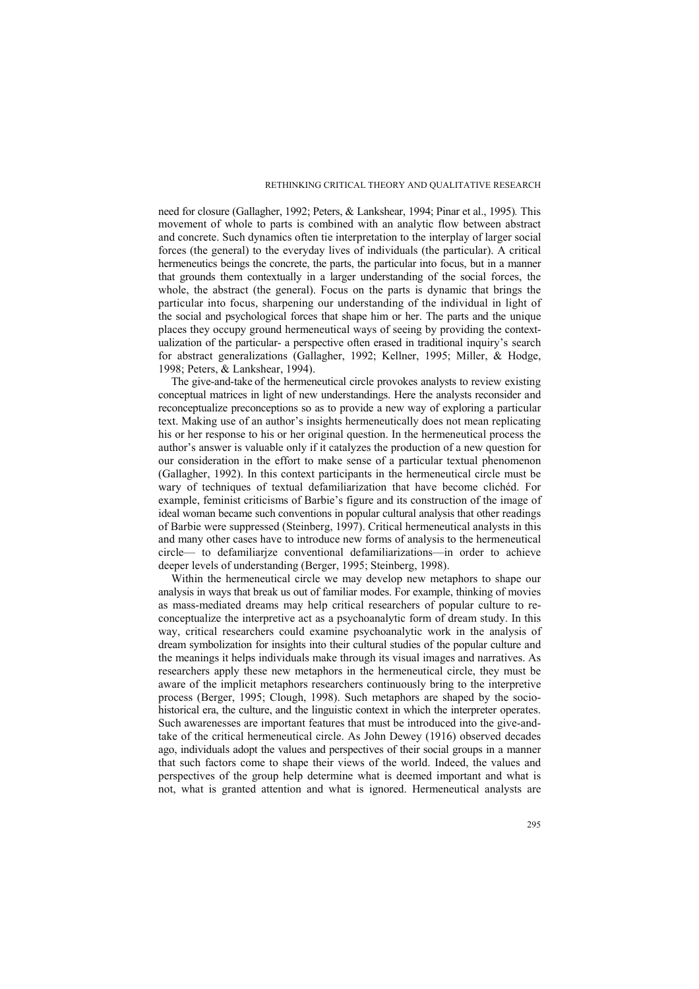need for closure (Gallagher, 1992; Peters, & Lankshear, 1994; Pinar et al., 1995)*.* This movement of whole to parts is combined with an analytic flow between abstract and concrete. Such dynamics often tie interpretation to the interplay of larger social forces (the general) to the everyday lives of individuals (the particular). A critical hermeneutics beings the concrete, the parts, the particular into focus, but in a manner that grounds them contextually in a larger understanding of the social forces, the whole, the abstract (the general). Focus on the parts is dynamic that brings the particular into focus, sharpening our understanding of the individual in light of the social and psychological forces that shape him or her. The parts and the unique places they occupy ground hermeneutical ways of seeing by providing the contextualization of the particular- a perspective often erased in traditional inquiry's search for abstract generalizations (Gallagher, 1992; Kellner, 1995; Miller, & Hodge, 1998; Peters, & Lankshear, 1994).

The give-and-take of the hermeneutical circle provokes analysts to review existing conceptual matrices in light of new understandings. Here the analysts reconsider and reconceptualize preconceptions so as to provide a new way of exploring a particular text. Making use of an author's insights hermeneutically does not mean replicating his or her response to his or her original question. In the hermeneutical process the author's answer is valuable only if it catalyzes the production of a new question for our consideration in the effort to make sense of a particular textual phenomenon (Gallagher, 1992). In this context participants in the hermeneutical circle must be wary of techniques of textual defamiliarization that have become clichéd. For example, feminist criticisms of Barbie's figure and its construction of the image of ideal woman became such conventions in popular cultural analysis that other readings of Barbie were suppressed (Steinberg, 1997). Critical hermeneutical analysts in this and many other cases have to introduce new forms of analysis to the hermeneutical circle— to defamiliarjze conventional defamiliarizations—in order to achieve deeper levels of understanding (Berger, 1995; Steinberg, 1998).

Within the hermeneutical circle we may develop new metaphors to shape our analysis in ways that break us out of familiar modes. For example, thinking of movies as mass-mediated dreams may help critical researchers of popular culture to reconceptualize the interpretive act as a psychoanalytic form of dream study. In this way, critical researchers could examine psychoanalytic work in the analysis of dream symbolization for insights into their cultural studies of the popular culture and the meanings it helps individuals make through its visual images and narratives. As researchers apply these new metaphors in the hermeneutical circle, they must be aware of the implicit metaphors researchers continuously bring to the interpretive process (Berger, 1995; Clough, 1998). Such metaphors are shaped by the sociohistorical era, the culture, and the linguistic context in which the interpreter operates. Such awarenesses are important features that must be introduced into the give-andtake of the critical hermeneutical circle. As John Dewey (1916) observed decades ago, individuals adopt the values and perspectives of their social groups in a manner that such factors come to shape their views of the world. Indeed, the values and perspectives of the group help determine what is deemed important and what is not, what is granted attention and what is ignored. Hermeneutical analysts are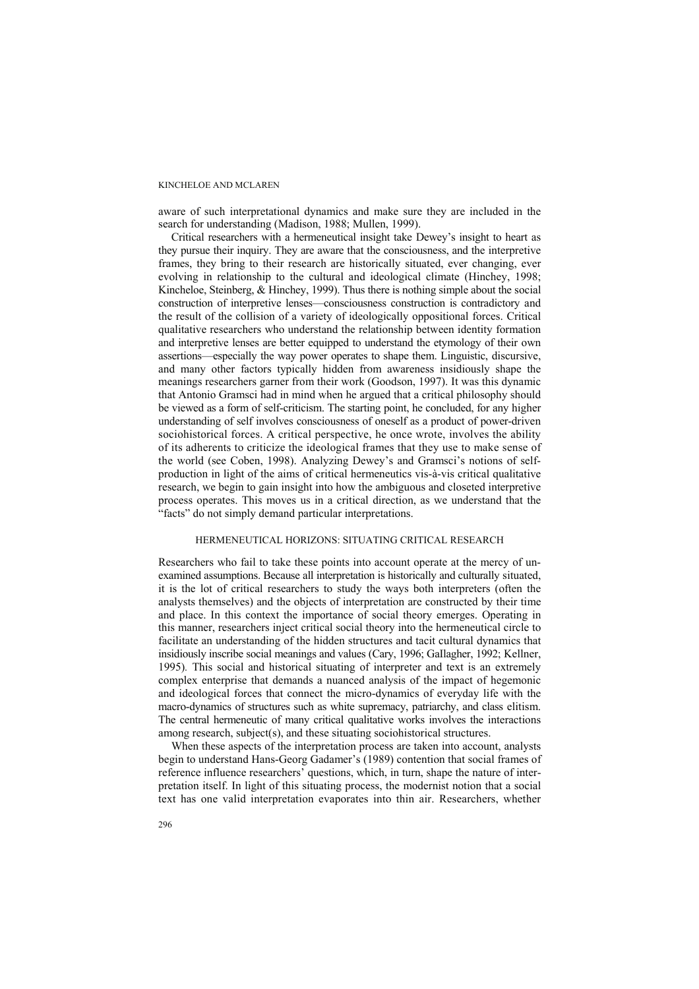aware of such interpretational dynamics and make sure they are included in the search for understanding (Madison, 1988; Mullen, 1999).

Critical researchers with a hermeneutical insight take Dewey's insight to heart as they pursue their inquiry. They are aware that the consciousness, and the interpretive frames, they bring to their research are historically situated, ever changing, ever evolving in relationship to the cultural and ideological climate (Hinchey, 1998; Kincheloe, Steinberg, & Hinchey, 1999). Thus there is nothing simple about the social construction of interpretive lenses—consciousness construction is contradictory and the result of the collision of a variety of ideologically oppositional forces. Critical qualitative researchers who understand the relationship between identity formation and interpretive lenses are better equipped to understand the etymology of their own assertions—especially the way power operates to shape them. Linguistic, discursive, and many other factors typically hidden from awareness insidiously shape the meanings researchers garner from their work (Goodson, 1997). It was this dynamic that Antonio Gramsci had in mind when he argued that a critical philosophy should be viewed as a form of self-criticism. The starting point, he concluded, for any higher understanding of self involves consciousness of oneself as a product of power-driven sociohistorical forces. A critical perspective, he once wrote, involves the ability of its adherents to criticize the ideological frames that they use to make sense of the world (see Coben, 1998). Analyzing Dewey's and Gramsci's notions of selfproduction in light of the aims of critical hermeneutics vis-à-vis critical qualitative research, we begin to gain insight into how the ambiguous and closeted interpretive process operates. This moves us in a critical direction, as we understand that the "facts" do not simply demand particular interpretations.

# HERMENEUTICAL HORIZONS: SITUATING CRITICAL RESEARCH

Researchers who fail to take these points into account operate at the mercy of unexamined assumptions. Because all interpretation is historically and culturally situated, it is the lot of critical researchers to study the ways both interpreters (often the analysts themselves) and the objects of interpretation are constructed by their time and place. In this context the importance of social theory emerges. Operating in this manner, researchers inject critical social theory into the hermeneutical circle to facilitate an understanding of the hidden structures and tacit cultural dynamics that insidiously inscribe social meanings and values (Cary, 1996; GaIlagher, 1992; Kellner, 1995)*.* This social and historical situating of interpreter and text is an extremely complex enterprise that demands a nuanced analysis of the impact of hegemonic and ideological forces that connect the micro-dynamics of everyday life with the macro-dynamics of structures such as white supremacy, patriarchy, and class elitism. The central hermeneutic of many critical qualitative works involves the interactions among research, subject(s), and these situating sociohistorical structures.

When these aspects of the interpretation process are taken into account, analysts begin to understand Hans-Georg Gadamer's (1989) contention that social frames of reference influence researchers' questions, which, in turn, shape the nature of interpretation itself. In light of this situating process, the modernist notion that a social text has one valid interpretation evaporates into thin air. Researchers, whether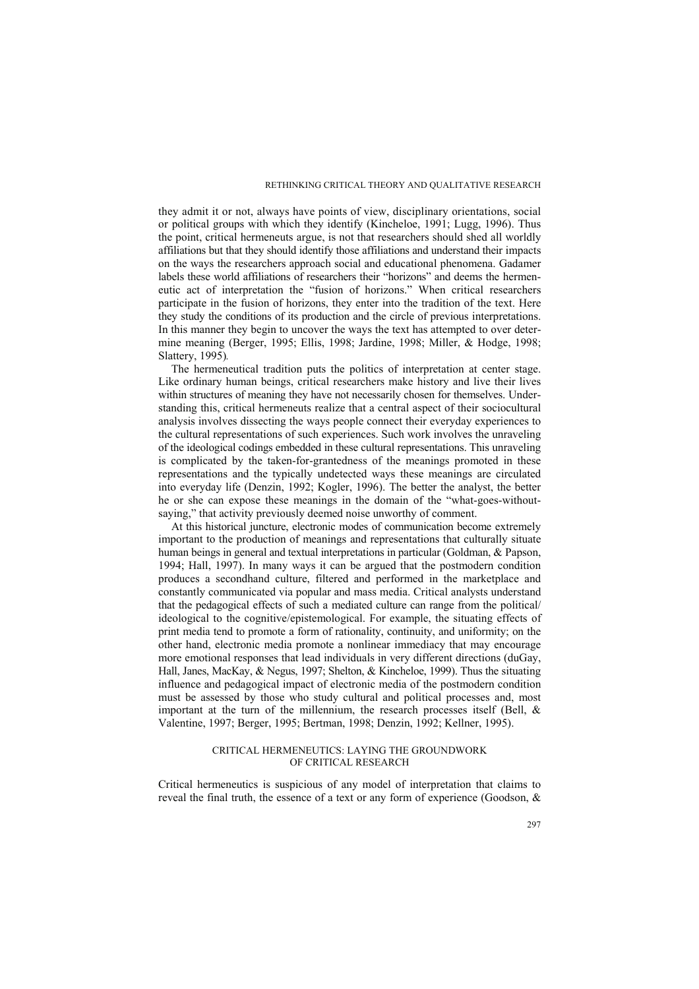they admit it or not, always have points of view, disciplinary orientations, social or political groups with which they identify (Kincheloe, 1991; Lugg, 1996). Thus the point, critical hermeneuts argue, is not that researchers should shed all worldly affiliations but that they should identify those affiliations and understand their impacts on the ways the researchers approach social and educational phenomena. Gadamer labels these world affiliations of researchers their "horizons" and deems the hermeneutic act of interpretation the "fusion of horizons." When critical researchers participate in the fusion of horizons, they enter into the tradition of the text. Here they study the conditions of its production and the circle of previous interpretations. In this manner they begin to uncover the ways the text has attempted to over determine meaning (Berger, 1995; Ellis, 1998; Jardine, 1998; Miller, & Hodge, 1998; Slattery, 1995)*.* 

The hermeneutical tradition puts the politics of interpretation at center stage. Like ordinary human beings, critical researchers make history and live their lives within structures of meaning they have not necessarily chosen for themselves. Understanding this, critical hermeneuts realize that a central aspect of their sociocultural analysis involves dissecting the ways people connect their everyday experiences to the cultural representations of such experiences. Such work involves the unraveling of the ideological codings embedded in these cultural representations. This unraveling is complicated by the taken-for-grantedness of the meanings promoted in these representations and the typically undetected ways these meanings are circulated into everyday life (Denzin, 1992; Kogler, 1996). The better the analyst, the better he or she can expose these meanings in the domain of the "what-goes-withoutsaying," that activity previously deemed noise unworthy of comment.

At this historical juncture, electronic modes of communication become extremely important to the production of meanings and representations that culturally situate human beings in general and textual interpretations in particular (Goldman, & Papson, 1994; Hall, 1997). In many ways it can be argued that the postmodern condition produces a secondhand culture, filtered and performed in the marketplace and constantly communicated via popular and mass media. Critical analysts understand that the pedagogical effects of such a mediated culture can range from the political/ ideological to the cognitive/epistemological. For example, the situating effects of print media tend to promote a form of rationality, continuity, and uniformity; on the other hand, electronic media promote a nonlinear immediacy that may encourage more emotional responses that lead individuals in very different directions (duGay, Hall, Janes, MacKay, & Negus, 1997; Shelton, & Kincheloe, 1999). Thus the situating influence and pedagogical impact of electronic media of the postmodern condition must be assessed by those who study cultural and political processes and, most important at the turn of the millennium, the research processes itself (Bell, & Valentine, 1997; Berger, 1995; Bertman, 1998; Denzin, 1992; Kellner, 1995).

# CRITICAL HERMENEUTICS: LAYING THE GROUNDWORK OF CRITICAL RESEARCH

Critical hermeneutics is suspicious of any model of interpretation that claims to reveal the final truth, the essence of a text or any form of experience (Goodson, &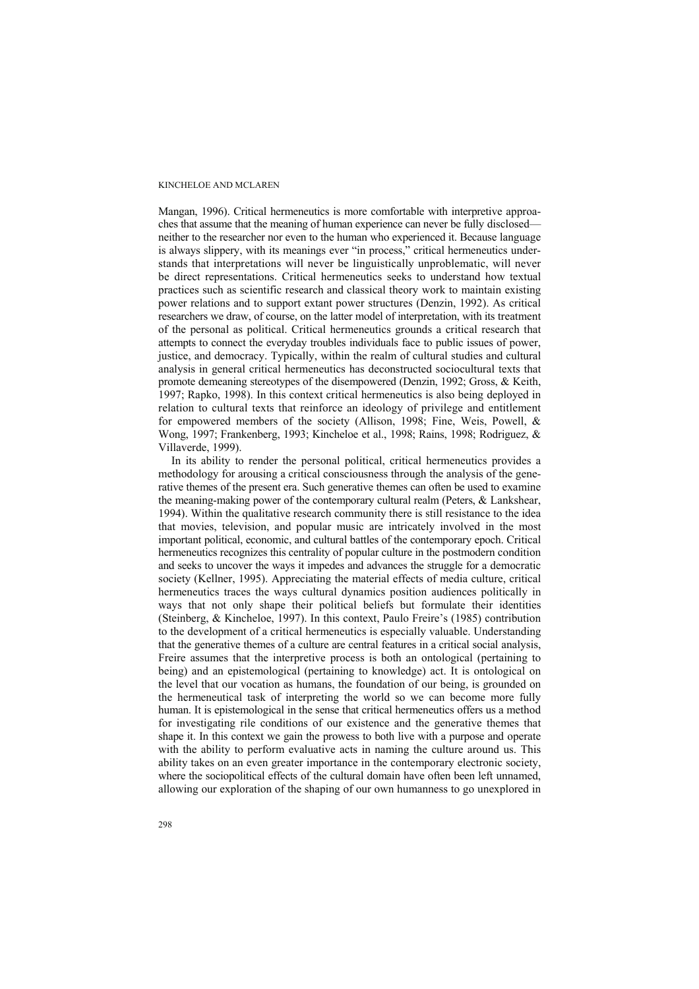Mangan, 1996). Critical hermeneutics is more comfortable with interpretive approaches that assume that the meaning of human experience can never be fully disclosed neither to the researcher nor even to the human who experienced it. Because language is always slippery, with its meanings ever "in process," critical hermeneutics understands that interpretations will never be linguistically unproblematic, will never be direct representations. Critical hermeneutics seeks to understand how textual practices such as scientific research and classical theory work to maintain existing power relations and to support extant power structures (Denzin, 1992). As critical researchers we draw, of course, on the latter model of interpretation, with its treatment of the personal as political. Critical hermeneutics grounds a critical research that attempts to connect the everyday troubles individuals face to public issues of power, justice, and democracy. Typically, within the realm of cultural studies and cultural analysis in general critical hermeneutics has deconstructed sociocultural texts that promote demeaning stereotypes of the disempowered (Denzin, 1992; Gross, & Keith, 1997; Rapko, 1998). In this context critical hermeneutics is also being deployed in relation to cultural texts that reinforce an ideology of privilege and entitlement for empowered members of the society (Allison, 1998; Fine, Weis, Powell, & Wong, 1997; Frankenberg, 1993; Kincheloe et al., 1998; Rains, 1998; Rodriguez, & Villaverde, 1999).

In its ability to render the personal political, critical hermeneutics provides a methodology for arousing a critical consciousness through the analysis of the generative themes of the present era. Such generative themes can often be used to examine the meaning-making power of the contemporary cultural realm (Peters, & Lankshear, 1994). Within the qualitative research community there is still resistance to the idea that movies, television, and popular music are intricately involved in the most important political, economic, and cultural battles of the contemporary epoch. Critical hermeneutics recognizes this centrality of popular culture in the postmodern condition and seeks to uncover the ways it impedes and advances the struggle for a democratic society (Kellner, 1995). Appreciating the material effects of media culture, critical hermeneutics traces the ways cultural dynamics position audiences politically in ways that not only shape their political beliefs but formulate their identities (Steinberg, & Kincheloe, 1997). In this context, Paulo Freire's (1985) contribution to the development of a critical hermeneutics is especially valuable. Understanding that the generative themes of a culture are central features in a critical social analysis, Freire assumes that the interpretive process is both an ontological (pertaining to being) and an epistemological (pertaining to knowledge) act. It is ontological on the level that our vocation as humans, the foundation of our being, is grounded on the hermeneutical task of interpreting the world so we can become more fully human. It is epistemological in the sense that critical hermeneutics offers us a method for investigating rile conditions of our existence and the generative themes that shape it. In this context we gain the prowess to both live with a purpose and operate with the ability to perform evaluative acts in naming the culture around us. This ability takes on an even greater importance in the contemporary electronic society, where the sociopolitical effects of the cultural domain have often been left unnamed, allowing our exploration of the shaping of our own humanness to go unexplored in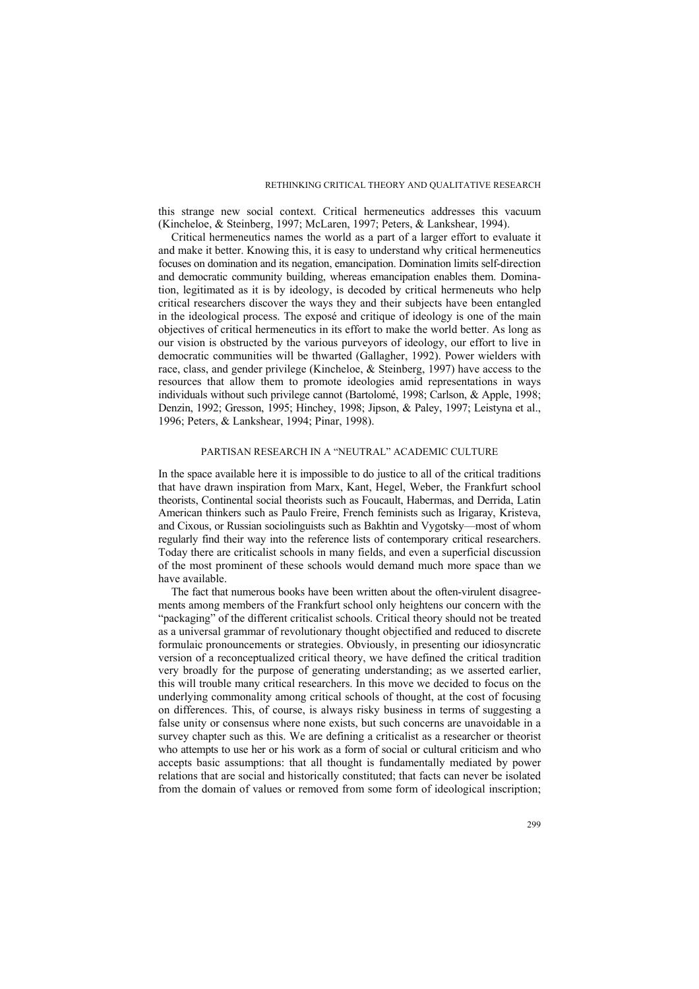this strange new social context. Critical hermeneutics addresses this vacuum (Kincheloe, & Steinberg, 1997; McLaren, 1997; Peters, & Lankshear, 1994).

Critical hermeneutics names the world as a part of a larger effort to evaluate it and make it better. Knowing this, it is easy to understand why critical hermeneutics focuses on domination and its negation, emancipation. Domination limits self-direction and democratic community building, whereas emancipation enables them. Domination, legitimated as it is by ideology, is decoded by critical hermeneuts who help critical researchers discover the ways they and their subjects have been entangled in the ideological process. The exposé and critique of ideology is one of the main objectives of critical hermeneutics in its effort to make the world better. As long as our vision is obstructed by the various purveyors of ideology, our effort to live in democratic communities will be thwarted (Gallagher, 1992). Power wielders with race, class, and gender privilege (Kincheloe, & Steinberg, 1997) have access to the resources that allow them to promote ideologies amid representations in ways individuals without such privilege cannot (Bartolomé, 1998; Carlson, & Apple, 1998; Denzin, 1992; Gresson, 1995; Hinchey, 1998; Jipson, & Paley, 1997; Leistyna et al., 1996; Peters, & Lankshear, 1994; Pinar, 1998).

### PARTISAN RESEARCH IN A "NEUTRAL" ACADEMIC CULTURE

In the space available here it is impossible to do justice to all of the critical traditions that have drawn inspiration from Marx, Kant, Hegel, Weber, the Frankfurt school theorists, Continental social theorists such as Foucault, Habermas, and Derrida, Latin American thinkers such as Paulo Freire, French feminists such as Irigaray, Kristeva, and Cixous, or Russian sociolinguists such as Bakhtin and Vygotsky—most of whom regularly find their way into the reference lists of contemporary critical researchers. Today there are criticalist schools in many fields, and even a superficial discussion of the most prominent of these schools would demand much more space than we have available.

The fact that numerous books have been written about the often-virulent disagreements among members of the Frankfurt school only heightens our concern with the "packaging" of the different criticalist schools. Critical theory should not be treated as a universal grammar of revolutionary thought objectified and reduced to discrete formulaic pronouncements or strategies. Obviously, in presenting our idiosyncratic version of a reconceptualized critical theory, we have defined the critical tradition very broadly for the purpose of generating understanding; as we asserted earlier, this will trouble many critical researchers. In this move we decided to focus on the underlying commonality among critical schools of thought, at the cost of focusing on differences. This, of course, is always risky business in terms of suggesting a false unity or consensus where none exists, but such concerns are unavoidable in a survey chapter such as this. We are defining a criticalist as a researcher or theorist who attempts to use her or his work as a form of social or cultural criticism and who accepts basic assumptions: that all thought is fundamentally mediated by power relations that are social and historically constituted; that facts can never be isolated from the domain of values or removed from some form of ideological inscription;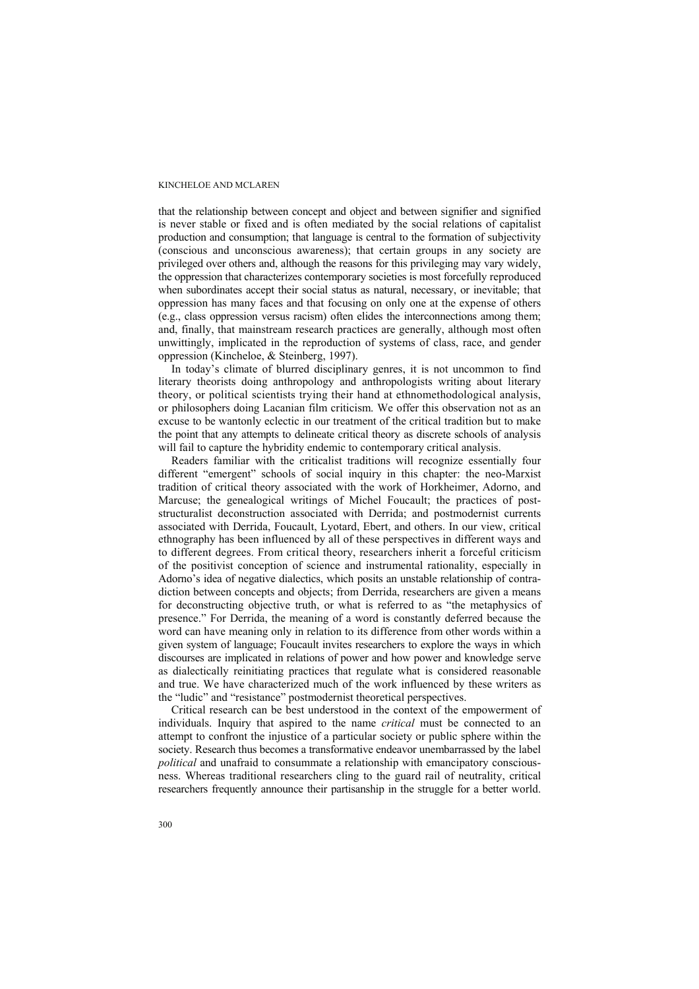that the relationship between concept and object and between signifier and signified is never stable or fixed and is often mediated by the social relations of capitalist production and consumption; that language is central to the formation of subjectivity (conscious and unconscious awareness); that certain groups in any society are privileged over others and, although the reasons for this privileging may vary widely, the oppression that characterizes contemporary societies is most forcefully reproduced when subordinates accept their social status as natural, necessary, or inevitable; that oppression has many faces and that focusing on only one at the expense of others (e.g., class oppression versus racism) often elides the interconnections among them; and, finally, that mainstream research practices are generally, although most often unwittingly, implicated in the reproduction of systems of class, race, and gender oppression (Kincheloe, & Steinberg, 1997).

In today's climate of blurred disciplinary genres, it is not uncommon to find literary theorists doing anthropology and anthropologists writing about literary theory, or political scientists trying their hand at ethnomethodological analysis, or philosophers doing Lacanian film criticism. We offer this observation not as an excuse to be wantonly eclectic in our treatment of the critical tradition but to make the point that any attempts to delineate critical theory as discrete schools of analysis will fail to capture the hybridity endemic to contemporary critical analysis.

Readers familiar with the criticalist traditions will recognize essentially four different "emergent" schools of social inquiry in this chapter: the neo-Marxist tradition of critical theory associated with the work of Horkheimer, Adorno, and Marcuse; the genealogical writings of Michel Foucault; the practices of poststructuralist deconstruction associated with Derrida; and postmodernist currents associated with Derrida, Foucault, Lyotard, Ebert, and others. In our view, critical ethnography has been influenced by all of these perspectives in different ways and to different degrees. From critical theory, researchers inherit a forceful criticism of the positivist conception of science and instrumental rationality, especially in Adorno's idea of negative dialectics, which posits an unstable relationship of contradiction between concepts and objects; from Derrida, researchers are given a means for deconstructing objective truth, or what is referred to as "the metaphysics of presence." For Derrida, the meaning of a word is constantly deferred because the word can have meaning only in relation to its difference from other words within a given system of language; Foucault invites researchers to explore the ways in which discourses are implicated in relations of power and how power and knowledge serve as dialectically reinitiating practices that regulate what is considered reasonable and true. We have characterized much of the work influenced by these writers as the "ludic" and "resistance" postmodernist theoretical perspectives.

Critical research can be best understood in the context of the empowerment of individuals. Inquiry that aspired to the name *critical* must be connected to an attempt to confront the injustice of a particular society or public sphere within the society. Research thus becomes a transformative endeavor unembarrassed by the label *political* and unafraid to consummate a relationship with emancipatory consciousness. Whereas traditional researchers cling to the guard rail of neutrality, critical researchers frequently announce their partisanship in the struggle for a better world.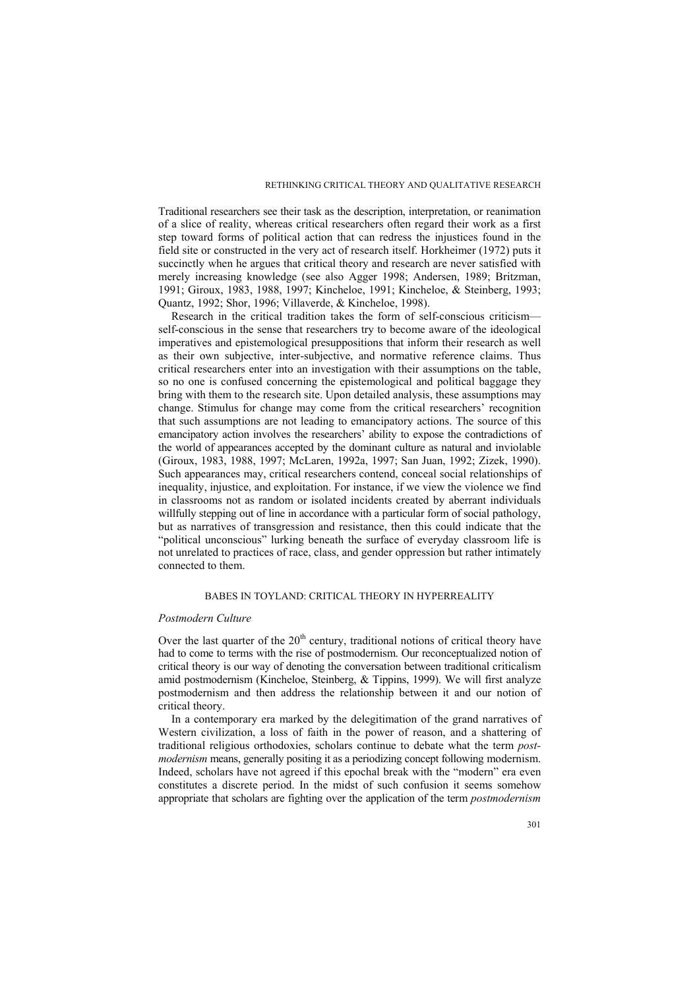Traditional researchers see their task as the description, interpretation, or reanimation of a slice of reality, whereas critical researchers often regard their work as a first step toward forms of political action that can redress the injustices found in the field site or constructed in the very act of research itself. Horkheimer (1972) puts it succinctly when he argues that critical theory and research are never satisfied with merely increasing knowledge (see also Agger 1998; Andersen, 1989; Britzman, 1991; Giroux, 1983, 1988, 1997; Kincheloe, 1991; Kincheloe, & Steinberg, 1993; Quantz, 1992; Shor, 1996; Villaverde, & Kincheloe, 1998).

Research in the critical tradition takes the form of self-conscious criticism self-conscious in the sense that researchers try to become aware of the ideological imperatives and epistemological presuppositions that inform their research as well as their own subjective, inter-subjective, and normative reference claims. Thus critical researchers enter into an investigation with their assumptions on the table, so no one is confused concerning the epistemological and political baggage they bring with them to the research site. Upon detailed analysis, these assumptions may change. Stimulus for change may come from the critical researchers' recognition that such assumptions are not leading to emancipatory actions. The source of this emancipatory action involves the researchers' ability to expose the contradictions of the world of appearances accepted by the dominant culture as natural and inviolable (Giroux, 1983, 1988, 1997; McLaren, 1992a, 1997; San Juan, 1992; Zizek, 1990). Such appearances may, critical researchers contend, conceal social relationships of inequality, injustice, and exploitation. For instance, if we view the violence we find in classrooms not as random or isolated incidents created by aberrant individuals willfully stepping out of line in accordance with a particular form of social pathology, but as narratives of transgression and resistance, then this could indicate that the "political unconscious" lurking beneath the surface of everyday classroom life is not unrelated to practices of race, class, and gender oppression but rather intimately connected to them.

### BABES IN TOYLAND: CRITICAL THEORY IN HYPERREALITY

# *Postmodern Culture*

Over the last quarter of the  $20<sup>th</sup>$  century, traditional notions of critical theory have had to come to terms with the rise of postmodernism. Our reconceptualized notion of critical theory is our way of denoting the conversation between traditional criticalism amid postmodernism (Kincheloe, Steinberg, & Tippins, 1999). We will first analyze postmodernism and then address the relationship between it and our notion of critical theory.

In a contemporary era marked by the delegitimation of the grand narratives of Western civilization, a loss of faith in the power of reason, and a shattering of traditional religious orthodoxies, scholars continue to debate what the term *postmodernism* means, generally positing it as a periodizing concept following modernism. Indeed, scholars have not agreed if this epochal break with the "modern" era even constitutes a discrete period. In the midst of such confusion it seems somehow appropriate that scholars are fighting over the application of the term *postmodernism*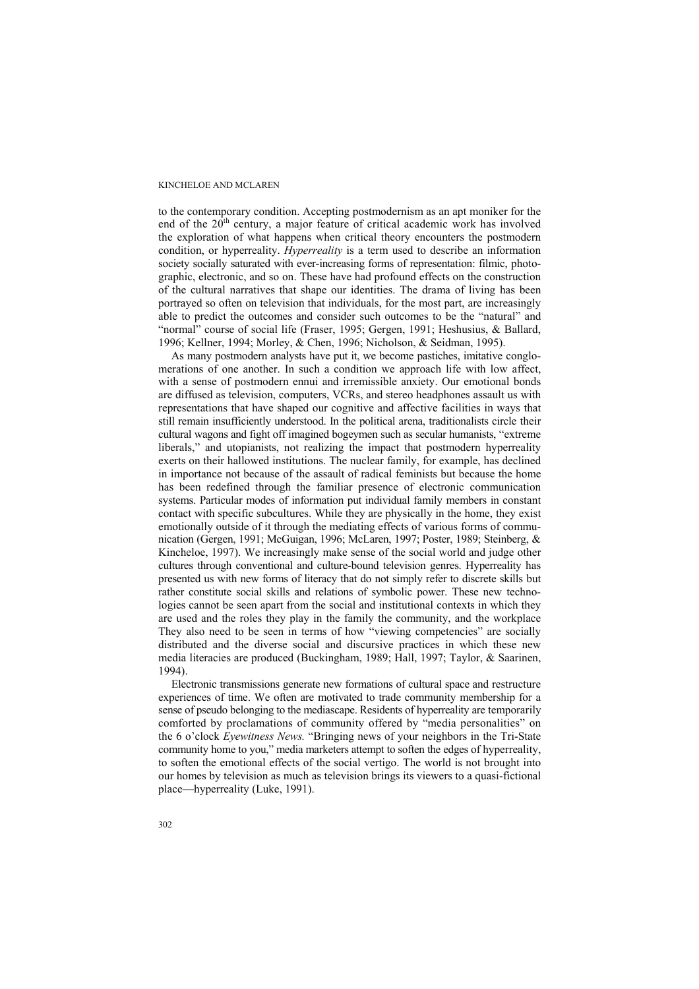to the contemporary condition. Accepting postmodernism as an apt moniker for the end of the  $20<sup>th</sup>$  century, a major feature of critical academic work has involved the exploration of what happens when critical theory encounters the postmodern condition, or hyperreality. *Hyperreality* is a term used to describe an information society socially saturated with ever-increasing forms of representation: filmic, photographic, electronic, and so on. These have had profound effects on the construction of the cultural narratives that shape our identities. The drama of living has been portrayed so often on television that individuals, for the most part, are increasingly able to predict the outcomes and consider such outcomes to be the "natural" and "normal" course of social life (Fraser, 1995; Gergen, 1991; Heshusius, & Ballard, 1996; Kellner, 1994; Morley, & Chen, 1996; Nicholson, & Seidman, 1995).

As many postmodern analysts have put it, we become pastiches, imitative conglomerations of one another. In such a condition we approach life with low affect, with a sense of postmodern ennui and irremissible anxiety. Our emotional bonds are diffused as television, computers, VCRs, and stereo headphones assault us with representations that have shaped our cognitive and affective facilities in ways that still remain insufficiently understood. In the political arena, traditionalists circle their cultural wagons and fight off imagined bogeymen such as secular humanists, "extreme liberals," and utopianists, not realizing the impact that postmodern hyperreality exerts on their hallowed institutions. The nuclear family, for example, has declined in importance not because of the assault of radical feminists but because the home has been redefined through the familiar presence of electronic communication systems. Particular modes of information put individual family members in constant contact with specific subcultures. While they are physically in the home, they exist emotionally outside of it through the mediating effects of various forms of communication (Gergen, 1991; McGuigan, 1996; McLaren, 1997; Poster, 1989; Steinberg, & Kincheloe, 1997). We increasingly make sense of the social world and judge other cultures through conventional and culture-bound television genres. Hyperreality has presented us with new forms of literacy that do not simply refer to discrete skills but rather constitute social skills and relations of symbolic power. These new technologies cannot be seen apart from the social and institutional contexts in which they are used and the roles they play in the family the community, and the workplace They also need to be seen in terms of how "viewing competencies" are socially distributed and the diverse social and discursive practices in which these new media literacies are produced (Buckingham, 1989; Hall, 1997; Taylor, & Saarinen, 1994).

Electronic transmissions generate new formations of cultural space and restructure experiences of time. We often are motivated to trade community membership for a sense of pseudo belonging to the mediascape. Residents of hyperreality are temporarily comforted by proclamations of community offered by "media personalities" on the 6 o'clock *Eyewitness News.* "Bringing news of your neighbors in the Tri-State community home to you," media marketers attempt to soften the edges of hyperreality, to soften the emotional effects of the social vertigo. The world is not brought into our homes by television as much as television brings its viewers to a quasi-fictional place—hyperreality (Luke, 1991).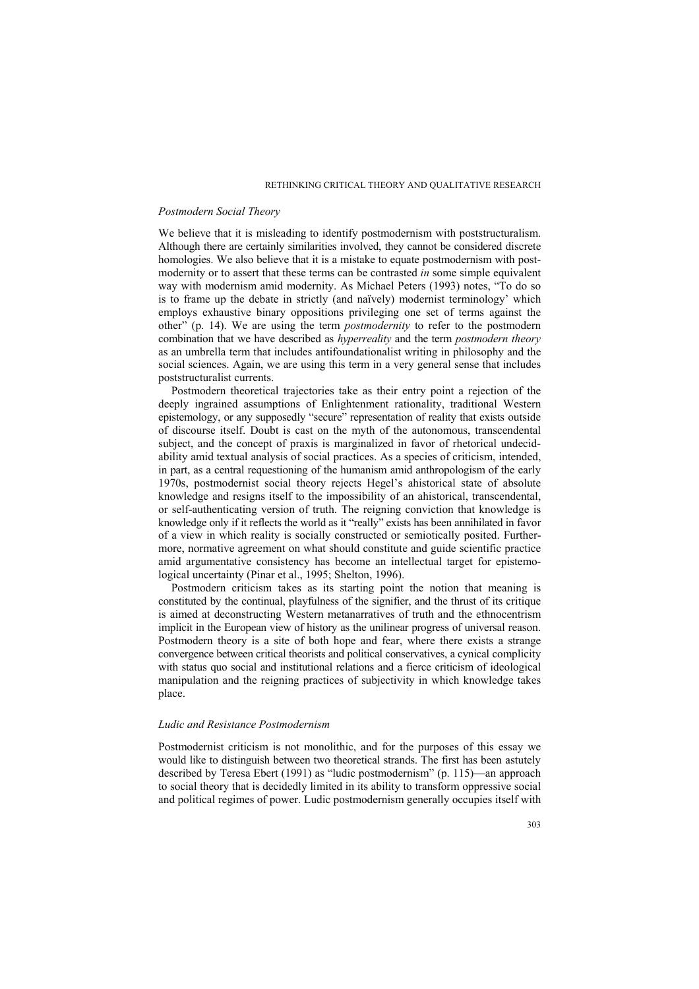### *Postmodern Social Theory*

We believe that it is misleading to identify postmodernism with poststructuralism. Although there are certainly similarities involved, they cannot be considered discrete homologies. We also believe that it is a mistake to equate postmodernism with postmodernity or to assert that these terms can be contrasted *in* some simple equivalent way with modernism amid modernity. As Michael Peters (1993) notes, "To do so is to frame up the debate in strictly (and naïvely) modernist terminology' which employs exhaustive binary oppositions privileging one set of terms against the other" (p. 14). We are using the term *postmodernity* to refer to the postmodern combination that we have described as *hyperreality* and the term *postmodern theory*  as an umbrella term that includes antifoundationalist writing in philosophy and the social sciences. Again, we are using this term in a very general sense that includes poststructuralist currents.

Postmodern theoretical trajectories take as their entry point a rejection of the deeply ingrained assumptions of Enlightenment rationality, traditional Western epistemology, or any supposedly "secure" representation of reality that exists outside of discourse itself. Doubt is cast on the myth of the autonomous, transcendental subject, and the concept of praxis is marginalized in favor of rhetorical undecidability amid textual analysis of social practices. As a species of criticism, intended, in part, as a central requestioning of the humanism amid anthropologism of the early 1970s, postmodernist social theory rejects Hegel's ahistorical state of absolute knowledge and resigns itself to the impossibility of an ahistorical, transcendental, or self-authenticating version of truth. The reigning conviction that knowledge is knowledge only if it reflects the world as it "really" exists has been annihilated in favor of a view in which reality is socially constructed or semiotically posited. Furthermore, normative agreement on what should constitute and guide scientific practice amid argumentative consistency has become an intellectual target for epistemological uncertainty (Pinar et al., 1995; Shelton, 1996).

Postmodern criticism takes as its starting point the notion that meaning is constituted by the continual, playfulness of the signifier, and the thrust of its critique is aimed at deconstructing Western metanarratives of truth and the ethnocentrism implicit in the European view of history as the unilinear progress of universal reason. Postmodern theory is a site of both hope and fear, where there exists a strange convergence between critical theorists and political conservatives, a cynical complicity with status quo social and institutional relations and a fierce criticism of ideological manipulation and the reigning practices of subjectivity in which knowledge takes place.

# *Ludic and Resistance Postmodernism*

Postmodernist criticism is not monolithic, and for the purposes of this essay we would like to distinguish between two theoretical strands. The first has been astutely described by Teresa Ebert (1991) as "ludic postmodernism" (p. 115)—an approach to social theory that is decidedly limited in its ability to transform oppressive social and political regimes of power. Ludic postmodernism generally occupies itself with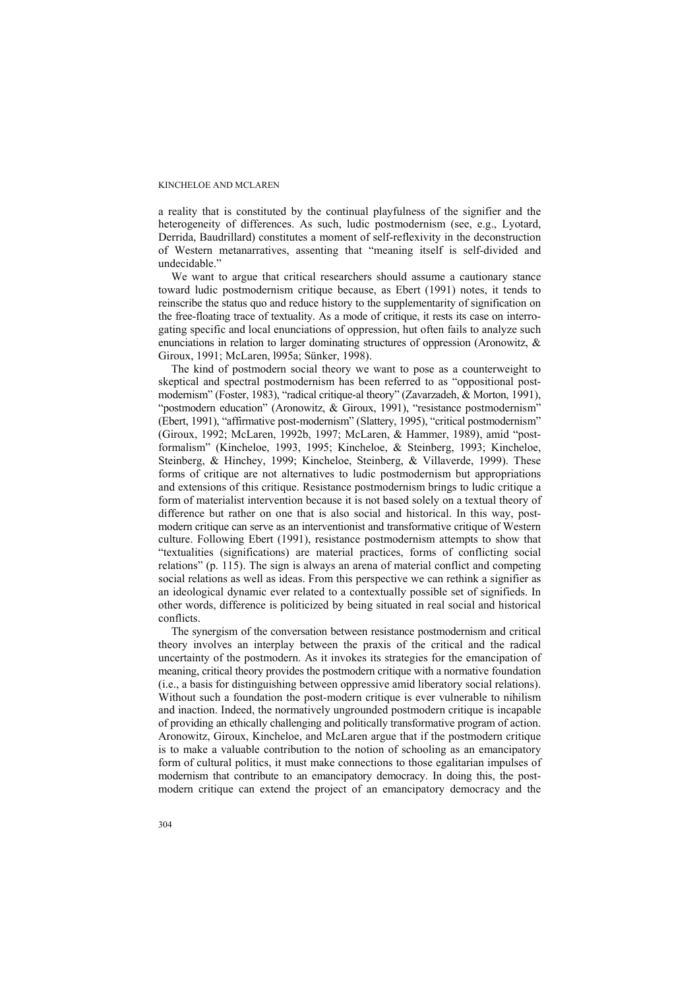a reality that is constituted by the continual playfulness of the signifier and the heterogeneity of differences. As such, ludic postmodernism (see, e.g., Lyotard, Derrida, Baudrillard) constitutes a moment of self-reflexivity in the deconstruction of Western metanarratives, assenting that "meaning itself is self-divided and undecidable."

We want to argue that critical researchers should assume a cautionary stance toward ludic postmodernism critique because, as Ebert (1991) notes, it tends to reinscribe the status quo and reduce history to the supplementarity of signification on the free-floating trace of textuality. As a mode of critique, it rests its case on interrogating specific and local enunciations of oppression, hut often fails to analyze such enunciations in relation to larger dominating structures of oppression (Aronowitz, & Giroux, 1991; McLaren, l995a; Sünker, 1998).

The kind of postmodern social theory we want to pose as a counterweight to skeptical and spectral postmodernism has been referred to as "oppositional postmodernism" (Foster, 1983), "radical critique-al theory" (Zavarzadeh, & Morton, 1991), "postmodern education" (Aronowitz, & Giroux, 1991), "resistance postmodernism" (Ebert, 1991), "affirmative post-modernism" (Slattery, 1995), "critical postmodernism" (Giroux, 1992; McLaren, 1992b, 1997; McLaren, & Hammer, 1989), amid "postformalism" (Kincheloe, 1993, 1995; Kincheloe, & Steinberg, 1993; Kincheloe, Steinberg, & Hinchey, 1999; Kincheloe, Steinberg, & Villaverde, 1999). These forms of critique are not alternatives to ludic postmodernism but appropriations and extensions of this critique. Resistance postmodernism brings to ludic critique a form of materialist intervention because it is not based solely on a textual theory of difference but rather on one that is also social and historical. In this way, postmodern critique can serve as an interventionist and transformative critique of Western culture. Following Ebert (1991), resistance postmodernism attempts to show that "textualities (significations) are material practices, forms of conflicting social relations" (p. 115). The sign is always an arena of material conflict and competing social relations as well as ideas. From this perspective we can rethink a signifier as an ideological dynamic ever related to a contextually possible set of signifieds. In other words, difference is politicized by being situated in real social and historical conflicts.

The synergism of the conversation between resistance postmodernism and critical theory involves an interplay between the praxis of the critical and the radical uncertainty of the postmodern. As it invokes its strategies for the emancipation of meaning, critical theory provides the postmodern critique with a normative foundation (i.e., a basis for distinguishing between oppressive amid liberatory social relations). Without such a foundation the post-modern critique is ever vulnerable to nihilism and inaction. Indeed, the normatively ungrounded postmodern critique is incapable of providing an ethically challenging and politically transformative program of action. Aronowitz, Giroux, Kincheloe, and McLaren argue that if the postmodern critique is to make a valuable contribution to the notion of schooling as an emancipatory form of cultural politics, it must make connections to those egalitarian impulses of modernism that contribute to an emancipatory democracy. In doing this, the postmodern critique can extend the project of an emancipatory democracy and the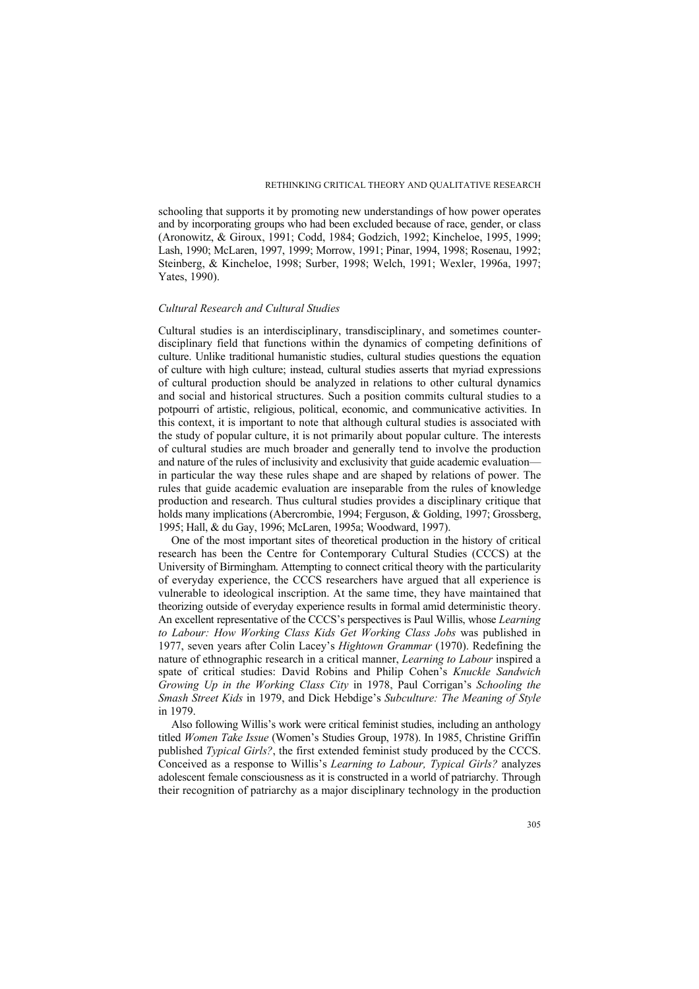schooling that supports it by promoting new understandings of how power operates and by incorporating groups who had been excluded because of race, gender, or class (Aronowitz, & Giroux, 1991; Codd, 1984; Godzich, 1992; Kincheloe, 1995, 1999; Lash, 1990; McLaren, 1997, 1999; Morrow, 1991; Pinar, 1994, 1998; Rosenau, 1992; Steinberg, & Kincheloe, 1998; Surber, 1998; Welch, 1991; Wexler, 1996a, 1997; Yates, 1990).

### *Cultural Research and Cultural Studies*

Cultural studies is an interdisciplinary, transdisciplinary, and sometimes counterdisciplinary field that functions within the dynamics of competing definitions of culture. Unlike traditional humanistic studies, cultural studies questions the equation of culture with high culture; instead, cultural studies asserts that myriad expressions of cultural production should be analyzed in relations to other cultural dynamics and social and historical structures. Such a position commits cultural studies to a potpourri of artistic, religious, political, economic, and communicative activities. In this context, it is important to note that although cultural studies is associated with the study of popular culture, it is not primarily about popular culture. The interests of cultural studies are much broader and generally tend to involve the production and nature of the rules of inclusivity and exclusivity that guide academic evaluation in particular the way these rules shape and are shaped by relations of power. The rules that guide academic evaluation are inseparable from the rules of knowledge production and research. Thus cultural studies provides a disciplinary critique that holds many implications (Abercrombie, 1994; Ferguson, & Golding, 1997; Grossberg, 1995; Hall, & du Gay, 1996; McLaren, 1995a; Woodward, 1997).

One of the most important sites of theoretical production in the history of critical research has been the Centre for Contemporary Cultural Studies (CCCS) at the University of Birmingham. Attempting to connect critical theory with the particularity of everyday experience, the CCCS researchers have argued that all experience is vulnerable to ideological inscription. At the same time, they have maintained that theorizing outside of everyday experience results in formal amid deterministic theory. An excellent representative of the CCCS's perspectives is Paul Willis, whose *Learning to Labour: How Working Class Kids Get Working Class Jobs* was published in 1977, seven years after Colin Lacey's *Hightown Grammar* (1970). Redefining the nature of ethnographic research in a critical manner, *Learning to Labour* inspired a spate of critical studies: David Robins and Philip Cohen's *Knuckle Sandwich Growing Up in the Working Class City* in 1978, Paul Corrigan's *Schooling the Smash Street Kids* in 1979, and Dick Hebdige's *Subculture: The Meaning of Style*  in 1979.

Also following Willis's work were critical feminist studies, including an anthology titled *Women Take Issue* (Women's Studies Group, 1978). In 1985, Christine Griffin published *Typical Girls?*, the first extended feminist study produced by the CCCS. Conceived as a response to Willis's *Learning to Labour, Typical Girls?* analyzes adolescent female consciousness as it is constructed in a world of patriarchy. Through their recognition of patriarchy as a major disciplinary technology in the production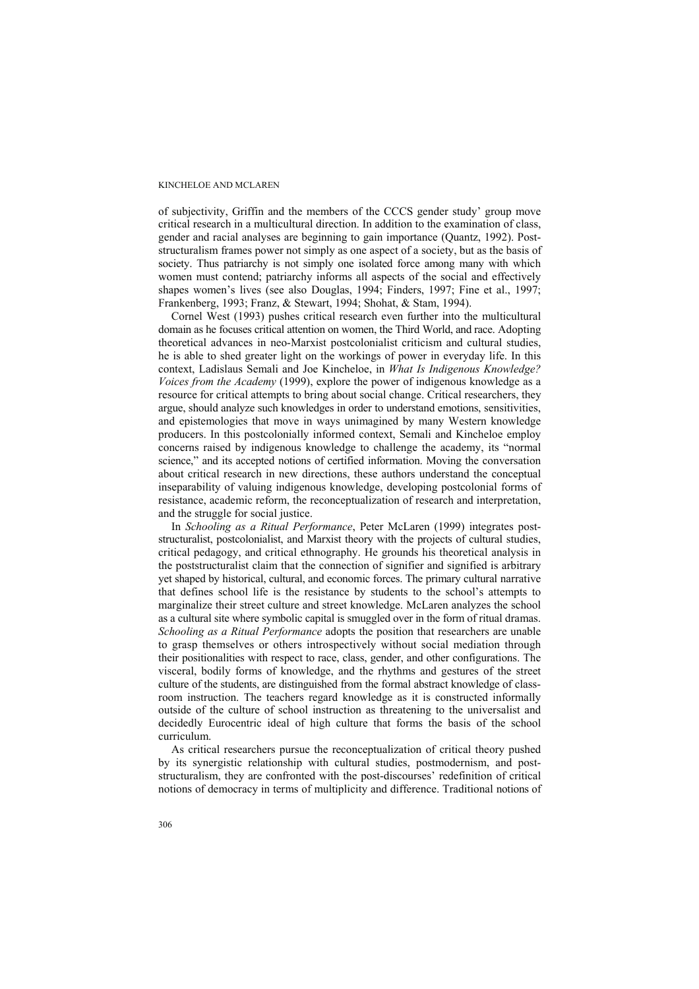of subjectivity, Griffin and the members of the CCCS gender study' group move critical research in a multicultural direction. In addition to the examination of class, gender and racial analyses are beginning to gain importance (Quantz, 1992). Poststructuralism frames power not simply as one aspect of a society, but as the basis of society. Thus patriarchy is not simply one isolated force among many with which women must contend; patriarchy informs all aspects of the social and effectively shapes women's lives (see also Douglas, 1994; Finders, 1997; Fine et al., 1997; Frankenberg, 1993; Franz, & Stewart, 1994; Shohat, & Stam, 1994).

Cornel West (1993) pushes critical research even further into the multicultural domain as he focuses critical attention on women, the Third World, and race. Adopting theoretical advances in neo-Marxist postcolonialist criticism and cultural studies, he is able to shed greater light on the workings of power in everyday life. In this context, Ladislaus Semali and Joe Kincheloe, in *What Is Indigenous Knowledge? Voices from the Academy* (1999), explore the power of indigenous knowledge as a resource for critical attempts to bring about social change. Critical researchers, they argue, should analyze such knowledges in order to understand emotions, sensitivities, and epistemologies that move in ways unimagined by many Western knowledge producers. In this postcolonially informed context, Semali and Kincheloe employ concerns raised by indigenous knowledge to challenge the academy, its "normal science," and its accepted notions of certified information. Moving the conversation about critical research in new directions, these authors understand the conceptual inseparability of valuing indigenous knowledge, developing postcolonial forms of resistance, academic reform, the reconceptualization of research and interpretation, and the struggle for social justice.

In *Schooling as a Ritual Performance*, Peter McLaren (1999) integrates poststructuralist, postcolonialist, and Marxist theory with the projects of cultural studies, critical pedagogy, and critical ethnography. He grounds his theoretical analysis in the poststructuralist claim that the connection of signifier and signified is arbitrary yet shaped by historical, cultural, and economic forces. The primary cultural narrative that defines school life is the resistance by students to the school's attempts to marginalize their street culture and street knowledge. McLaren analyzes the school as a cultural site where symbolic capital is smuggled over in the form of ritual dramas. *Schooling as a Ritual Performance* adopts the position that researchers are unable to grasp themselves or others introspectively without social mediation through their positionalities with respect to race, class, gender, and other configurations. The visceral, bodily forms of knowledge, and the rhythms and gestures of the street culture of the students, are distinguished from the formal abstract knowledge of classroom instruction. The teachers regard knowledge as it is constructed informally outside of the culture of school instruction as threatening to the universalist and decidedly Eurocentric ideal of high culture that forms the basis of the school curriculum.

As critical researchers pursue the reconceptualization of critical theory pushed by its synergistic relationship with cultural studies, postmodernism, and poststructuralism, they are confronted with the post-discourses' redefinition of critical notions of democracy in terms of multiplicity and difference. Traditional notions of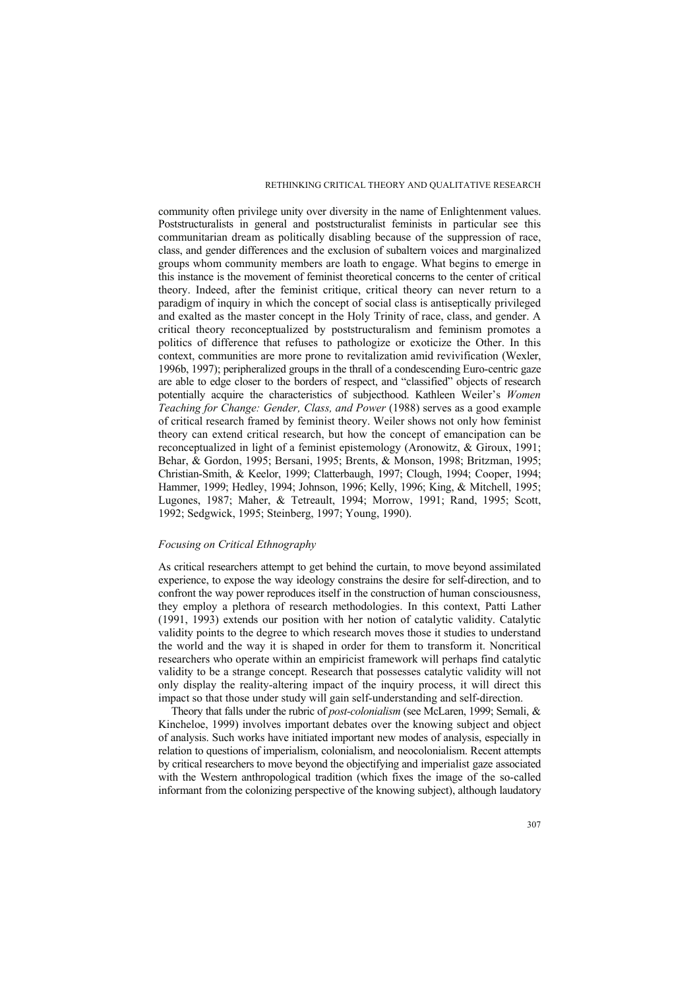community often privilege unity over diversity in the name of Enlightenment values. Poststructuralists in general and poststructuralist feminists in particular see this communitarian dream as politically disabling because of the suppression of race, class, and gender differences and the exclusion of subaltern voices and marginalized groups whom community members are loath to engage. What begins to emerge in this instance is the movement of feminist theoretical concerns to the center of critical theory. Indeed, after the feminist critique, critical theory can never return to a paradigm of inquiry in which the concept of social class is antiseptically privileged and exalted as the master concept in the Holy Trinity of race, class, and gender. A critical theory reconceptualized by poststructuralism and feminism promotes a politics of difference that refuses to pathologize or exoticize the Other. In this context, communities are more prone to revitalization amid revivification (Wexler, 1996b, 1997); peripheralized groups in the thrall of a condescending Euro-centric gaze are able to edge closer to the borders of respect, and "classified" objects of research potentially acquire the characteristics of subjecthood. Kathleen Weiler's *Women Teaching for Change: Gender, Class, and Power* (1988) serves as a good example of critical research framed by feminist theory. Weiler shows not only how feminist theory can extend critical research, but how the concept of emancipation can be reconceptualized in light of a feminist epistemology (Aronowitz, & Giroux, 1991; Behar, & Gordon, 1995; Bersani, 1995; Brents, & Monson, 1998; Britzman, 1995; Christian-Smith, & Keelor, 1999; Clatterbaugh, 1997; Clough, 1994; Cooper, 1994; Hammer, 1999; Hedley, 1994; Johnson, 1996; Kelly, 1996; King, & Mitchell, 1995; Lugones, 1987; Maher, & Tetreault, 1994; Morrow, 1991; Rand, 1995; Scott, 1992; Sedgwick, 1995; Steinberg, 1997; Young, 1990).

# *Focusing on Critical Ethnography*

As critical researchers attempt to get behind the curtain, to move beyond assimilated experience, to expose the way ideology constrains the desire for self-direction, and to confront the way power reproduces itself in the construction of human consciousness, they employ a plethora of research methodologies. In this context, Patti Lather (1991, 1993) extends our position with her notion of catalytic validity. Catalytic validity points to the degree to which research moves those it studies to understand the world and the way it is shaped in order for them to transform it. Noncritical researchers who operate within an empiricist framework will perhaps find catalytic validity to be a strange concept. Research that possesses catalytic validity will not only display the reality-altering impact of the inquiry process, it will direct this impact so that those under study will gain self-understanding and self-direction.

Theory that falls under the rubric of *post-colonialism* (see McLaren, 1999; Semali, & Kincheloe, 1999) involves important debates over the knowing subject and object of analysis. Such works have initiated important new modes of analysis, especially in relation to questions of imperialism, colonialism, and neocolonialism. Recent attempts by critical researchers to move beyond the objectifying and imperialist gaze associated with the Western anthropological tradition (which fixes the image of the so-called informant from the colonizing perspective of the knowing subject), although laudatory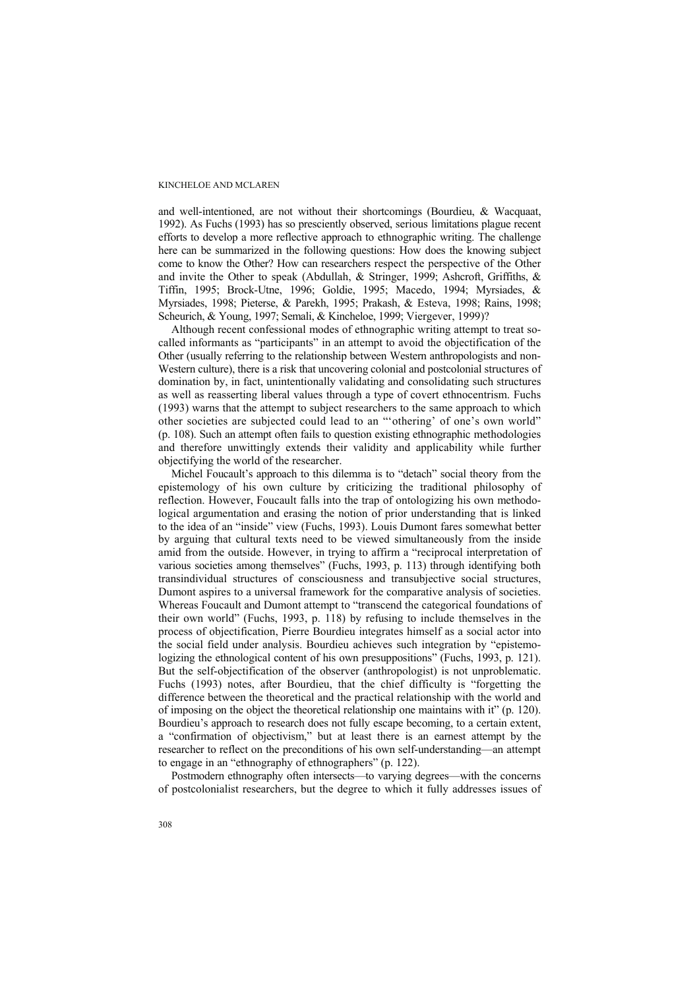and well-intentioned, are not without their shortcomings (Bourdieu, & Wacquaat, 1992). As Fuchs (1993) has so presciently observed, serious limitations plague recent efforts to develop a more reflective approach to ethnographic writing. The challenge here can be summarized in the following questions: How does the knowing subject come to know the Other? How can researchers respect the perspective of the Other and invite the Other to speak (Abdullah, & Stringer, 1999; Ashcroft, Griffiths, & Tiffin, 1995; Brock-Utne, 1996; Goldie, 1995; Macedo, 1994; Myrsiades, & Myrsiades, 1998; Pieterse, & Parekh, 1995; Prakash, & Esteva, 1998; Rains, 1998; Scheurich, & Young, 1997; Semali, & Kincheloe, 1999; Viergever, 1999)?

Although recent confessional modes of ethnographic writing attempt to treat socalled informants as "participants" in an attempt to avoid the objectification of the Other (usually referring to the relationship between Western anthropologists and non-Western culture), there is a risk that uncovering colonial and postcolonial structures of domination by, in fact, unintentionally validating and consolidating such structures as well as reasserting liberal values through a type of covert ethnocentrism. Fuchs (1993) warns that the attempt to subject researchers to the same approach to which other societies are subjected could lead to an "'othering' of one's own world" (p. 108). Such an attempt often fails to question existing ethnographic methodologies and therefore unwittingly extends their validity and applicability while further objectifying the world of the researcher.

Michel Foucault's approach to this dilemma is to "detach" social theory from the epistemology of his own culture by criticizing the traditional philosophy of reflection. However, Foucault falls into the trap of ontologizing his own methodological argumentation and erasing the notion of prior understanding that is linked to the idea of an "inside" view (Fuchs, 1993). Louis Dumont fares somewhat better by arguing that cultural texts need to be viewed simultaneously from the inside amid from the outside. However, in trying to affirm a "reciprocal interpretation of various societies among themselves" (Fuchs, 1993, p. 113) through identifying both transindividual structures of consciousness and transubjective social structures, Dumont aspires to a universal framework for the comparative analysis of societies. Whereas Foucault and Dumont attempt to "transcend the categorical foundations of their own world" (Fuchs, 1993, p. 118) by refusing to include themselves in the process of objectification, Pierre Bourdieu integrates himself as a social actor into the social field under analysis. Bourdieu achieves such integration by "epistemologizing the ethnological content of his own presuppositions" (Fuchs, 1993, p. 121). But the self-objectification of the observer (anthropologist) is not unproblematic. Fuchs (1993) notes, after Bourdieu, that the chief difficulty is "forgetting the difference between the theoretical and the practical relationship with the world and of imposing on the object the theoretical relationship one maintains with it" (p. 120). Bourdieu's approach to research does not fully escape becoming, to a certain extent, a "confirmation of objectivism," but at least there is an earnest attempt by the researcher to reflect on the preconditions of his own self-understanding—an attempt to engage in an "ethnography of ethnographers" (p. 122).

Postmodern ethnography often intersects—to varying degrees—with the concerns of postcolonialist researchers, but the degree to which it fully addresses issues of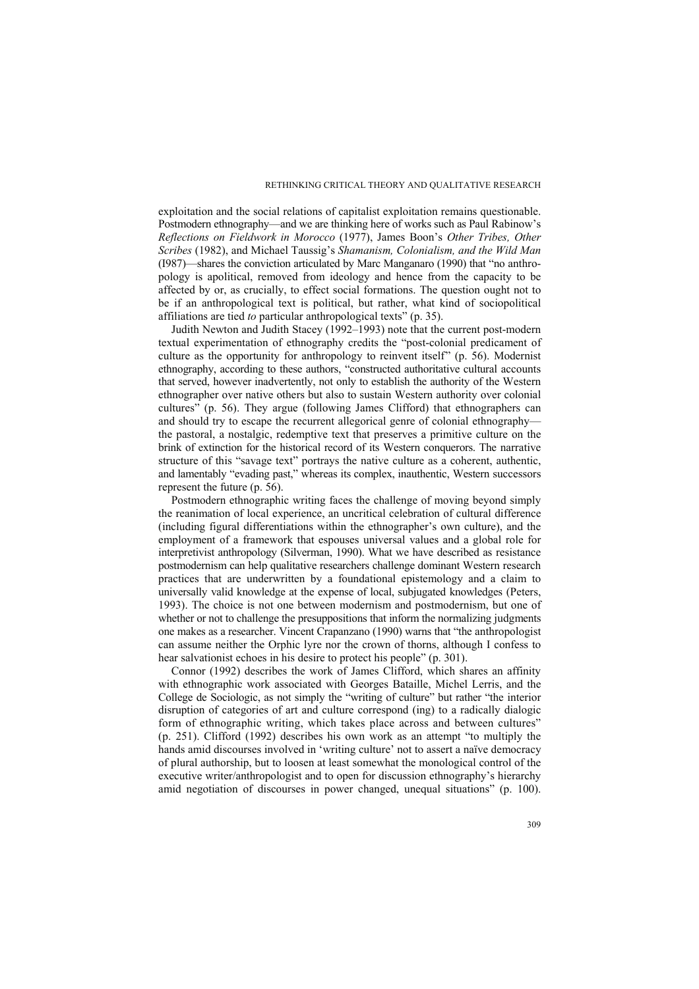exploitation and the social relations of capitalist exploitation remains questionable. Postmodern ethnography—and we are thinking here of works such as Paul Rabinow's *Reflections on Fieldwork in Morocco* (1977), James Boon's *Other Tribes, Other Scribes* (1982), and Michael Taussig's *Shamanism, Colonialism, and the Wild Man*  (I987)—shares the conviction articulated by Marc Manganaro (1990) that "no anthropology is apolitical, removed from ideology and hence from the capacity to be affected by or, as crucially, to effect social formations. The question ought not to be if an anthropological text is political, but rather, what kind of sociopolitical affiliations are tied *to* particular anthropological texts" (p. 35).

Judith Newton and Judith Stacey (1992–1993) note that the current post-modern textual experimentation of ethnography credits the "post-colonial predicament of culture as the opportunity for anthropology to reinvent itself" (p. 56). Modernist ethnography, according to these authors, "constructed authoritative cultural accounts that served, however inadvertently, not only to establish the authority of the Western ethnographer over native others but also to sustain Western authority over colonial cultures" (p. 56). They argue (following James Clifford) that ethnographers can and should try to escape the recurrent allegorical genre of colonial ethnography the pastoral, a nostalgic, redemptive text that preserves a primitive culture on the brink of extinction for the historical record of its Western conquerors. The narrative structure of this "savage text" portrays the native culture as a coherent, authentic, and lamentably "evading past," whereas its complex, inauthentic, Western successors represent the future (p. 56).

Postmodern ethnographic writing faces the challenge of moving beyond simply the reanimation of local experience, an uncritical celebration of cultural difference (including figural differentiations within the ethnographer's own culture), and the employment of a framework that espouses universal values and a global role for interpretivist anthropology (Silverman, 1990). What we have described as resistance postmodernism can help qualitative researchers challenge dominant Western research practices that are underwritten by a foundational epistemology and a claim to universally valid knowledge at the expense of local, subjugated knowledges (Peters, 1993). The choice is not one between modernism and postmodernism, but one of whether or not to challenge the presuppositions that inform the normalizing judgments one makes as a researcher. Vincent Crapanzano (1990) warns that "the anthropologist can assume neither the Orphic lyre nor the crown of thorns, although I confess to hear salvationist echoes in his desire to protect his people" (p. 301).

Connor (1992) describes the work of James Clifford, which shares an affinity with ethnographic work associated with Georges Bataille, Michel Lerris, and the College de Sociologic, as not simply the "writing of culture" but rather "the interior disruption of categories of art and culture correspond (ing) to a radically dialogic form of ethnographic writing, which takes place across and between cultures" (p. 251). Clifford (1992) describes his own work as an attempt "to multiply the hands amid discourses involved in 'writing culture' not to assert a naïve democracy of plural authorship, but to loosen at least somewhat the monological control of the executive writer/anthropologist and to open for discussion ethnography's hierarchy amid negotiation of discourses in power changed, unequal situations" (p. 100).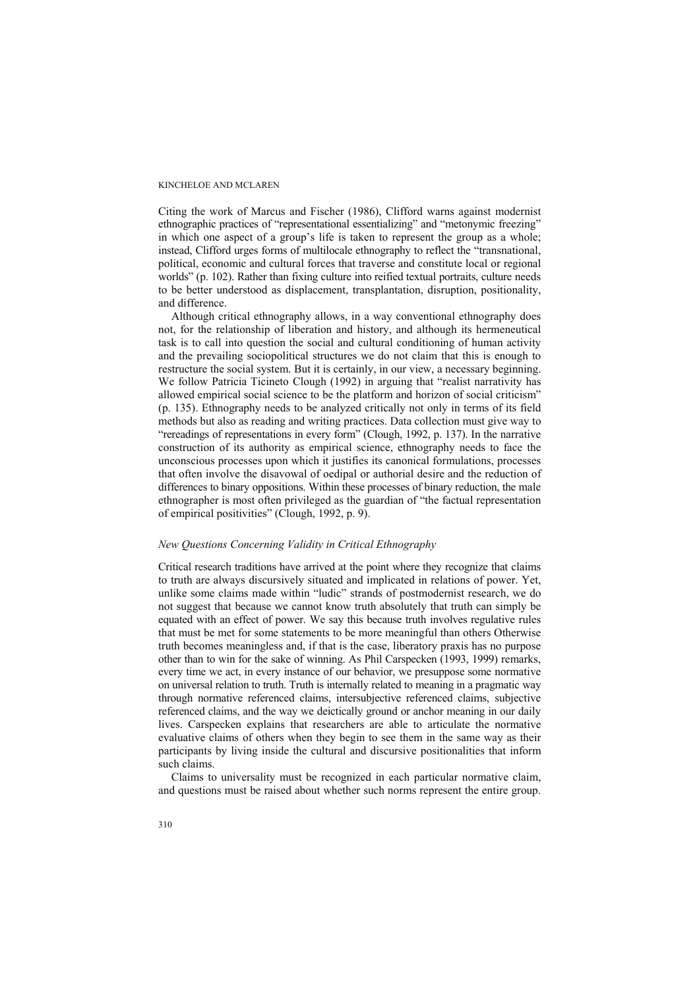Citing the work of Marcus and Fischer (1986), Clifford warns against modernist ethnographic practices of "representational essentializing" and "metonymic freezing" in which one aspect of a group's life is taken to represent the group as a whole; instead, Clifford urges forms of multilocale ethnography to reflect the "transnational, political, economic and cultural forces that traverse and constitute local or regional worlds" (p. 102). Rather than fixing culture into reified textual portraits, culture needs to be better understood as displacement, transplantation, disruption, positionality, and difference.

Although critical ethnography allows, in a way conventional ethnography does not, for the relationship of liberation and history, and although its hermeneutical task is to call into question the social and cultural conditioning of human activity and the prevailing sociopolitical structures we do not claim that this is enough to restructure the social system. But it is certainly, in our view, a necessary beginning. We follow Patricia Ticineto Clough (1992) in arguing that "realist narrativity has allowed empirical social science to be the platform and horizon of social criticism" (p. 135). Ethnography needs to be analyzed critically not only in terms of its field methods but also as reading and writing practices. Data collection must give way to "rereadings of representations in every form" (Clough, 1992, p. 137). In the narrative construction of its authority as empirical science, ethnography needs to face the unconscious processes upon which it justifies its canonical formulations, processes that often involve the disavowal of oedipal or authorial desire and the reduction of differences to binary oppositions. Within these processes of binary reduction, the male ethnographer is most often privileged as the guardian of "the factual representation of empirical positivities" (Clough, 1992, p. 9).

# *New Questions Concerning Validity in Critical Ethnography*

Critical research traditions have arrived at the point where they recognize that claims to truth are always discursively situated and implicated in relations of power. Yet, unlike some claims made within "ludic" strands of postmodernist research, we do not suggest that because we cannot know truth absolutely that truth can simply be equated with an effect of power. We say this because truth involves regulative rules that must be met for some statements to be more meaningful than others Otherwise truth becomes meaningless and, if that is the case, liberatory praxis has no purpose other than to win for the sake of winning. As Phil Carspecken (1993, 1999) remarks, every time we act, in every instance of our behavior, we presuppose some normative on universal relation to truth. Truth is internally related to meaning in a pragmatic way through normative referenced claims, intersubjective referenced claims, subjective referenced claims, and the way we deictically ground or anchor meaning in our daily lives. Carspecken explains that researchers are able to articulate the normative evaluative claims of others when they begin to see them in the same way as their participants by living inside the cultural and discursive positionalities that inform such claims.

Claims to universality must be recognized in each particular normative claim, and questions must be raised about whether such norms represent the entire group.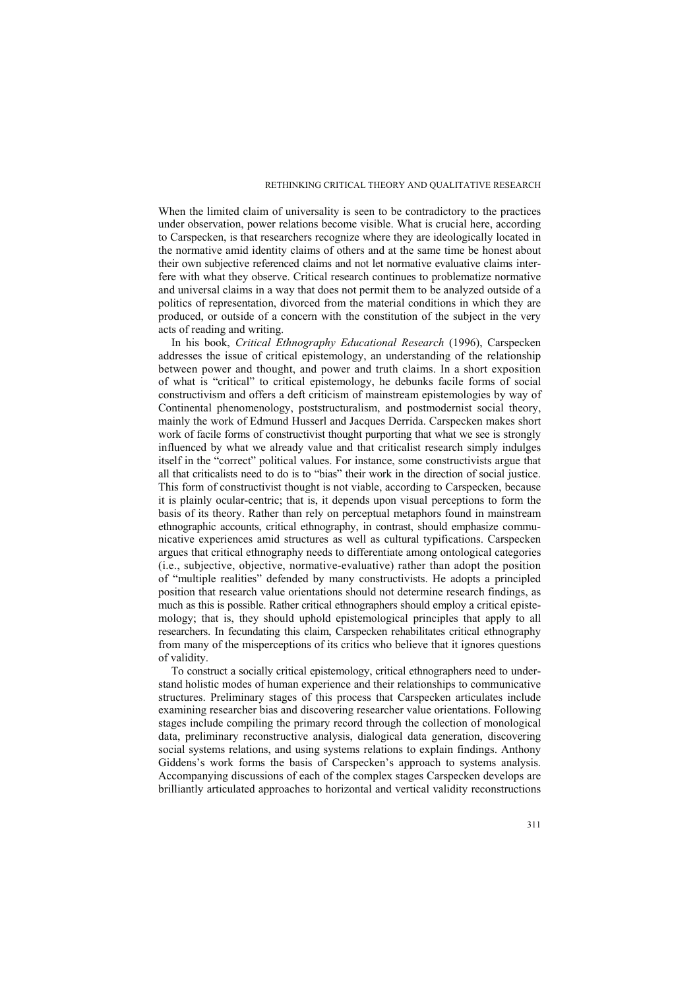When the limited claim of universality is seen to be contradictory to the practices under observation, power relations become visible. What is crucial here, according to Carspecken, is that researchers recognize where they are ideologically located in the normative amid identity claims of others and at the same time be honest about their own subjective referenced claims and not let normative evaluative claims interfere with what they observe. Critical research continues to problematize normative and universal claims in a way that does not permit them to be analyzed outside of a politics of representation, divorced from the material conditions in which they are produced, or outside of a concern with the constitution of the subject in the very acts of reading and writing.

In his book, *Critical Ethnography Educational Research* (1996), Carspecken addresses the issue of critical epistemology, an understanding of the relationship between power and thought, and power and truth claims. In a short exposition of what is "critical" to critical epistemology, he debunks facile forms of social constructivism and offers a deft criticism of mainstream epistemologies by way of Continental phenomenology, poststructuralism, and postmodernist social theory, mainly the work of Edmund Husserl and Jacques Derrida. Carspecken makes short work of facile forms of constructivist thought purporting that what we see is strongly influenced by what we already value and that criticalist research simply indulges itself in the "correct" political values. For instance, some constructivists argue that all that criticalists need to do is to "bias" their work in the direction of social justice. This form of constructivist thought is not viable, according to Carspecken, because it is plainly ocular-centric; that is, it depends upon visual perceptions to form the basis of its theory. Rather than rely on perceptual metaphors found in mainstream ethnographic accounts, critical ethnography, in contrast, should emphasize communicative experiences amid structures as well as cultural typifications. Carspecken argues that critical ethnography needs to differentiate among ontological categories (i.e., subjective, objective, normative-evaluative) rather than adopt the position of "multiple realities" defended by many constructivists. He adopts a principled position that research value orientations should not determine research findings, as much as this is possible. Rather critical ethnographers should employ a critical epistemology; that is, they should uphold epistemological principles that apply to all researchers. In fecundating this claim, Carspecken rehabilitates critical ethnography from many of the misperceptions of its critics who believe that it ignores questions of validity.

To construct a socially critical epistemology, critical ethnographers need to understand holistic modes of human experience and their relationships to communicative structures. Preliminary stages of this process that Carspecken articulates include examining researcher bias and discovering researcher value orientations. Following stages include compiling the primary record through the collection of monological data, preliminary reconstructive analysis, dialogical data generation, discovering social systems relations, and using systems relations to explain findings. Anthony Giddens's work forms the basis of Carspecken's approach to systems analysis. Accompanying discussions of each of the complex stages Carspecken develops are brilliantly articulated approaches to horizontal and vertical validity reconstructions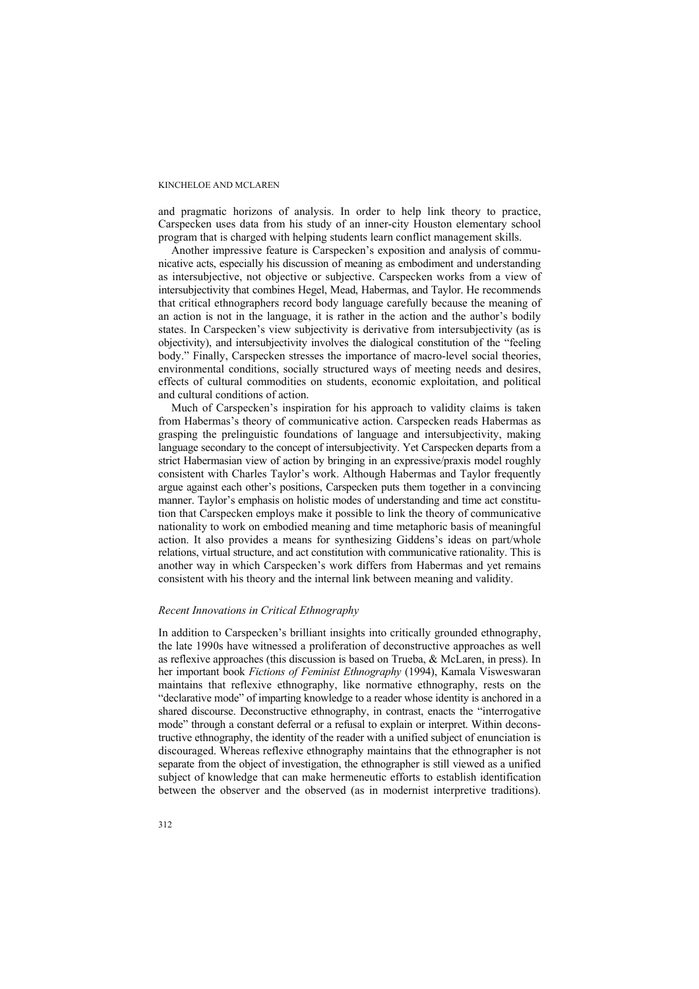and pragmatic horizons of analysis. In order to help link theory to practice, Carspecken uses data from his study of an inner-city Houston elementary school program that is charged with helping students learn conflict management skills.

Another impressive feature is Carspecken's exposition and analysis of communicative acts, especially his discussion of meaning as embodiment and understanding as intersubjective, not objective or subjective. Carspecken works from a view of intersubjectivity that combines Hegel, Mead, Habermas, and Taylor. He recommends that critical ethnographers record body language carefully because the meaning of an action is not in the language, it is rather in the action and the author's bodily states. In Carspecken's view subjectivity is derivative from intersubjectivity (as is objectivity), and intersubjectivity involves the dialogical constitution of the "feeling body." Finally, Carspecken stresses the importance of macro-level social theories, environmental conditions, socially structured ways of meeting needs and desires, effects of cultural commodities on students, economic exploitation, and political and cultural conditions of action.

Much of Carspecken's inspiration for his approach to validity claims is taken from Habermas's theory of communicative action. Carspecken reads Habermas as grasping the prelinguistic foundations of language and intersubjectivity, making language secondary to the concept of intersubjectivity. Yet Carspecken departs from a strict Habermasian view of action by bringing in an expressive/praxis model roughly consistent with Charles Taylor's work. Although Habermas and Taylor frequently argue against each other's positions, Carspecken puts them together in a convincing manner. Taylor's emphasis on holistic modes of understanding and time act constitution that Carspecken employs make it possible to link the theory of communicative nationality to work on embodied meaning and time metaphoric basis of meaningful action. It also provides a means for synthesizing Giddens's ideas on part/whole relations, virtual structure, and act constitution with communicative rationality. This is another way in which Carspecken's work differs from Habermas and yet remains consistent with his theory and the internal link between meaning and validity.

# *Recent Innovations in Critical Ethnography*

In addition to Carspecken's brilliant insights into critically grounded ethnography, the late 1990s have witnessed a proliferation of deconstructive approaches as well as reflexive approaches (this discussion is based on Trueba, & McLaren, in press). In her important book *Fictions of Feminist Ethnography* (1994), Kamala Visweswaran maintains that reflexive ethnography, like normative ethnography, rests on the "declarative mode" of imparting knowledge to a reader whose identity is anchored in a shared discourse. Deconstructive ethnography, in contrast, enacts the "interrogative mode" through a constant deferral or a refusal to explain or interpret. Within deconstructive ethnography, the identity of the reader with a unified subject of enunciation is discouraged. Whereas reflexive ethnography maintains that the ethnographer is not separate from the object of investigation, the ethnographer is still viewed as a unified subject of knowledge that can make hermeneutic efforts to establish identification between the observer and the observed (as in modernist interpretive traditions).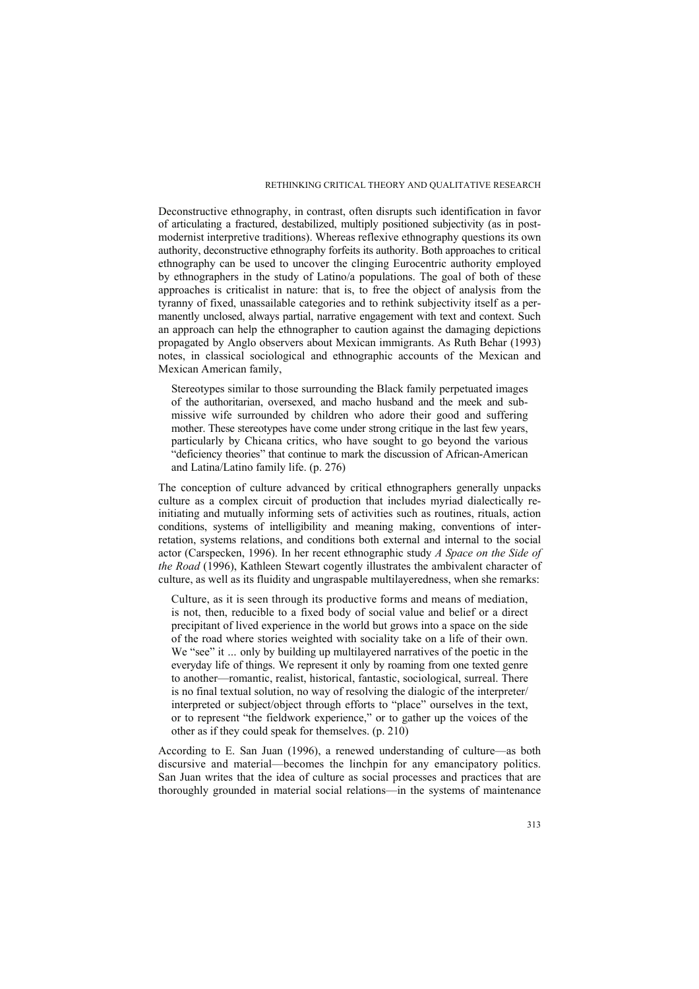Deconstructive ethnography, in contrast, often disrupts such identification in favor of articulating a fractured, destabilized, multiply positioned subjectivity (as in postmodernist interpretive traditions). Whereas reflexive ethnography questions its own authority, deconstructive ethnography forfeits its authority. Both approaches to critical ethnography can be used to uncover the clinging Eurocentric authority employed by ethnographers in the study of Latino/a populations. The goal of both of these approaches is criticalist in nature: that is, to free the object of analysis from the tyranny of fixed, unassailable categories and to rethink subjectivity itself as a permanently unclosed, always partial, narrative engagement with text and context. Such an approach can help the ethnographer to caution against the damaging depictions propagated by Anglo observers about Mexican immigrants. As Ruth Behar (1993) notes, in classical sociological and ethnographic accounts of the Mexican and Mexican American family,

Stereotypes similar to those surrounding the Black family perpetuated images of the authoritarian, oversexed, and macho husband and the meek and submissive wife surrounded by children who adore their good and suffering mother. These stereotypes have come under strong critique in the last few years, particularly by Chicana critics, who have sought to go beyond the various "deficiency theories" that continue to mark the discussion of African-American and Latina/Latino family life. (p. 276)

The conception of culture advanced by critical ethnographers generally unpacks culture as a complex circuit of production that includes myriad dialectically reinitiating and mutually informing sets of activities such as routines, rituals, action conditions, systems of intelligibility and meaning making, conventions of interretation, systems relations, and conditions both external and internal to the social actor (Carspecken, 1996). In her recent ethnographic study *A Space on the Side of the Road* (1996), Kathleen Stewart cogently illustrates the ambivalent character of culture, as well as its fluidity and ungraspable multilayeredness, when she remarks:

Culture, as it is seen through its productive forms and means of mediation, is not, then, reducible to a fixed body of social value and belief or a direct precipitant of lived experience in the world but grows into a space on the side of the road where stories weighted with sociality take on a life of their own. We "see" it *…* only by building up multilayered narratives of the poetic in the everyday life of things. We represent it only by roaming from one texted genre to another—romantic, realist, historical, fantastic, sociological, surreal. There is no final textual solution, no way of resolving the dialogic of the interpreter/ interpreted or subject/object through efforts to "place" ourselves in the text, or to represent "the fieldwork experience," or to gather up the voices of the other as if they could speak for themselves. (p. 210)

According to E. San Juan (1996), a renewed understanding of culture—as both discursive and material—becomes the linchpin for any emancipatory politics. San Juan writes that the idea of culture as social processes and practices that are thoroughly grounded in material social relations—in the systems of maintenance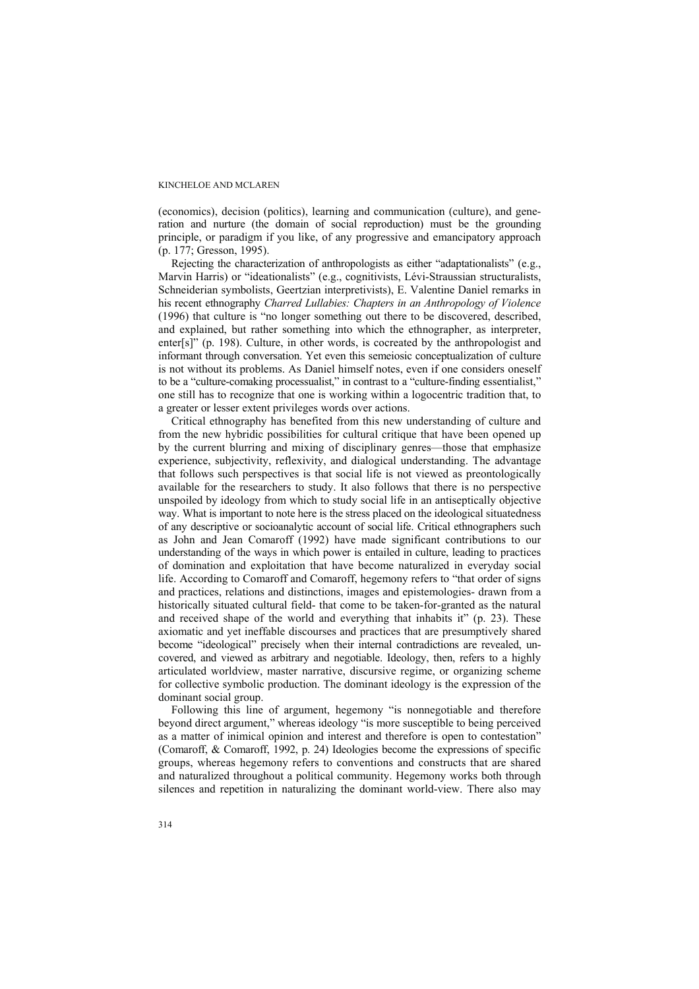(economics), decision (politics), learning and communication (culture), and generation and nurture (the domain of social reproduction) must be the grounding principle, or paradigm if you like, of any progressive and emancipatory approach (p. 177; Gresson, 1995).

Rejecting the characterization of anthropologists as either "adaptationalists" (e.g., Marvin Harris) or "ideationalists" (e.g., cognitivists, Lévi-Straussian structuralists, Schneiderian symbolists, Geertzian interpretivists), E. Valentine Daniel remarks in his recent ethnography *Charred Lullabies: Chapters in an Anthropology of Violence*  (1996) that culture is "no longer something out there to be discovered, described, and explained, but rather something into which the ethnographer, as interpreter, enter[s]" (p. 198). Culture, in other words, is cocreated by the anthropologist and informant through conversation. Yet even this semeiosic conceptualization of culture is not without its problems. As Daniel himself notes, even if one considers oneself to be a "culture-comaking processualist," in contrast to a "culture-finding essentialist," one still has to recognize that one is working within a logocentric tradition that, to a greater or lesser extent privileges words over actions.

Critical ethnography has benefited from this new understanding of culture and from the new hybridic possibilities for cultural critique that have been opened up by the current blurring and mixing of disciplinary genres—those that emphasize experience, subjectivity, reflexivity, and dialogical understanding. The advantage that follows such perspectives is that social life is not viewed as preontologically available for the researchers to study. It also follows that there is no perspective unspoiled by ideology from which to study social life in an antiseptically objective way. What is important to note here is the stress placed on the ideological situatedness of any descriptive or socioanalytic account of social life. Critical ethnographers such as John and Jean Comaroff (1992) have made significant contributions to our understanding of the ways in which power is entailed in culture, leading to practices of domination and exploitation that have become naturalized in everyday social life. According to Comaroff and Comaroff, hegemony refers to "that order of signs and practices, relations and distinctions, images and epistemologies- drawn from a historically situated cultural field- that come to be taken-for-granted as the natural and received shape of the world and everything that inhabits it" (p. 23). These axiomatic and yet ineffable discourses and practices that are presumptively shared become "ideological" precisely when their internal contradictions are revealed, uncovered, and viewed as arbitrary and negotiable. Ideology, then, refers to a highly articulated worldview, master narrative, discursive regime, or organizing scheme for collective symbolic production. The dominant ideology is the expression of the dominant social group.

Following this line of argument, hegemony "is nonnegotiable and therefore beyond direct argument," whereas ideology "is more susceptible to being perceived as a matter of inimical opinion and interest and therefore is open to contestation" (Comaroff, & Comaroff, 1992, p. 24) Ideologies become the expressions of specific groups, whereas hegemony refers to conventions and constructs that are shared and naturalized throughout a political community. Hegemony works both through silences and repetition in naturalizing the dominant world-view. There also may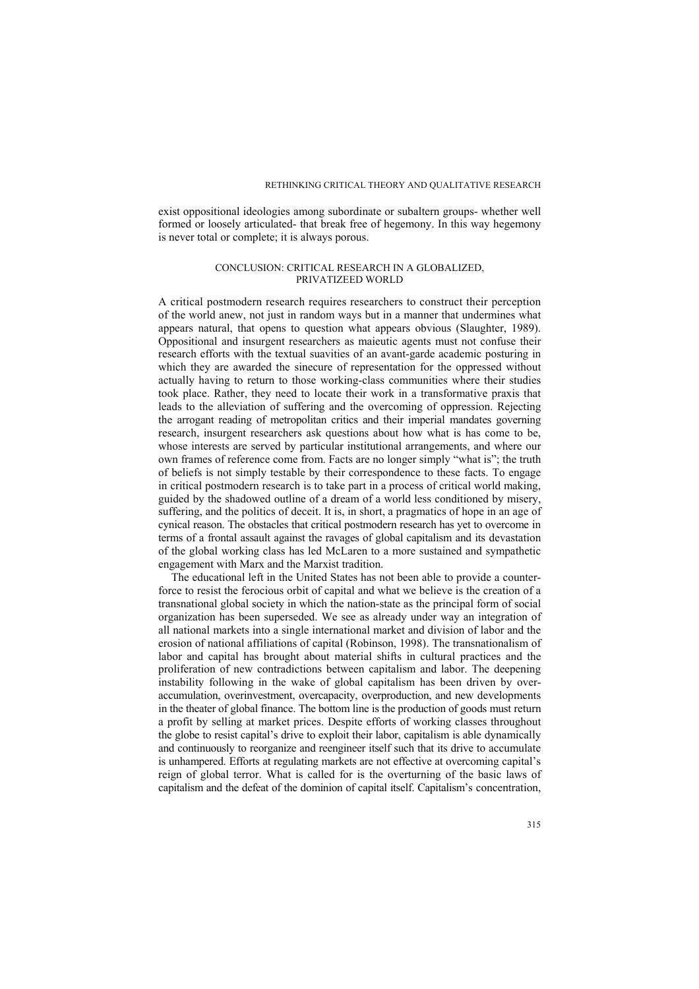exist oppositional ideologies among subordinate or subaltern groups- whether well formed or loosely articulated- that break free of hegemony. In this way hegemony is never total or complete; it is always porous.

# CONCLUSION: CRITICAL RESEARCH IN A GLOBALIZED, PRIVATIZEED WORLD

A critical postmodern research requires researchers to construct their perception of the world anew, not just in random ways but in a manner that undermines what appears natural, that opens to question what appears obvious (Slaughter, 1989). Oppositional and insurgent researchers as maieutic agents must not confuse their research efforts with the textual suavities of an avant-garde academic posturing in which they are awarded the sinecure of representation for the oppressed without actually having to return to those working-class communities where their studies took place. Rather, they need to locate their work in a transformative praxis that leads to the alleviation of suffering and the overcoming of oppression. Rejecting the arrogant reading of metropolitan critics and their imperial mandates governing research, insurgent researchers ask questions about how what is has come to be, whose interests are served by particular institutional arrangements, and where our own frames of reference come from. Facts are no longer simply "what is"; the truth of beliefs is not simply testable by their correspondence to these facts. To engage in critical postmodern research is to take part in a process of critical world making, guided by the shadowed outline of a dream of a world less conditioned by misery, suffering, and the politics of deceit. It is, in short, a pragmatics of hope in an age of cynical reason. The obstacles that critical postmodern research has yet to overcome in terms of a frontal assault against the ravages of global capitalism and its devastation of the global working class has led McLaren to a more sustained and sympathetic engagement with Marx and the Marxist tradition.

The educational left in the United States has not been able to provide a counterforce to resist the ferocious orbit of capital and what we believe is the creation of a transnational global society in which the nation-state as the principal form of social organization has been superseded. We see as already under way an integration of all national markets into a single international market and division of labor and the erosion of national affiliations of capital (Robinson, 1998). The transnationalism of labor and capital has brought about material shifts in cultural practices and the proliferation of new contradictions between capitalism and labor. The deepening instability following in the wake of global capitalism has been driven by overaccumulation, overinvestment, overcapacity, overproduction, and new developments in the theater of global finance. The bottom line is the production of goods must return a profit by selling at market prices. Despite efforts of working classes throughout the globe to resist capital's drive to exploit their labor, capitalism is able dynamically and continuously to reorganize and reengineer itself such that its drive to accumulate is unhampered. Efforts at regulating markets are not effective at overcoming capital's reign of global terror. What is called for is the overturning of the basic laws of capitalism and the defeat of the dominion of capital itself. Capitalism's concentration,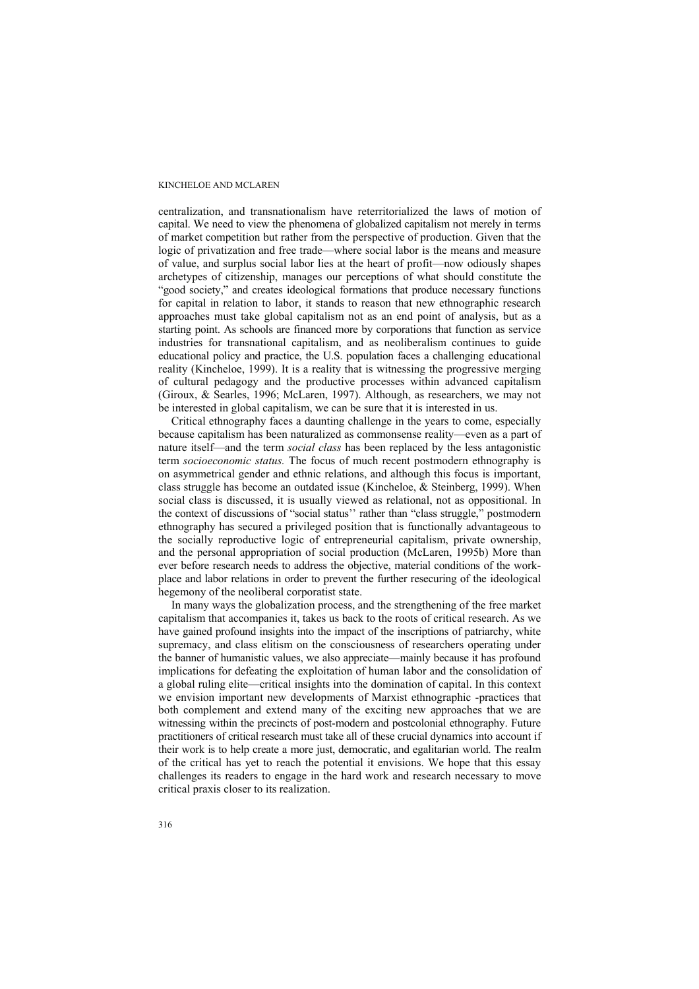centralization, and transnationalism have reterritorialized the laws of motion of capital. We need to view the phenomena of globalized capitalism not merely in terms of market competition but rather from the perspective of production. Given that the logic of privatization and free trade—where social labor is the means and measure of value, and surplus social labor lies at the heart of profit—now odiously shapes archetypes of citizenship, manages our perceptions of what should constitute the "good society," and creates ideological formations that produce necessary functions for capital in relation to labor, it stands to reason that new ethnographic research approaches must take global capitalism not as an end point of analysis, but as a starting point. As schools are financed more by corporations that function as service industries for transnational capitalism, and as neoliberalism continues to guide educational policy and practice, the U.S. population faces a challenging educational reality (Kincheloe, 1999). It is a reality that is witnessing the progressive merging of cultural pedagogy and the productive processes within advanced capitalism (Giroux, & Searles, 1996; McLaren, 1997). Although, as researchers, we may not be interested in global capitalism, we can be sure that it is interested in us.

Critical ethnography faces a daunting challenge in the years to come, especially because capitalism has been naturalized as commonsense reality—even as a part of nature itself—and the term *social class* has been replaced by the less antagonistic term *socioeconomic status.* The focus of much recent postmodern ethnography is on asymmetrical gender and ethnic relations, and although this focus is important, class struggle has become an outdated issue (Kincheloe, & Steinberg, 1999). When social class is discussed, it is usually viewed as relational, not as oppositional. In the context of discussions of "social status'' rather than "class struggle," postmodern ethnography has secured a privileged position that is functionally advantageous to the socially reproductive logic of entrepreneurial capitalism, private ownership, and the personal appropriation of social production (McLaren, 1995b) More than ever before research needs to address the objective, material conditions of the workplace and labor relations in order to prevent the further resecuring of the ideological hegemony of the neoliberal corporatist state.

In many ways the globalization process, and the strengthening of the free market capitalism that accompanies it, takes us back to the roots of critical research. As we have gained profound insights into the impact of the inscriptions of patriarchy, white supremacy, and class elitism on the consciousness of researchers operating under the banner of humanistic values, we also appreciate—mainly because it has profound implications for defeating the exploitation of human labor and the consolidation of a global ruling elite—critical insights into the domination of capital. In this context we envision important new developments of Marxist ethnographic -practices that both complement and extend many of the exciting new approaches that we are witnessing within the precincts of post-modern and postcolonial ethnography. Future practitioners of critical research must take all of these crucial dynamics into account if their work is to help create a more just, democratic, and egalitarian world. The realm of the critical has yet to reach the potential it envisions. We hope that this essay challenges its readers to engage in the hard work and research necessary to move critical praxis closer to its realization.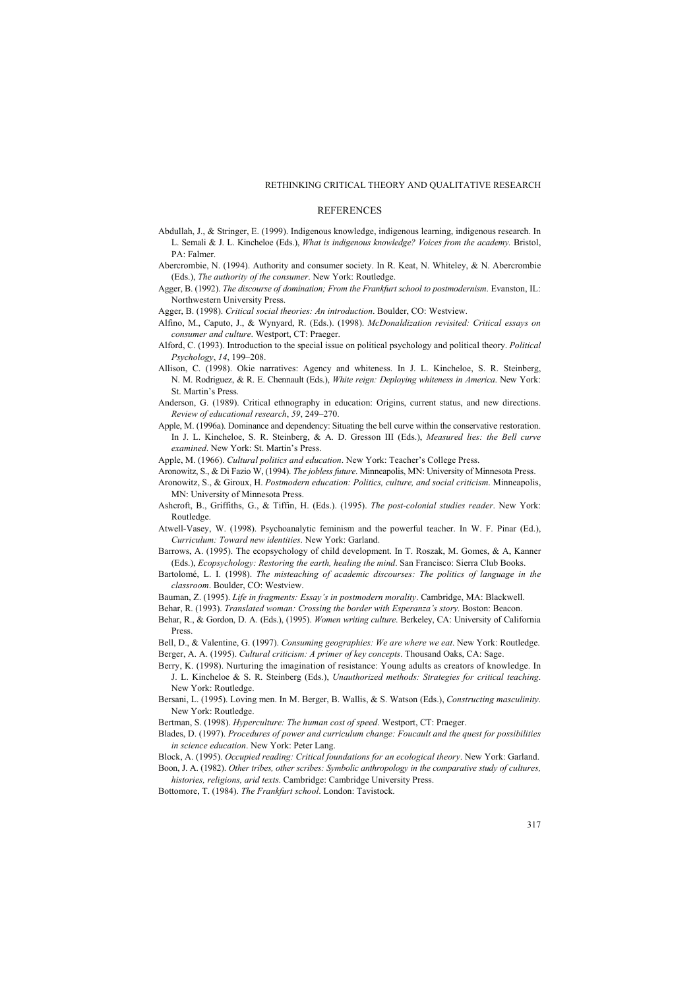### REFERENCES

- Abdullah, J., & Stringer, E. (1999). Indigenous knowledge, indigenous learning, indigenous research. In L. Semali & J. L. Kincheloe (Eds.), *What is indigenous knowledge? Voices from the academy*. Bristol, PA: Falmer.
- Abercrombie, N. (1994). Authority and consumer society. In R. Keat, N. Whiteley, & N. Abercrombie (Eds.), *The authority of the consumer*. New York: Routledge.
- Agger, B. (1992). *The discourse of domination; From the Frankfurt school to postmodernism*. Evanston, IL: Northwestern University Press.
- Agger, B. (1998). *Critical social theories: An introduction*. Boulder, CO: Westview.
- Alfino, M., Caputo, J., & Wynyard, R. (Eds.). (1998). *McDonaldization revisited: Critical essays on consumer and culture*. Westport, CT: Praeger.
- Alford, C. (1993). Introduction to the special issue on political psychology and political theory. *Political Psychology*, *14*, 199–208.
- Allison, C. (1998). Okie narratives: Agency and whiteness. In J. L. Kincheloe, S. R. Steinberg, N. M. Rodriguez, & R. E. Chennault (Eds.), *White reign: Deploying whiteness in America*. New York: St. Martin's Press.
- Anderson, G. (1989). Critical ethnography in education: Origins, current status, and new directions. *Review of educational research*, *59*, 249–270.
- Apple, M. (1996a). Dominance and dependency: Situating the bell curve within the conservative restoration. In J. L. Kincheloe, S. R. Steinberg, & A. D. Gresson III (Eds.), *Measured lies: the Bell curve examined*. New York: St. Martin's Press.

Apple, M. (1966). *Cultural politics and education*. New York: Teacher's College Press.

- Aronowitz, S., & Di Fazio W, (1994). *The jobless future*. Minneapolis, MN: University of Minnesota Press. Aronowitz, S., & Giroux, H. *Postmodern education: Politics, culture, and social criticism*. Minneapolis,
- MN: University of Minnesota Press.
- Ashcroft, B., Griffiths, G., & Tiffin, H. (Eds.). (1995). *The post-colonial studies reader*. New York: Routledge.
- Atwell-Vasey, W. (1998). Psychoanalytic feminism and the powerful teacher. In W. F. Pinar (Ed.), *Curriculum: Toward new identities*. New York: Garland.
- Barrows, A. (1995). The ecopsychology of child development. In T. Roszak, M. Gomes, & A, Kanner (Eds.), *Ecopsychology: Restoring the earth, healing the mind*. San Francisco: Sierra Club Books.
- Bartolomé, L. I. (1998). *The misteaching of academic discourses: The politics of language in the classroom*. Boulder, CO: Westview.
- Bauman, Z. (1995). *Life in fragments: Essay's in postmodern morality*. Cambridge, MA: Blackwell.
- Behar, R. (1993). *Translated woman: Crossing the border with Esperanza's story*. Boston: Beacon. Behar, R., & Gordon, D. A. (Eds.), (1995). *Women writing culture*. Berkeley, CA: University of California Press.
- Bell, D., & Valentine, G. (1997). *Consuming geographies: We are where we eat*. New York: Routledge. Berger, A. A. (1995). *Cultural criticism: A primer of key concepts*. Thousand Oaks, CA: Sage.
- Berry, K. (1998). Nurturing the imagination of resistance: Young adults as creators of knowledge. In J. L. Kincheloe & S. R. Steinberg (Eds.), *Unauthorized methods: Strategies for critical teaching*. New York: Routledge.
- Bersani, L. (1995). Loving men. In M. Berger, B. Wallis, & S. Watson (Eds.), *Constructing masculinity*. New York: Routledge.
- Bertman, S. (1998). *Hyperculture: The human cost of speed*. Westport, CT: Praeger.
- Blades, D. (1997). *Procedures of power and curriculum change: Foucault and the quest for possibilities in science education*. New York: Peter Lang.

Block, A. (1995). *Occupied reading: Critical foundations for an ecological theory*. New York: Garland. Boon, J. A. (1982). *Other tribes, other scribes: Symbolic anthropology in the comparative study of cultures,* 

*histories, religions, arid texts*. Cambridge: Cambridge University Press. Bottomore, T. (1984). *The Frankfurt school*. London: Tavistock.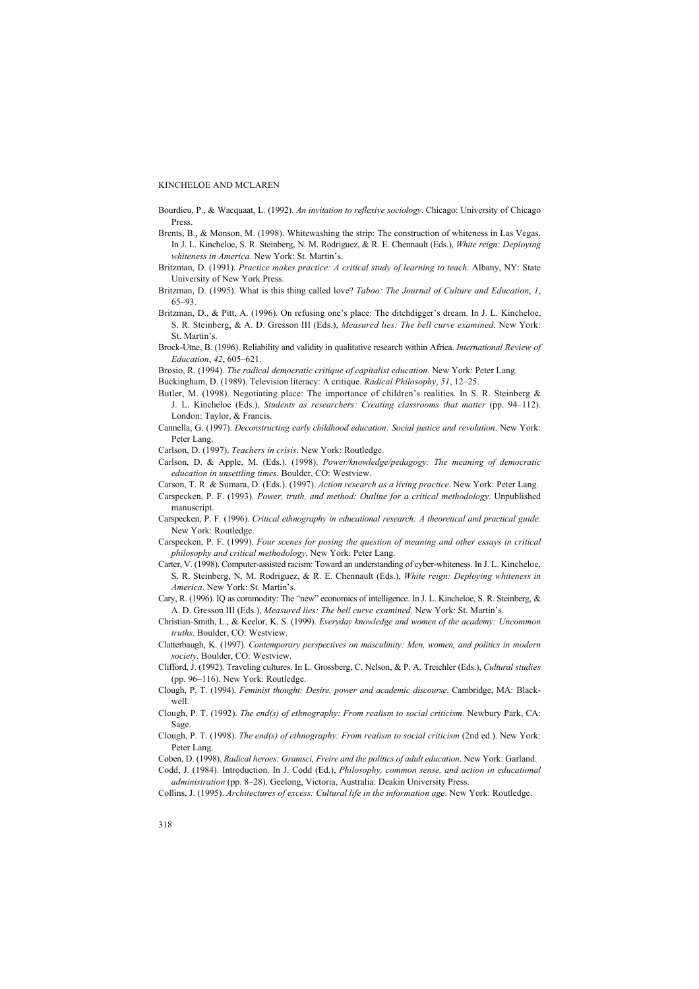- Bourdieu, P., & Wacquaat, L. (1992). *An invitation to reflexive sociology*. Chicago: University of Chicago Press.
- Brents, B., & Monson, M. (1998). Whitewashing the strip: The construction of whiteness in Las Vegas. In J. L. Kincheloe, S. R. Steinberg, N. M. Rodriguez, & R. E. Chennault (Eds.), *White reign: Deploying whiteness in America*. New York: St. Martin's.
- Britzman, D. (1991). *Practice makes practice: A critical study of learning to teach*. Albany, NY: State University of New York Press.
- Britzman, D. (1995). What is this thing called love? *Taboo: The Journal of Culture and Education*, *1*, 65–93.
- Britzman, D., & Pitt, A. (1996). On refusing one's place: The ditchdigger's dream. In J. L. Kincheloe, S. R. Steinberg, & A. D. Gresson III (Eds.), *Measured lies: The bell curve examined*. New York: St. Martin's.
- Brock-Utne, B. (1996). Reliability and validity in qualitative research within Africa. *International Review of Education*, *42*, 605–621.
- Brosio, R. (1994). *The radical democratic critique of capitalist education*. New York: Peter Lang.
- Buckingham, D. (1989). Television literacy: A critique. *Radical Philosophy*, *51*, 12–25.
- Butler, M. (1998). Negotiating place: The importance of children's realities. In S. R. Steinberg & J. L. Kincheloe (Eds.), *Students as researchers: Creating classrooms that matter* (pp. 94–112). London: Taylor, & Francis.
- Cannella, G. (1997). *Deconstructing early childhood education: Social justice and revolution*. New York: Peter Lang.
- Carlson, D. (1997). *Teachers in crisis*. New York: Routledge.
- Carlson, D. & Apple, M. (Eds.). (1998). *Power/knowledge/pedagogy: The meaning of democratic education in unsettling times*. Boulder, CO: Westview.
- Carson, T. R. & Sumara, D. (Eds.). (1997). *Action research as a living practice*. New York: Peter Lang. Carspecken, P. F. (1993). *Power, truth, and method: Outline for a critical methodology*. Unpublished manuscript.
- Carspecken, P. F. (1996). *Critical ethnography in educational research: A theoretical and practical guide*. New York: Routledge.
- Carspecken, P. F. (1999). *Four scenes for posing the question of meaning and other essays in critical philosophy and critical methodology*. New York: Peter Lang.
- Carter, V. (1998). Computer-assisted racism: Toward an understanding of cyber-whiteness. In J. L. Kincheloe, S. R. Steinberg, N. M. Rodriguez, & R. E. Chennault (Eds.), *White reign: Deploying whiteness in America*. New York: St. Martin's.
- Cary, R. (1996). IQ as commodity: The "new" economics of intelligence. In J. L. Kincheloe, S. R. Steinberg, & A. D. Gresson III (Eds.), *Measured lies: The bell curve examined*. New York: St. Martin's.
- Christian-Smith, L., & Keelor, K. S. (1999). *Everyday knowledge and women of the academy: Uncommon truths*. Boulder, CO: Westview.
- Clatterbaugh, K. (1997). *Contemporary perspectives on masculinity: Men, women, and politics in modern society*. Boulder, CO: Westview.
- Clifford, J. (1992). Traveling cultures. In L. Grossberg, C. Nelson, & P. A. Treichler (Eds.), *Cultural studies* (pp. 96–116). New York: Routledge.
- Clough, P. T. (1994). *Feminist thought: Desire, power and academic discourse*. Cambridge, MA: Blackwell.
- Clough, P. T. (1992). *The end(s) of ethnography: From realism to social criticism*. Newbury Park, CA: Sage.
- Clough, P. T. (1998). *The end(s) of ethnography: From realism to social criticism* (2nd ed.). New York: Peter Lang.
- Coben, D. (1998). *Radical heroes: Gramsci, Freire and the politics of adult education*. New York: Garland. Codd, J. (1984). Introduction. In J. Codd (Ed.), *Philosophy, common sense, and action in educational*
- *administration* (pp. 8–28). Geelong, Victoria, Australia: Deakin University Press.
- Collins, J. (1995). *Architectures of excess: Cultural life in the information age*. New York: Routledge.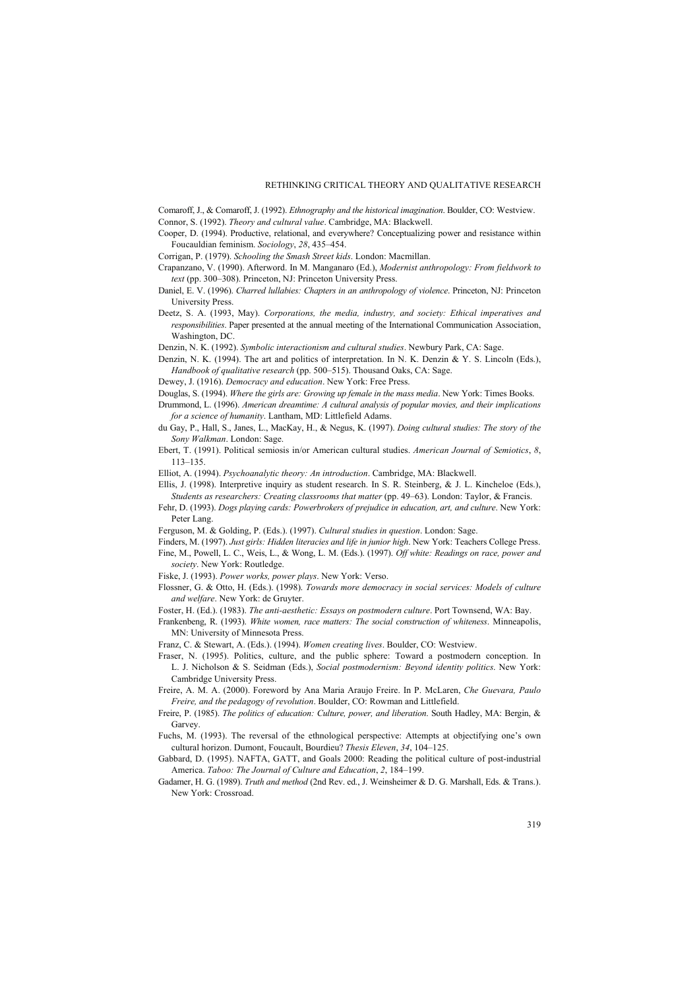Comaroff, J., & Comaroff, J. (1992). *Ethnography and the historical imagination*. Boulder, CO: Westview.

Connor, S. (1992). *Theory and cultural value*. Cambridge, MA: Blackwell.

Cooper, D. (1994). Productive, relational, and everywhere? Conceptualizing power and resistance within Foucauldian feminism. *Sociology*, *28*, 435–454.

Corrigan, P. (1979). *Schooling the Smash Street kids*. London: Macmillan.

- Crapanzano, V. (1990). Afterword. In M. Manganaro (Ed.), *Modernist anthropology: From fieldwork to text* (pp. 300–308). Princeton, NJ: Princeton University Press.
- Daniel, E. V. (1996). *Charred lullabies: Chapters in an anthropology of violence*. Princeton, NJ: Princeton University Press.
- Deetz, S. A. (1993, May). *Corporations, the media, industry, and society: Ethical imperatives and responsibilities*. Paper presented at the annual meeting of the International Communication Association, Washington, DC.

Denzin, N. K. (1992). *Symbolic interactionism and cultural studies*. Newbury Park, CA: Sage.

Denzin, N. K. (1994). The art and politics of interpretation. In N. K. Denzin & Y. S. Lincoln (Eds.), *Handbook of qualitative research* (pp. 500–515). Thousand Oaks, CA: Sage.

Dewey, J. (1916). *Democracy and education*. New York: Free Press.

Douglas, S. (1994). *Where the girls are: Growing up female in the mass media*. New York: Times Books.

- Drummond, L. (1996). *American dreamtime: A cultural analysis of popular movies, and their implications for a science of humanity*. Lantham, MD: Littlefield Adams.
- du Gay, P., Hall, S., Janes, L., MacKay, H., & Negus, K. (1997). *Doing cultural studies: The story of the Sony Walkman*. London: Sage.

Ebert, T. (1991). Political semiosis in/or American cultural studies. *American Journal of Semiotics*, *8*, 113–135.

Elliot, A. (1994). *Psychoanalytic theory: An introduction*. Cambridge, MA: Blackwell.

- Ellis, J. (1998). Interpretive inquiry as student research. In S. R. Steinberg, & J. L. Kincheloe (Eds.), *Students as researchers: Creating classrooms that matter* (pp. 49–63). London: Taylor, & Francis.
- Fehr, D. (1993). *Dogs playing cards: Powerbrokers of prejudice in education, art, and culture*. New York: Peter Lang.
- Ferguson, M. & Golding, P. (Eds.). (1997). *Cultural studies in question*. London: Sage.
- Finders, M. (1997). *Just girls: Hidden literacies and life in junior high*. New York: Teachers College Press. Fine, M., Powell, L. C., Weis, L., & Wong, L. M. (Eds.). (1997). *Off white: Readings on race, power and society*. New York: Routledge.

Fiske, J. (1993). *Power works, power plays*. New York: Verso.

- Flossner, G. & Otto, H. (Eds.). (1998). *Towards more democracy in social services: Models of culture and welfare*. New York: de Gruyter.
- Foster, H. (Ed.). (1983). *The anti-aesthetic: Essays on postmodern culture*. Port Townsend, WA: Bay.
- Frankenbeng, R. (1993). *White women, race matters: The social construction of whiteness*. Minneapolis, MN: University of Minnesota Press.
- Franz, C. & Stewart, A. (Eds.). (1994). *Women creating lives*. Boulder, CO: Westview.
- Fraser, N. (1995). Politics, culture, and the public sphere: Toward a postmodern conception. In L. J. Nicholson & S. Seidman (Eds.), *Social postmodernism: Beyond identity politics*. New York: Cambridge University Press.
- Freire, A. M. A. (2000). Foreword by Ana Maria Araujo Freire. In P. McLaren, *Che Guevara, Paulo Freire, and the pedagogy of revolution*. Boulder, CO: Rowman and Littlefield.
- Freire, P. (1985). *The politics of education: Culture, power, and liberation*. South Hadley, MA: Bergin, & **Garvey**
- Fuchs, M. (1993). The reversal of the ethnological perspective: Attempts at objectifying one's own cultural horizon. Dumont, Foucault, Bourdieu? *Thesis Eleven*, *34*, 104–125.
- Gabbard, D. (1995). NAFTA, GATT, and Goals 2000: Reading the political culture of post-industrial America. *Taboo: The Journal of Culture and Education*, *2*, 184–199.
- Gadamer, H. G. (1989). *Truth and method* (2nd Rev. ed., J. Weinsheimer & D. G. Marshall, Eds. & Trans.). New York: Crossroad.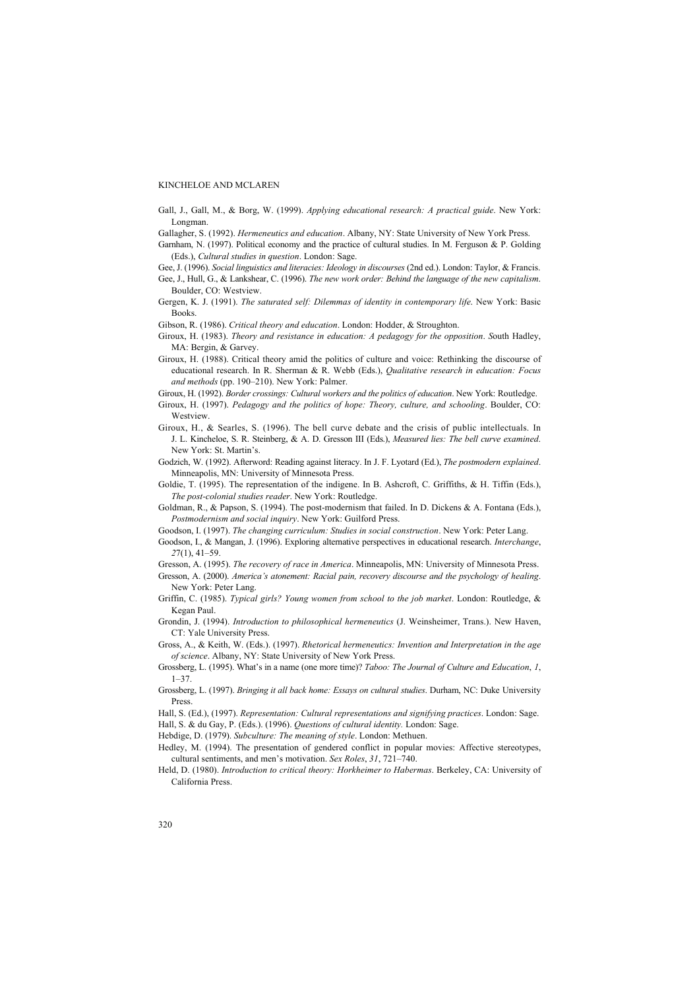Gall, J., Gall, M., & Borg, W. (1999). *Applying educational research: A practical guide*. New York: Longman.

Gallagher, S. (1992). *Hermeneutics and education*. Albany, NY: State University of New York Press.

Garnham, N. (1997). Political economy and the practice of cultural studies. In M. Ferguson & P. Golding (Eds.), *Cultural studies in question*. London: Sage.

Gee, J. (1996). *Social linguistics and literacies: Ideology in discourses* (2nd ed.). London: Taylor, & Francis. Gee, J., Hull, G., & Lankshear, C. (1996). *The new work order: Behind the language of the new capitalism*. Boulder, CO: Westview.

Gergen, K. J. (1991). *The saturated self: Dilemmas of identity in contemporary life*. New York: Basic Books.

Gibson, R. (1986). *Critical theory and education*. London: Hodder, & Stroughton.

Giroux, H. (1983). *Theory and resistance in education: A pedagogy for the opposition*. *S*outh Hadley, MA: Bergin, & Garvey.

Giroux, H. (1988). Critical theory amid the politics of culture and voice: Rethinking the discourse of educational research. In R. Sherman & R. Webb (Eds.), *Qualitative research in education: Focus and methods* (pp. 190–210). New York: Palmer.

Giroux, H. (1992). *Border crossings: Cultural workers and the politics of education*. New York: Routledge.

Giroux, H. (1997). *Pedagogy and the politics of hope: Theory, culture, and schooling*. Boulder, CO: Westview.

- Giroux, H., & Searles, S. (1996). The bell curve debate and the crisis of public intellectuals. In J. L. Kincheloe, S. R. Steinberg, & A. D. Gresson III (Eds.), *Measured lies: The bell curve examined*. New York: St. Martin's.
- Godzich, W. (1992). Afterword: Reading against literacy. In J. F. Lyotard (Ed.), *The postmodern explained*. Minneapolis, MN: University of Minnesota Press.

Goldie, T. (1995). The representation of the indigene. In B. Ashcroft, C. Griffiths, & H. Tiffin (Eds.), *The post-colonial studies reader*. New York: Routledge.

Goldman, R., & Papson, S. (1994). The post-modernism that failed. In D. Dickens & A. Fontana (Eds.), *Postmodernism and social inquiry*. New York: Guilford Press.

Goodson, I. (1997). *The changing curriculum: Studies in social construction*. New York: Peter Lang.

Goodson, I., & Mangan, J. (1996). Exploring alternative perspectives in educational research. *Interchange*, *2*7(1), 41–59.

Gresson, A. (1995). *The recovery of race in America*. Minneapolis, MN: University of Minnesota Press.

Gresson, A. (2000). *America's atonement: Racial pain, recovery discourse and the psychology of healing*. New York: Peter Lang.

Griffin, C. (1985). *Typical girls? Young women from school to the job market*. London: Routledge, & Kegan Paul.

Grondin, J. (1994). *Introduction to philosophical hermeneutics* (J. Weinsheimer, Trans.). New Haven, CT: Yale University Press.

Gross, A., & Keith, W. (Eds.). (1997). *Rhetorical hermeneutics: Invention and Interpretation in the age of science*. Albany, NY: State University of New York Press.

Grossberg, L. (1995). What's in a name (one more time)? *Taboo: The Journal of Culture and Education*, *1*, 1–37.

Grossberg, L. (1997). *Bringing it all back home: Essays on cultural studies*. Durham, NC: Duke University Press.

Hall, S. (Ed.), (1997). *Representation: Cultural representations and signifying practices*. London: Sage. Hall, S. & du Gay, P. (Eds.). (1996). *Questions of cultural identity.* London: Sage.

Hebdige, D. (1979). *Subculture: The meaning of style*. London: Methuen.

Hedley, M. (1994). The presentation of gendered conflict in popular movies: Affective stereotypes, cultural sentiments, and men's motivation. *Sex Roles*, *31*, 721–740.

Held, D. (1980). *Introduction to critical theory: Horkheimer to Habermas*. Berkeley, CA: University of California Press.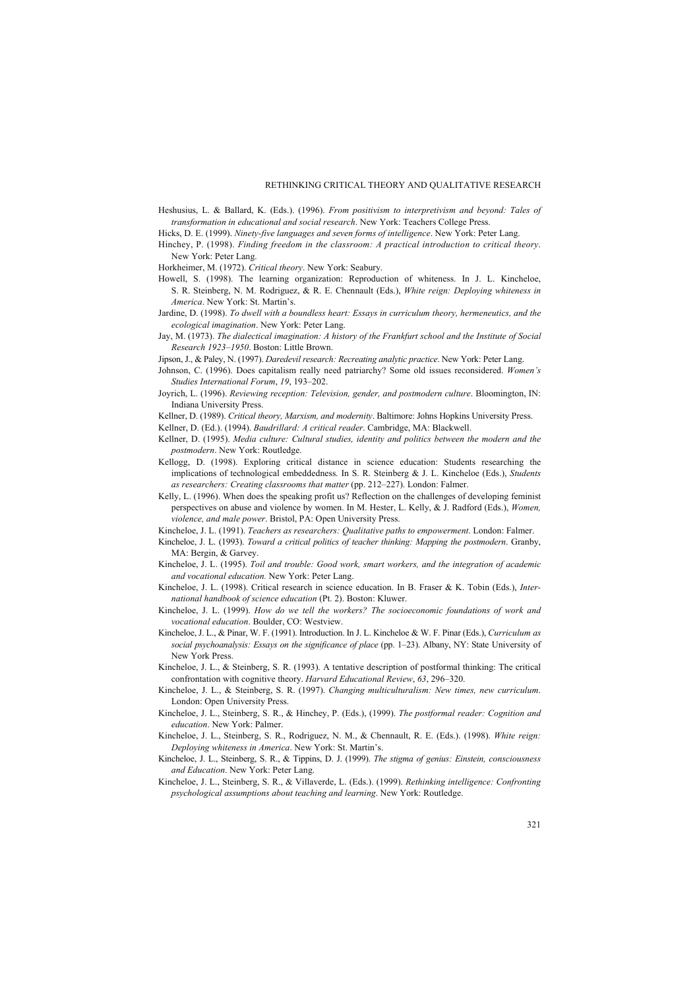Heshusius, L. & Ballard, K. (Eds.). (1996). *From positivism to interpretivism and beyond: Tales of transformation in educational and social research*. New York: Teachers College Press.

Hicks, D. E. (1999). *Ninety-five languages and seven forms of intelligence*. New York: Peter Lang.

Hinchey, P. (1998). *Finding freedom in the classroom: A practical introduction to critical theory*. New York: Peter Lang.

Horkheimer, M. (1972). *Critical theory*. New York: Seabury.

- Howell, S. (1998). The learning organization: Reproduction of whiteness. In J. L. Kincheloe, S. R. Steinberg, N. M. Rodriguez, & R. E. Chennault (Eds.), *White reign: Deploying whiteness in America*. New York: St. Martin's.
- Jardine, D. (1998). *To dwell with a boundless heart: Essays in curriculum theory, hermeneutics, and the ecological imagination*. New York: Peter Lang.
- Jay, M. (1973). *The dialectical imagination: A history of the Frankfurt school and the Institute of Social Research 1923–1950*. Boston: Little Brown.

Jipson, J., & Paley, N. (1997). *Daredevil research: Recreating analytic practice*. New York: Peter Lang.

- Johnson, C. (1996). Does capitalism really need patriarchy? Some old issues reconsidered. *Women's Studies International Forum*, *19*, 193–202.
- Joyrich, L. (1996). *Reviewing reception: Television, gender, and postmodern culture*. Bloomington, IN: Indiana University Press.
- Kellner, D. (1989). *Critical theory, Marxism, and modernity*. Baltimore: Johns Hopkins University Press.
- Kellner, D. (Ed.). (1994). *Baudrillard: A critical reader*. Cambridge, MA: Blackwell.
- Kellner, D. (1995). *Media culture: Cultural studies, identity and politics between the modern and the postmodern*. New York: Routledge.
- Kellogg, D. (1998). Exploring critical distance in science education: Students researching the implications of technological embeddedness. In S. R. Steinberg & J. L. Kincheloe (Eds.), *Students as researchers: Creating classrooms that matter* (pp. 212–227). London: Falmer.
- Kelly, L. (1996). When does the speaking profit us? Reflection on the challenges of developing feminist perspectives on abuse and violence by women. In M. Hester, L. Kelly, & J. Radford (Eds.), *Women, violence, and male power*. Bristol, PA: Open University Press.
- Kincheloe, J. L. (1991). *Teachers as researchers: Qualitative paths to empowerment*. London: Falmer.
- Kincheloe, J. L. (1993). *Toward a critical politics of teacher thinking: Mapping the postmodern*. Granby, MA: Bergin, & Garvey.
- Kincheloe, J. L. (1995). *Toil and trouble: Good work, smart workers, and the integration of academic and vocational education.* New York: Peter Lang.
- Kincheloe, J. L. (1998). Critical research in science education. In B. Fraser & K. Tobin (Eds.), *International handbook of science education* (Pt. 2). Boston: Kluwer.
- Kincheloe, J. L. (1999). *How do we tell the workers? The socioeconomic foundations of work and vocational education*. Boulder, CO: Westview.
- Kincheloe, J. L., & Pinar, W. F. (1991). Introduction. In J. L. Kincheloe & W. F. Pinar (Eds.), *Curriculum as social psychoanalysis: Essays on the significance of place* (pp. 1–23). Albany, NY: State University of New York Press.
- Kincheloe, J. L., & Steinberg, S. R. (1993). A tentative description of postformal thinking: The critical confrontation with cognitive theory. *Harvard Educational Review*, *63*, 296–320.
- Kincheloe, J. L., & Steinberg, S. R. (1997). *Changing multiculturalism: New times, new curriculum*. London: Open University Press.
- Kincheloe, J. L., Steinberg, S. R., & Hinchey, P. (Eds.), (1999). *The postformal reader: Cognition and education*. New York: Palmer.
- Kincheloe, J. L., Steinberg, S. R., Rodriguez, N. M., & Chennault, R. E. (Eds.). (1998). *White reign: Deploying whiteness in America*. New York: St. Martin's.
- Kincheloe, J. L., Steinberg, S. R., & Tippins, D. J. (1999). *The stigma of genius: Einstein, consciousness and Education*. New York: Peter Lang.
- Kincheloe, J. L., Steinberg, S. R., & Villaverde, L. (Eds.). (1999). *Rethinking intelligence: Confronting psychological assumptions about teaching and learning*. New York: Routledge.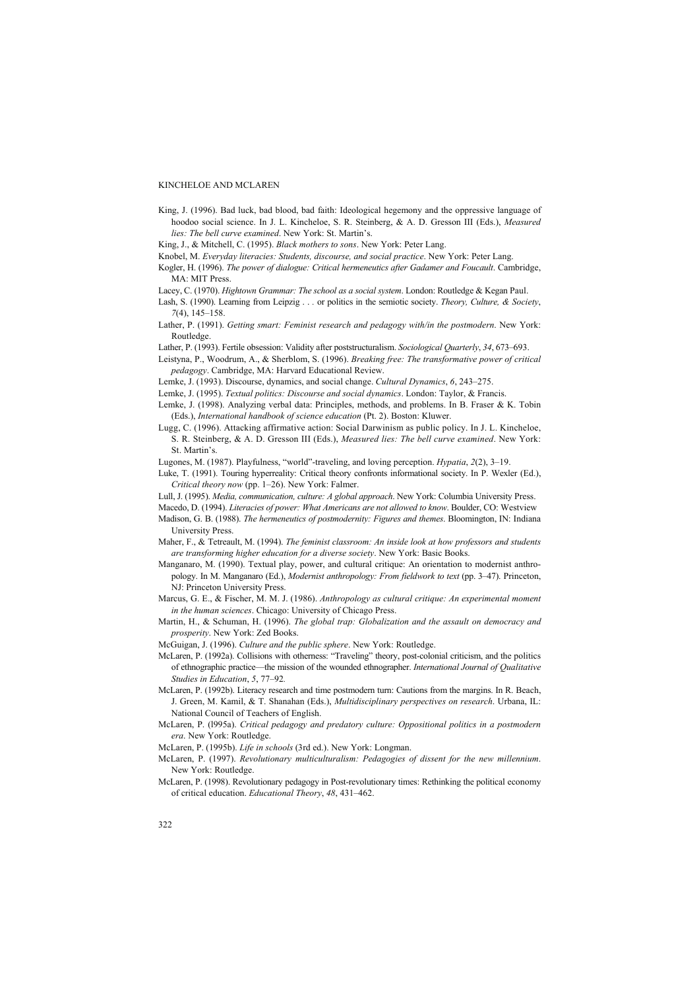- King, J. (1996). Bad luck, bad blood, bad faith: Ideological hegemony and the oppressive language of hoodoo social science. In J. L. Kincheloe, S. R. Steinberg, & A. D. Gresson III (Eds.), *Measured lies: The bell curve examined*. New York: St. Martin's.
- King, J., & Mitchell, C. (1995). *Black mothers to sons*. New York: Peter Lang.
- Knobel, M. *Everyday literacies: Students, discourse, and social practice*. New York: Peter Lang.
- Kogler, H. (1996). *The power of dialogue: Critical hermeneutics after Gadamer and Foucault*. Cambridge, MA: MIT Press.
- Lacey, C. (1970). *Hightown Grammar: The school as a social system*. London: Routledge & Kegan Paul.
- Lash, S. (1990). Learning from Leipzig . . . or politics in the semiotic society. *Theory, Culture, & Society*, *7*(4), 145–158.
- Lather, P. (1991). *Getting smart: Feminist research and pedagogy with/in the postmodern*. New York: Routledge.

Lather, P. (1993). Fertile obsession: Validity after poststructuralism. *Sociological Quarterly*, *34*, 673–693.

- Leistyna, P., Woodrum, A., & Sherblom, S. (1996). *Breaking free: The transformative power of critical pedagogy*. Cambridge, MA: Harvard Educational Review.
- Lemke, J. (1993). Discourse, dynamics, and social change. *Cultural Dynamics*, *6*, 243–275.
- Lemke, J. (1995). *Textual politics: Discourse and social dynamics*. London: Taylor, & Francis.
- Lemke, J. (1998). Analyzing verbal data: Principles, methods, and problems. In B. Fraser & K. Tobin (Eds.), *International handbook of science education* (Pt. 2). Boston: Kluwer.
- Lugg, C. (1996). Attacking affirmative action: Social Darwinism as public policy. In J. L. Kincheloe, S. R. Steinberg, & A. D. Gresson III (Eds.), *Measured lies: The bell curve examined*. New York: St. Martin's.
- Lugones, M. (1987). Playfulness, "world"-traveling, and loving perception. *Hypatia*, *2*(2), 3–19.
- Luke, T. (1991). Touring hyperreality: Critical theory confronts informational society. In P. Wexler (Ed.), *Critical theory now* (pp. 1–26). New York: Falmer.
- Lull, J. (1995). *Media, communication, culture: A global approach*. New York: Columbia University Press.
- Macedo, D. (1994). *Literacies of power: What Americans are not allowed to know*. Boulder, CO: Westview
- Madison, G. B. (1988). *The hermeneutics of postmodernity: Figures and themes*. Bloomington, IN: Indiana University Press.
- Maher, F., & Tetreault, M. (1994). *The feminist classroom: An inside look at how professors and students are transforming higher education for a diverse society*. New York: Basic Books.
- Manganaro, M. (1990). Textual play, power, and cultural critique: An orientation to modernist anthropology. In M. Manganaro (Ed.), *Modernist anthropology: From fieldwork to text* (pp. 3–47). Princeton, NJ: Princeton University Press.
- Marcus, G. E., & Fischer, M. M. J. (1986). *Anthropology as cultural critique: An experimental moment in the human sciences*. Chicago: University of Chicago Press.
- Martin, H., & Schuman, H. (1996). *The global trap: Globalization and the assault on democracy and prosperity*. New York: Zed Books.
- McGuigan, J. (1996). *Culture and the public sphere*. New York: Routledge.
- McLaren, P. (1992a). Collisions with otherness: "Traveling" theory, post-colonial criticism, and the politics of ethnographic practice—the mission of the wounded ethnographer. *International Journal of Qualitative Studies in Education*, *5*, 77–92*.*
- McLaren, P. (1992b). Literacy research and time postmodern turn: Cautions from the margins. In R. Beach, J. Green, M. Kamil, & T. Shanahan (Eds.), *Multidisciplinary perspectives on research*. Urbana, IL: National Council of Teachers of English.
- McLaren, P. (l995a). *Critical pedagogy and predatory culture: Oppositional politics in a postmodern era*. New York: Routledge.
- McLaren, P. (1995b). *Life in schools* (3rd ed.). New York: Longman.
- McLaren, P. (1997). *Revolutionary multiculturalism: Pedagogies of dissent for the new millennium*. New York: Routledge.
- McLaren, P. (1998). Revolutionary pedagogy in Post-revolutionary times: Rethinking the political economy of critical education. *Educational Theory*, *48*, 431–462.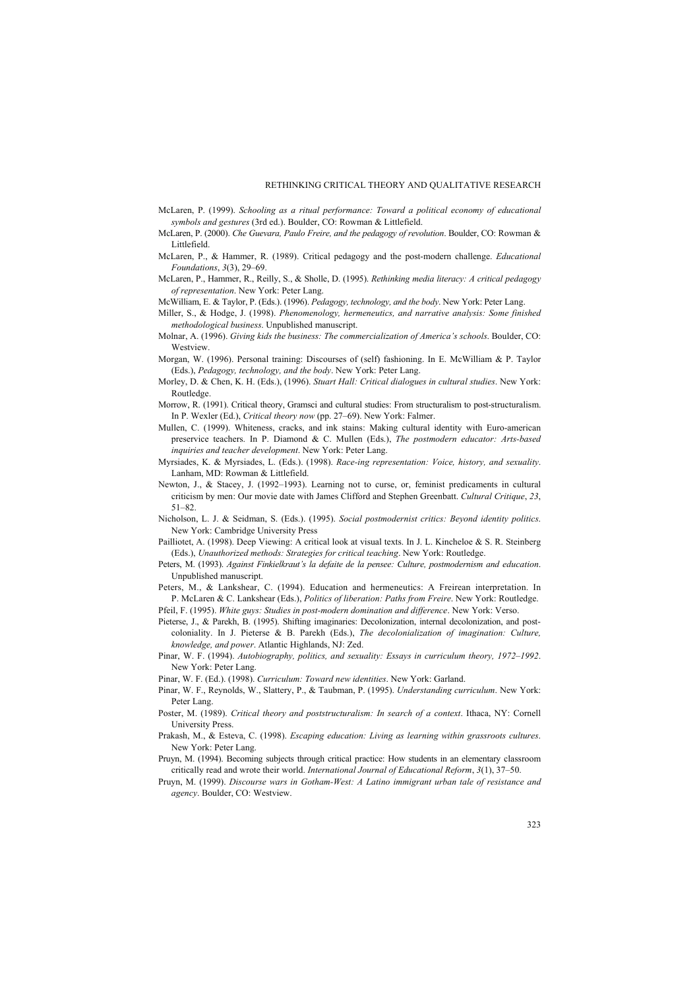McLaren, P. (1999). *Schooling as a ritual performance: Toward a political economy of educational symbols and gestures* (3rd ed.). Boulder, CO: Rowman & Littlefield.

McLaren, P. (2000). *Che Guevara, Paulo Freire, and the pedagogy of revolution*. Boulder, CO: Rowman & Littlefield.

- McLaren, P., & Hammer, R. (1989). Critical pedagogy and the post-modern challenge. *Educational Foundations*, *3*(3), 29–69.
- McLaren, P., Hammer, R., Reilly, S., & Sholle, D. (1995). *Rethinking media literacy: A critical pedagogy of representation*. New York: Peter Lang.

McWilliam, E. & Taylor, P. (Eds.). (1996). *Pedagogy, technology, and the body*. New York: Peter Lang.

- Miller, S., & Hodge, J. (1998). *Phenomenology, hermeneutics, and narrative analysis: Some finished methodological business*. Unpublished manuscript.
- Molnar, A. (1996). *Giving kids the business: The commercialization of America's schools*. Boulder, CO: **Westview**
- Morgan, W. (1996). Personal training: Discourses of (self) fashioning. In E. McWilliam & P. Taylor (Eds.), *Pedagogy, technology, and the body*. New York: Peter Lang.
- Morley, D. & Chen, K. H. (Eds.), (1996). *Stuart Hall: Critical dialogues in cultural studies*. New York: Routledge.
- Morrow, R. (1991). Critical theory, Gramsci and cultural studies: From structuralism to post-structuralism. In P. Wexler (Ed.), *Critical theory now* (pp. 27–69). New York: Falmer.
- Mullen, C. (1999). Whiteness, cracks, and ink stains: Making cultural identity with Euro-american preservice teachers. In P. Diamond & C. Mullen (Eds.), *The postmodern educator: Arts-based inquiries and teacher development*. New York: Peter Lang.
- Myrsiades, K. & Myrsiades, L. (Eds.). (1998). *Race-ing representation: Voice, history, and sexuality*. Lanham, MD: Rowman & Littlefield.
- Newton, J., & Stacey, J. (1992–1993). Learning not to curse, or, feminist predicaments in cultural criticism by men: Our movie date with James Clifford and Stephen Greenbatt. *Cultural Critique*, *23*, 51–82.
- Nicholson, L. J. & Seidman, S. (Eds.). (1995). *Social postmodernist critics: Beyond identity politics*. New York: Cambridge University Press
- Pailliotet, A. (1998). Deep Viewing: A critical look at visual texts. In J. L. Kincheloe & S. R. Steinberg (Eds.), *Unauthorized methods: Strategies for critical teaching*. New York: Routledge.
- Peters, M. (1993). *Against Finkielkraut's la defaite de la pensee: Culture, postmodernism and education*. Unpublished manuscript.

Peters, M., & Lankshear, C. (1994). Education and hermeneutics: A Freirean interpretation. In P. McLaren & C. Lankshear (Eds.), *Politics of liberation: Paths from Freire*. New York: Routledge. Pfeil, F. (1995). *White guys: Studies in post-modern domination and difference*. New York: Verso.

- Pieterse, J., & Parekh, B. (1995). Shifting imaginaries: Decolonization, internal decolonization, and postcoloniality. In J. Pieterse & B. Parekh (Eds.), *The decolonialization of imagination: Culture, knowledge, and power*. Atlantic Highlands, NJ: Zed.
- Pinar, W. F. (1994). *Autobiography, politics, and sexuality: Essays in curriculum theory, 1972–1992*. New York: Peter Lang.

Pinar, W. F. (Ed.). (1998). *Curriculum: Toward new identities*. New York: Garland.

- Pinar, W. F., Reynolds, W., Slattery, P., & Taubman, P. (1995). *Understanding curriculum*. New York: Peter Lang.
- Poster, M. (1989). *Critical theory and poststructuralism: In search of a context*. Ithaca, NY: Cornell University Press.
- Prakash, M., & Esteva, C. (1998). *Escaping education: Living as learning within grassroots cultures*. New York: Peter Lang.
- Pruyn, M. (1994). Becoming subjects through critical practice: How students in an elementary classroom critically read and wrote their world. *International Journal of Educational Reform*, *3*(1), 37–50.
- Pruyn, M. (1999). *Discourse wars in Gotham-West: A Latino immigrant urban tale of resistance and agency*. Boulder, CO: Westview.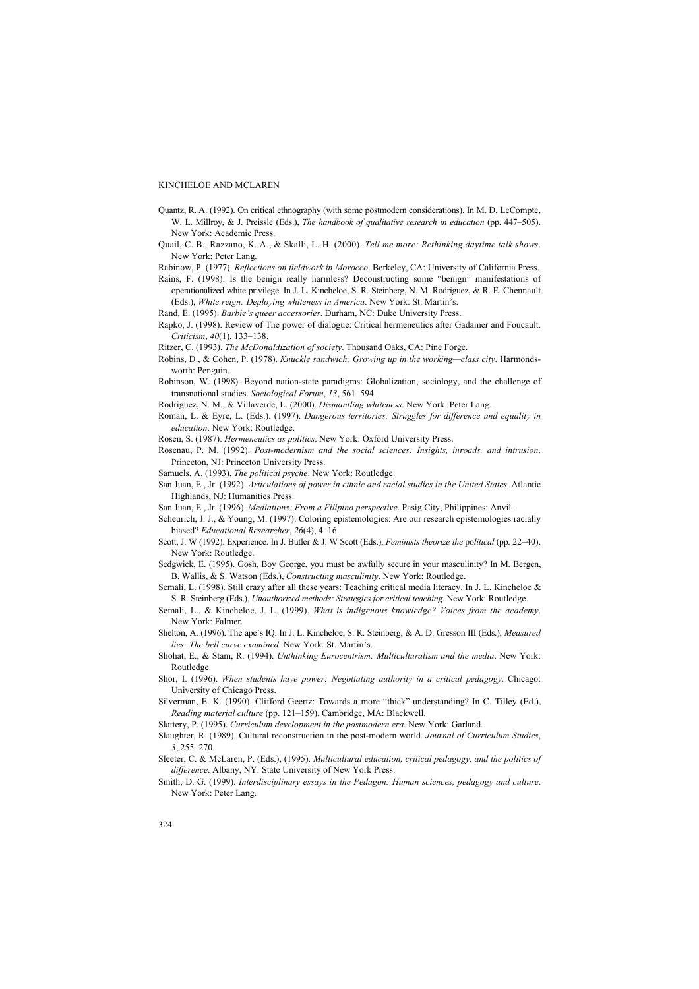- Quantz, R. A. (1992). On critical ethnography (with some postmodern considerations). In M. D. LeCompte, W. L. Millroy, & J. Preissle (Eds.), *The handbook of qualitative research in education* (pp. 447–505). New York: Academic Press.
- Quail, C. B., Razzano, K. A., & Skalli, L. H. (2000). *Tell me more: Rethinking daytime talk shows*. New York: Peter Lang.

Rabinow, P. (1977). *Reflections on fieldwork in Morocco*. Berkeley, CA: University of California Press.

Rains, F. (1998). Is the benign really harmless? Deconstructing some "benign" manifestations of operationalized white privilege. In J. L. Kincheloe, S. R. Steinberg, N. M. Rodriguez, & R. E. Chennault (Eds.), *White reign: Deploying whiteness in America*. New York: St. Martin's.

- Rand, E. (1995). *Barbie's queer accessories*. Durham, NC: Duke University Press.
- Rapko, J. (1998). Review of The power of dialogue: Critical hermeneutics after Gadamer and Foucault. *Criticism*, *40*(1), 133–138.
- Ritzer, C. (1993). *The McDonaldization of society*. Thousand Oaks, CA: Pine Forge.
- Robins, D., & Cohen, P. (1978). *Knuckle sandwich: Growing up in the working—class city*. Harmondsworth: Penguin.
- Robinson, W. (1998). Beyond nation-state paradigms: Globalization, sociology, and the challenge of transnational studies. *Sociological Forum*, *13*, 561–594*.*
- Rodriguez, N. M., & Villaverde, L. (2000). *Dismantling whiteness*. New York: Peter Lang.
- Roman, L. & Eyre, L. (Eds.). (1997). *Dangerous territories: Struggles for difference and equality in education*. New York: Routledge.
- Rosen, S. (1987). *Hermeneutics as politics*. New York: Oxford University Press.
- Rosenau, P. M. (1992). *Post-modernism and the social sciences: Insights, inroads, and intrusion*. Princeton, NJ: Princeton University Press.

Samuels, A. (1993). *The political psyche*. New York: Routledge.

- San Juan, E., Jr. (1992). *Articulations of power in ethnic and racial studies in the United States*. Atlantic Highlands, NJ: Humanities Press.
- San Juan, E., Jr. (1996). *Mediations: From a Filipino perspective*. Pasig City, Philippines: Anvil.
- Scheurich, J. J., & Young, M. (1997). Coloring epistemologies: Are our research epistemologies racially biased? *Educational Researcher*, *26*(4), 4–16.
- Scott, J. W (1992). Experience. In J. Butler & J. W Scott (Eds.), *Feminists theorize the* po*litical* (pp. 22–40). New York: Routledge.
- Sedgwick, E. (1995). Gosh, Boy George, you must be awfully secure in your masculinity? In M. Bergen, B. Wallis, & S. Watson (Eds.), *Constructing masculinity*. New York: Routledge.
- Semali, L. (1998). Still crazy after all these years: Teaching critical media literacy. In J. L. Kincheloe & S. R. Steinberg (Eds.), *Unauthorized methods: Strategies for critical teaching*. New York: Routledge.
- Semali, L., & Kincheloe, J. L. (1999). *What is indigenous knowledge? Voices from the academy*. New York: Falmer.
- Shelton, A. (1996). The ape's IQ. In J. L. Kincheloe, S. R. Steinberg, & A. D. Gresson III (Eds.), *Measured lies: The bell curve examined*. New York: St. Martin's.
- Shohat, E., & Stam, R. (1994). *Unthinking Eurocentrism: Multiculturalism and the media*. New York: Routledge.
- Shor, I. (1996). *When students have power: Negotiating authority in a critical pedagogy*. Chicago: University of Chicago Press.
- Silverman, E. K. (1990). Clifford Geertz: Towards a more "thick" understanding? In C. Tilley (Ed.), *Reading material culture* (pp. 121–159). Cambridge, MA: Blackwell.
- Slattery, P. (1995). *Curriculum development in the postmodern era*. New York: Garland.
- Slaughter, R. (1989). Cultural reconstruction in the post-modern world. *Journal of Curriculum Studies*, *3*, 255–270*.*
- Sleeter, C. & McLaren, P. (Eds.), (1995). *Multicultural education, critical pedagogy, and the politics of difference*. Albany, NY: State University of New York Press.
- Smith, D. G. (1999). *Interdisciplinary essays in the Pedagon: Human sciences, pedagogy and culture*. New York: Peter Lang.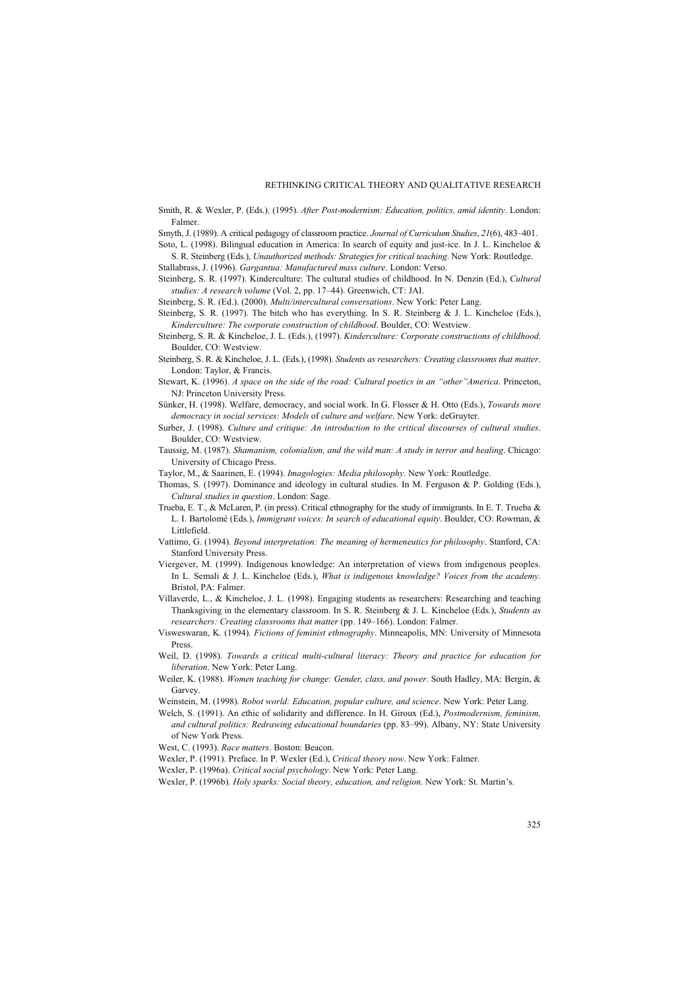- Smith, R. & Wexler, P. (Eds.). (1995). *After Post-modernism: Education, politics, amid identity*. London: Falmer.
- Smyth, J. (1989). A critical pedagogy of classroom practice. *Journal of Curriculum Studies*, *21*(6), 483–401.
- Soto, L. (1998). Bilingual education in America: In search of equity and just-ice. In J. L. Kincheloe  $\&$ S. R. Steinberg (Eds.), *Unauthorized methods: Strategies for critical teaching*. New York: Routledge.

Stallabrass, J. (1996). *Gargantua: Manufactured mass culture*. London: Verso.

- Steinberg, S. R. (1997). Kinderculture: The cultural studies of childhood. In N. Denzin (Ed.), *Cultural studies: A research volume* (Vol. 2, pp. 17–44). Greenwich, CT: JAI.
- Steinberg, S. R. (Ed.). (2000). *Multi/intercultural conversations*. New York: Peter Lang.
- Steinberg, S. R. (1997). The bitch who has everything. In S. R. Steinberg & J. L. Kincheloe (Eds.), *Kinderculture: The corporate construction of childhood*. Boulder, CO: Westview.
- Steinberg, S. R. & Kincheloe, J. L. (Eds.), (1997). *Kinderculture: Corporate constructions of childhood*. Boulder, CO: Westview.
- Steinberg, S. R. & Kincheloe, J. L. (Eds.), (1998). *Students as researchers: Creating classrooms that matter*. London: Taylor, & Francis.
- Stewart, K. (1996). *A space on the side of the road: Cultural poetics in an "other"America*. Princeton, NJ: Princeton University Press.
- Sünker, H. (1998). Welfare, democracy, and social work. In G. Flosser & H. Otto (Eds.), *Towards more democracy in social services: Models* of *culture and welfare*. New York: deGruyter.
- Surber, J. (1998). *Culture and critique: An introduction to the critical discourses of cultural studies*. Boulder, CO: Westview.
- Taussig, M. (1987). *Shamanism, colonialism, and the wild man: A study in terror and healing*. Chicago: University of Chicago Press.
- Taylor, M., & Saarinen, E. (1994). *Imagologies: Media philosophy*. New York: Routledge.
- Thomas, S. (1997). Dominance and ideology in cultural studies. In M. Ferguson & P. Golding (Eds.), *Cultural studies in question*. London: Sage.
- Trueba, E. T., & McLaren, P. (in press). Critical ethnography for the study of immigrants. In E. T. Trueba & L. I. Bartolomé (Eds.), *Immigrant voices: In search of educational equity*. Boulder, CO: Rowman, & Littlefield.
- Vattimo, G. (1994). *Beyond interpretation: The meaning of hermeneutics for philosophy*. Stanford, CA: Stanford University Press.
- Viergever, M. (1999). Indigenous knowledge: An interpretation of views from indigenous peoples. In L. Semali & J. L. Kincheloe (Eds.), *What is indigenous knowledge? Voices from the academy*. Bristol, PA: Falmer.
- Villaverde, L., & Kincheloe, J. L. (1998). Engaging students as researchers: Researching and teaching Thanksgiving in the elementary classroom. In S. R. Steinberg & J. L. Kincheloe (Eds.), *Students as researchers: Creating classrooms that matter* (pp. 149–166). London: Falmer.
- Visweswaran, K. (1994). *Fictions of feminist ethnography*. Minneapolis, MN: University of Minnesota Press.
- Weil, D. (1998). *Towards a critical multi-cultural literacy: Theory and practice for education for liberation*. New York: Peter Lang.
- Weiler, K. (1988). *Women teaching for change: Gender, class, and power*. South Hadley, MA: Bergin, & **Garvey**
- Weinstein, M. (1998). *Robot world: Education, popular culture, and science*. New York: Peter Lang.
- Welch, S. (1991). An ethic of solidarity and difference. In H. Giroux (Ed.), *Postmodernism, feminism, and cultural politics: Redrawing educational boundaries* (pp. 83–99). Albany, NY: State University of New York Press.
- West, C. (1993). *Race matters*. Boston: Beacon.
- Wexler, P. (1991). Preface. In P. Wexler (Ed.), *Critical theory now*. New York: Falmer.
- Wexler, P. (1996a). *Critical social psychology*. New York: Peter Lang.
- Wexler, P. (1996b). *Holy sparks: Social theory, education, and religion*. New York: St. Martin's.